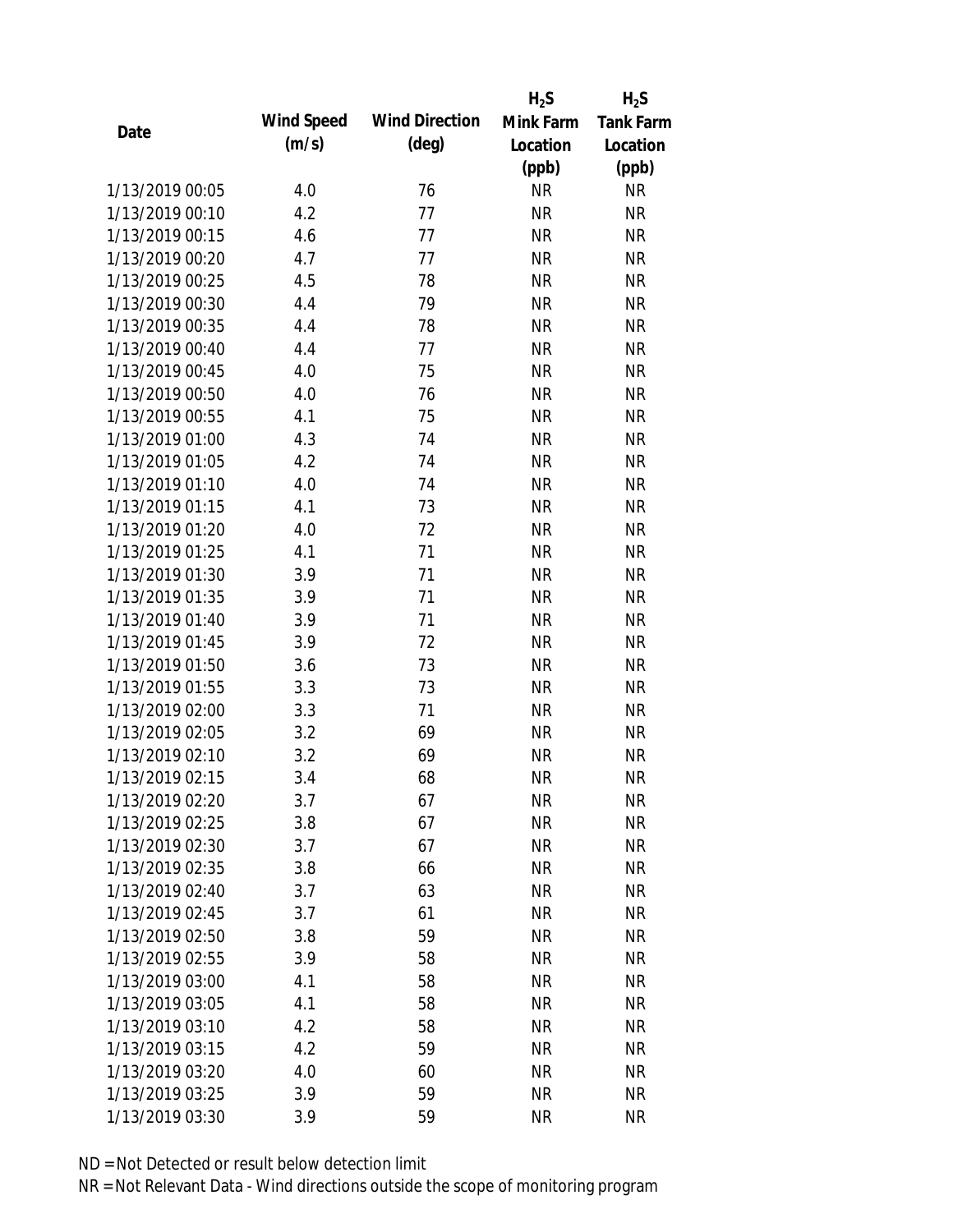|                 |            |                       | $H_2S$    | $H_2S$           |
|-----------------|------------|-----------------------|-----------|------------------|
| Date            | Wind Speed | <b>Wind Direction</b> | Mink Farm | <b>Tank Farm</b> |
|                 | (m/s)      | $(\text{deg})$        | Location  | Location         |
|                 |            |                       | (ppb)     | (ppb)            |
| 1/13/2019 00:05 | 4.0        | 76                    | <b>NR</b> | NR               |
| 1/13/2019 00:10 | 4.2        | 77                    | <b>NR</b> | <b>NR</b>        |
| 1/13/2019 00:15 | 4.6        | 77                    | <b>NR</b> | <b>NR</b>        |
| 1/13/2019 00:20 | 4.7        | 77                    | <b>NR</b> | <b>NR</b>        |
| 1/13/2019 00:25 | 4.5        | 78                    | <b>NR</b> | <b>NR</b>        |
| 1/13/2019 00:30 | 4.4        | 79                    | <b>NR</b> | <b>NR</b>        |
| 1/13/2019 00:35 | 4.4        | 78                    | <b>NR</b> | <b>NR</b>        |
| 1/13/2019 00:40 | 4.4        | 77                    | <b>NR</b> | <b>NR</b>        |
| 1/13/2019 00:45 | 4.0        | 75                    | <b>NR</b> | <b>NR</b>        |
| 1/13/2019 00:50 | 4.0        | 76                    | <b>NR</b> | <b>NR</b>        |
| 1/13/2019 00:55 | 4.1        | 75                    | <b>NR</b> | <b>NR</b>        |
| 1/13/2019 01:00 | 4.3        | 74                    | <b>NR</b> | <b>NR</b>        |
| 1/13/2019 01:05 | 4.2        | 74                    | <b>NR</b> | <b>NR</b>        |
| 1/13/2019 01:10 | 4.0        | 74                    | <b>NR</b> | <b>NR</b>        |
| 1/13/2019 01:15 | 4.1        | 73                    | <b>NR</b> | <b>NR</b>        |
| 1/13/2019 01:20 | 4.0        | 72                    | <b>NR</b> | <b>NR</b>        |
| 1/13/2019 01:25 | 4.1        | 71                    | <b>NR</b> | <b>NR</b>        |
| 1/13/2019 01:30 | 3.9        | 71                    | <b>NR</b> | <b>NR</b>        |
| 1/13/2019 01:35 | 3.9        | 71                    | <b>NR</b> | <b>NR</b>        |
| 1/13/2019 01:40 | 3.9        | 71                    | <b>NR</b> | <b>NR</b>        |
| 1/13/2019 01:45 | 3.9        | 72                    | <b>NR</b> | <b>NR</b>        |
| 1/13/2019 01:50 | 3.6        | 73                    | <b>NR</b> | <b>NR</b>        |
| 1/13/2019 01:55 | 3.3        | 73                    | <b>NR</b> | <b>NR</b>        |
| 1/13/2019 02:00 | 3.3        | 71                    | <b>NR</b> | <b>NR</b>        |
| 1/13/2019 02:05 | 3.2        | 69                    | <b>NR</b> | <b>NR</b>        |
| 1/13/2019 02:10 | 3.2        | 69                    | <b>NR</b> | <b>NR</b>        |
| 1/13/2019 02:15 | 3.4        | 68                    | <b>NR</b> | <b>NR</b>        |
| 1/13/2019 02:20 | 3.7        | 67                    | <b>NR</b> | <b>NR</b>        |
| 1/13/2019 02:25 | 3.8        | 67                    | <b>NR</b> | <b>NR</b>        |
| 1/13/2019 02:30 | 3.7        | 67                    | <b>NR</b> | <b>NR</b>        |
| 1/13/2019 02:35 | 3.8        | 66                    | <b>NR</b> | <b>NR</b>        |
| 1/13/2019 02:40 | 3.7        | 63                    | <b>NR</b> | NR               |
| 1/13/2019 02:45 | 3.7        | 61                    | <b>NR</b> | <b>NR</b>        |
| 1/13/2019 02:50 | 3.8        | 59                    | <b>NR</b> | <b>NR</b>        |
| 1/13/2019 02:55 | 3.9        | 58                    | <b>NR</b> | <b>NR</b>        |
| 1/13/2019 03:00 | 4.1        | 58                    | <b>NR</b> | <b>NR</b>        |
| 1/13/2019 03:05 | 4.1        | 58                    | <b>NR</b> | <b>NR</b>        |
| 1/13/2019 03:10 | 4.2        | 58                    | <b>NR</b> | <b>NR</b>        |
| 1/13/2019 03:15 | 4.2        | 59                    | <b>NR</b> | <b>NR</b>        |
| 1/13/2019 03:20 | 4.0        | 60                    | <b>NR</b> | <b>NR</b>        |
| 1/13/2019 03:25 | 3.9        | 59                    | <b>NR</b> | <b>NR</b>        |
| 1/13/2019 03:30 | 3.9        | 59                    | <b>NR</b> | <b>NR</b>        |
|                 |            |                       |           |                  |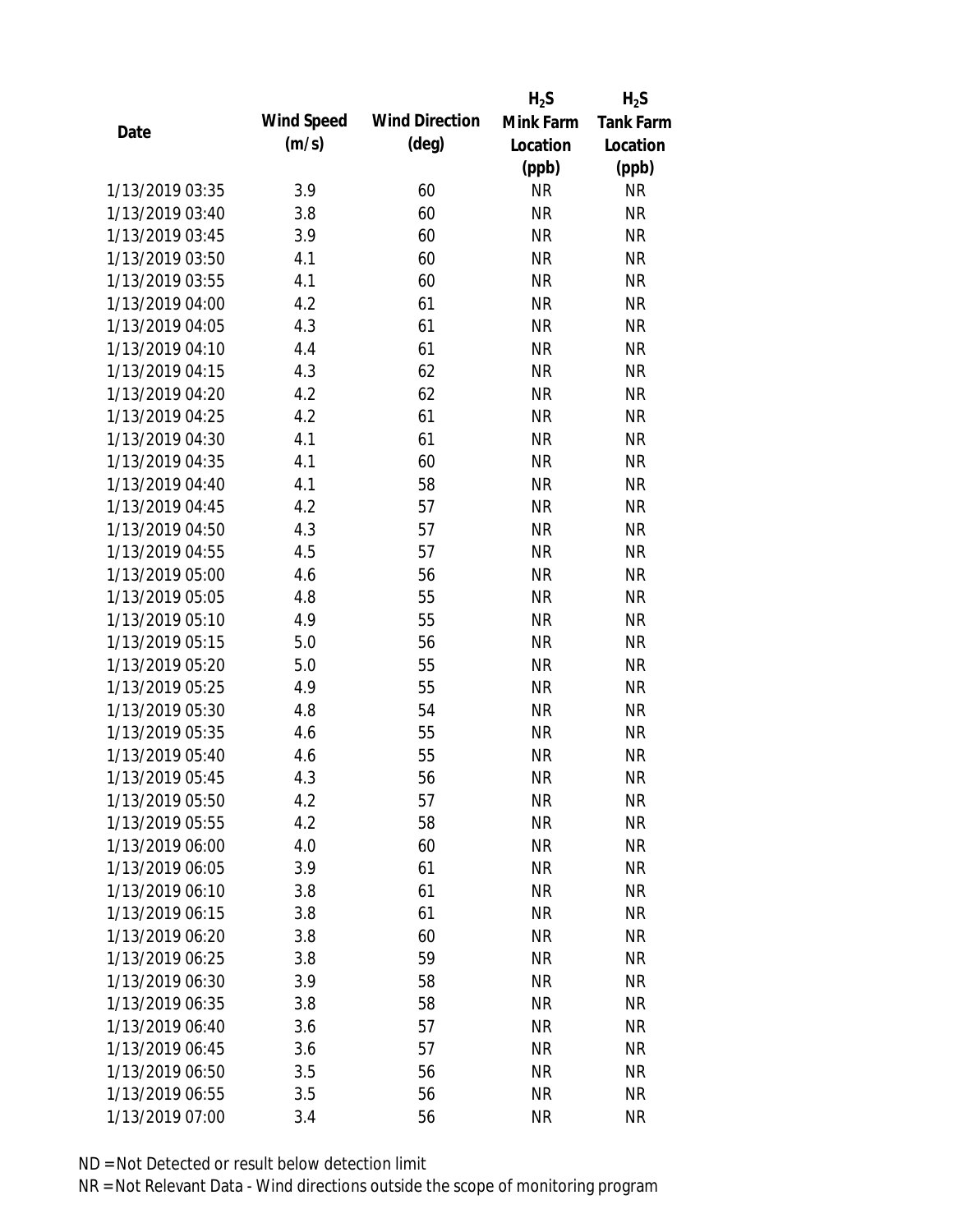|                 |            |                       | $H_2S$    | $H_2S$           |
|-----------------|------------|-----------------------|-----------|------------------|
| Date            | Wind Speed | <b>Wind Direction</b> | Mink Farm | <b>Tank Farm</b> |
|                 | (m/s)      | $(\text{deg})$        | Location  | Location         |
|                 |            |                       | (ppb)     | (ppb)            |
| 1/13/2019 03:35 | 3.9        | 60                    | <b>NR</b> | NR               |
| 1/13/2019 03:40 | 3.8        | 60                    | <b>NR</b> | <b>NR</b>        |
| 1/13/2019 03:45 | 3.9        | 60                    | <b>NR</b> | <b>NR</b>        |
| 1/13/2019 03:50 | 4.1        | 60                    | <b>NR</b> | <b>NR</b>        |
| 1/13/2019 03:55 | 4.1        | 60                    | <b>NR</b> | <b>NR</b>        |
| 1/13/2019 04:00 | 4.2        | 61                    | <b>NR</b> | <b>NR</b>        |
| 1/13/2019 04:05 | 4.3        | 61                    | <b>NR</b> | <b>NR</b>        |
| 1/13/2019 04:10 | 4.4        | 61                    | <b>NR</b> | <b>NR</b>        |
| 1/13/2019 04:15 | 4.3        | 62                    | <b>NR</b> | <b>NR</b>        |
| 1/13/2019 04:20 | 4.2        | 62                    | <b>NR</b> | <b>NR</b>        |
| 1/13/2019 04:25 | 4.2        | 61                    | <b>NR</b> | <b>NR</b>        |
| 1/13/2019 04:30 | 4.1        | 61                    | <b>NR</b> | <b>NR</b>        |
| 1/13/2019 04:35 | 4.1        | 60                    | <b>NR</b> | <b>NR</b>        |
| 1/13/2019 04:40 | 4.1        | 58                    | <b>NR</b> | <b>NR</b>        |
| 1/13/2019 04:45 | 4.2        | 57                    | <b>NR</b> | <b>NR</b>        |
| 1/13/2019 04:50 | 4.3        | 57                    | <b>NR</b> | <b>NR</b>        |
| 1/13/2019 04:55 | 4.5        | 57                    | <b>NR</b> | <b>NR</b>        |
| 1/13/2019 05:00 | 4.6        | 56                    | <b>NR</b> | <b>NR</b>        |
| 1/13/2019 05:05 | 4.8        | 55                    | <b>NR</b> | <b>NR</b>        |
| 1/13/2019 05:10 | 4.9        | 55                    | <b>NR</b> | <b>NR</b>        |
| 1/13/2019 05:15 | 5.0        | 56                    | <b>NR</b> | <b>NR</b>        |
| 1/13/2019 05:20 | 5.0        | 55                    | <b>NR</b> | <b>NR</b>        |
| 1/13/2019 05:25 | 4.9        | 55                    | <b>NR</b> | <b>NR</b>        |
| 1/13/2019 05:30 | 4.8        | 54                    | <b>NR</b> | <b>NR</b>        |
| 1/13/2019 05:35 | 4.6        | 55                    | <b>NR</b> | <b>NR</b>        |
| 1/13/2019 05:40 | 4.6        | 55                    | <b>NR</b> | <b>NR</b>        |
| 1/13/2019 05:45 | 4.3        | 56                    | <b>NR</b> | <b>NR</b>        |
| 1/13/2019 05:50 | 4.2        | 57                    | <b>NR</b> | <b>NR</b>        |
| 1/13/2019 05:55 | 4.2        | 58                    | <b>NR</b> | <b>NR</b>        |
| 1/13/2019 06:00 | 4.0        | 60                    | <b>NR</b> | <b>NR</b>        |
| 1/13/2019 06:05 | 3.9        | 61                    | <b>NR</b> | <b>NR</b>        |
| 1/13/2019 06:10 | 3.8        | 61                    | <b>NR</b> | NR               |
| 1/13/2019 06:15 | 3.8        | 61                    | <b>NR</b> | <b>NR</b>        |
| 1/13/2019 06:20 | 3.8        | 60                    | <b>NR</b> | <b>NR</b>        |
| 1/13/2019 06:25 | 3.8        | 59                    | <b>NR</b> | NR               |
| 1/13/2019 06:30 | 3.9        | 58                    | <b>NR</b> | <b>NR</b>        |
| 1/13/2019 06:35 | 3.8        | 58                    | <b>NR</b> | NR               |
| 1/13/2019 06:40 | 3.6        | 57                    | <b>NR</b> | <b>NR</b>        |
| 1/13/2019 06:45 | 3.6        | 57                    | <b>NR</b> | NR               |
| 1/13/2019 06:50 | 3.5        | 56                    | <b>NR</b> | NR               |
| 1/13/2019 06:55 | 3.5        | 56                    | <b>NR</b> | <b>NR</b>        |
| 1/13/2019 07:00 | 3.4        | 56                    | <b>NR</b> | <b>NR</b>        |
|                 |            |                       |           |                  |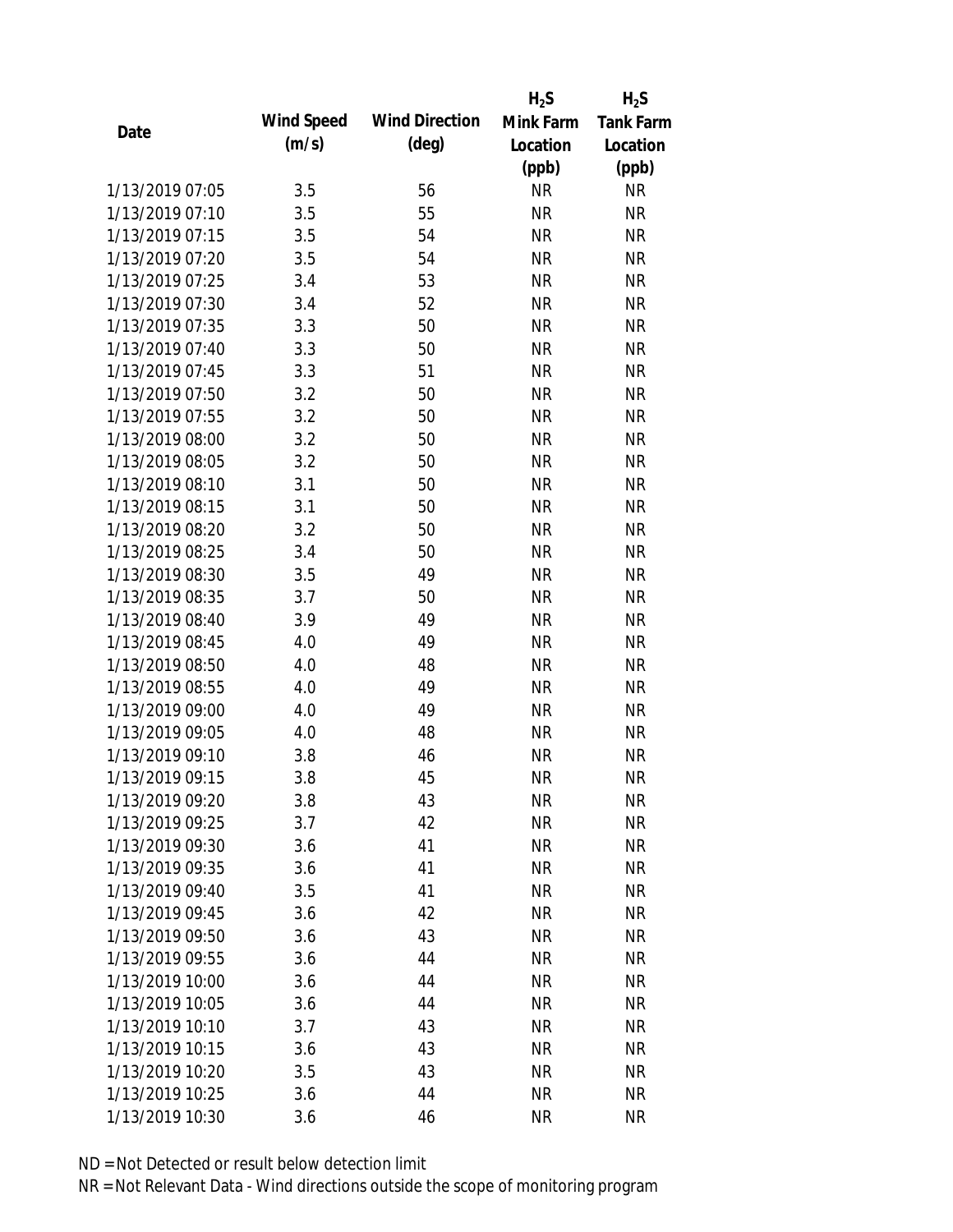|                 |            |                       | $H_2S$    | $H_2S$           |
|-----------------|------------|-----------------------|-----------|------------------|
|                 | Wind Speed | <b>Wind Direction</b> | Mink Farm | <b>Tank Farm</b> |
| Date            | (m/s)      | $(\text{deg})$        | Location  | Location         |
|                 |            |                       | (ppb)     | (ppb)            |
| 1/13/2019 07:05 | 3.5        | 56                    | <b>NR</b> | <b>NR</b>        |
| 1/13/2019 07:10 | 3.5        | 55                    | <b>NR</b> | <b>NR</b>        |
| 1/13/2019 07:15 | 3.5        | 54                    | <b>NR</b> | <b>NR</b>        |
| 1/13/2019 07:20 | 3.5        | 54                    | <b>NR</b> | <b>NR</b>        |
| 1/13/2019 07:25 | 3.4        | 53                    | <b>NR</b> | <b>NR</b>        |
| 1/13/2019 07:30 | 3.4        | 52                    | <b>NR</b> | <b>NR</b>        |
| 1/13/2019 07:35 | 3.3        | 50                    | <b>NR</b> | <b>NR</b>        |
| 1/13/2019 07:40 | 3.3        | 50                    | <b>NR</b> | <b>NR</b>        |
| 1/13/2019 07:45 | 3.3        | 51                    | <b>NR</b> | <b>NR</b>        |
| 1/13/2019 07:50 | 3.2        | 50                    | <b>NR</b> | <b>NR</b>        |
| 1/13/2019 07:55 | 3.2        | 50                    | <b>NR</b> | <b>NR</b>        |
| 1/13/2019 08:00 | 3.2        | 50                    | <b>NR</b> | <b>NR</b>        |
| 1/13/2019 08:05 | 3.2        | 50                    | <b>NR</b> | <b>NR</b>        |
| 1/13/2019 08:10 | 3.1        | 50                    | <b>NR</b> | <b>NR</b>        |
| 1/13/2019 08:15 | 3.1        | 50                    | <b>NR</b> | <b>NR</b>        |
| 1/13/2019 08:20 | 3.2        | 50                    | <b>NR</b> | <b>NR</b>        |
| 1/13/2019 08:25 | 3.4        | 50                    | <b>NR</b> | <b>NR</b>        |
| 1/13/2019 08:30 | 3.5        | 49                    | <b>NR</b> | <b>NR</b>        |
| 1/13/2019 08:35 | 3.7        | 50                    | <b>NR</b> | <b>NR</b>        |
| 1/13/2019 08:40 | 3.9        | 49                    | <b>NR</b> | <b>NR</b>        |
| 1/13/2019 08:45 | 4.0        | 49                    | <b>NR</b> | <b>NR</b>        |
| 1/13/2019 08:50 | 4.0        | 48                    | <b>NR</b> | <b>NR</b>        |
| 1/13/2019 08:55 | 4.0        | 49                    | <b>NR</b> | <b>NR</b>        |
| 1/13/2019 09:00 | 4.0        | 49                    | <b>NR</b> | <b>NR</b>        |
| 1/13/2019 09:05 | 4.0        | 48                    | <b>NR</b> | <b>NR</b>        |
| 1/13/2019 09:10 | 3.8        | 46                    | <b>NR</b> | <b>NR</b>        |
| 1/13/2019 09:15 | 3.8        | 45                    | <b>NR</b> | <b>NR</b>        |
| 1/13/2019 09:20 | 3.8        | 43                    | <b>NR</b> | <b>NR</b>        |
| 1/13/2019 09:25 | 3.7        | 42                    | <b>NR</b> | <b>NR</b>        |
| 1/13/2019 09:30 | 3.6        | 41                    | <b>NR</b> | <b>NR</b>        |
| 1/13/2019 09:35 | 3.6        | 41                    | <b>NR</b> | <b>NR</b>        |
| 1/13/2019 09:40 | 3.5        | 41                    | <b>NR</b> | NR               |
| 1/13/2019 09:45 | 3.6        | 42                    | <b>NR</b> | NR               |
| 1/13/2019 09:50 | 3.6        | 43                    | <b>NR</b> | <b>NR</b>        |
| 1/13/2019 09:55 | 3.6        | 44                    | <b>NR</b> | <b>NR</b>        |
| 1/13/2019 10:00 | 3.6        | 44                    | <b>NR</b> | <b>NR</b>        |
| 1/13/2019 10:05 | 3.6        | 44                    | <b>NR</b> | NR               |
| 1/13/2019 10:10 | 3.7        | 43                    | <b>NR</b> | NR               |
| 1/13/2019 10:15 | 3.6        | 43                    | <b>NR</b> | NR               |
| 1/13/2019 10:20 | 3.5        | 43                    | <b>NR</b> | NR               |
| 1/13/2019 10:25 | 3.6        | 44                    | <b>NR</b> | <b>NR</b>        |
|                 |            | 46                    | <b>NR</b> | <b>NR</b>        |
| 1/13/2019 10:30 | 3.6        |                       |           |                  |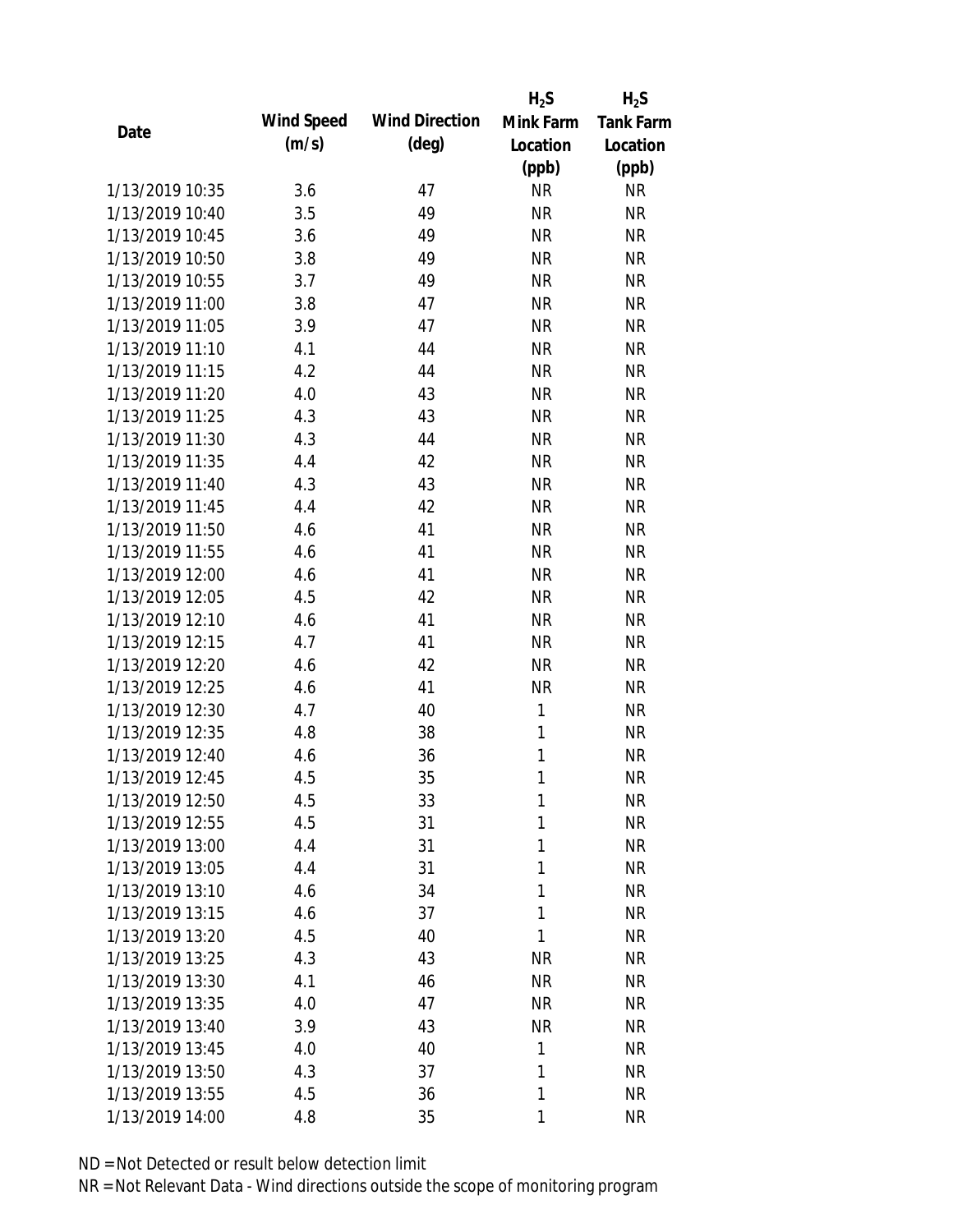|                 |            |                       | $H_2S$    | $H_2S$           |
|-----------------|------------|-----------------------|-----------|------------------|
| Date            | Wind Speed | <b>Wind Direction</b> | Mink Farm | <b>Tank Farm</b> |
|                 | (m/s)      | $(\text{deg})$        | Location  | Location         |
|                 |            |                       | (ppb)     | (ppb)            |
| 1/13/2019 10:35 | 3.6        | 47                    | <b>NR</b> | NR               |
| 1/13/2019 10:40 | 3.5        | 49                    | <b>NR</b> | <b>NR</b>        |
| 1/13/2019 10:45 | 3.6        | 49                    | <b>NR</b> | <b>NR</b>        |
| 1/13/2019 10:50 | 3.8        | 49                    | <b>NR</b> | <b>NR</b>        |
| 1/13/2019 10:55 | 3.7        | 49                    | <b>NR</b> | <b>NR</b>        |
| 1/13/2019 11:00 | 3.8        | 47                    | <b>NR</b> | <b>NR</b>        |
| 1/13/2019 11:05 | 3.9        | 47                    | <b>NR</b> | <b>NR</b>        |
| 1/13/2019 11:10 | 4.1        | 44                    | <b>NR</b> | <b>NR</b>        |
| 1/13/2019 11:15 | 4.2        | 44                    | <b>NR</b> | <b>NR</b>        |
| 1/13/2019 11:20 | 4.0        | 43                    | <b>NR</b> | <b>NR</b>        |
| 1/13/2019 11:25 | 4.3        | 43                    | <b>NR</b> | <b>NR</b>        |
| 1/13/2019 11:30 | 4.3        | 44                    | <b>NR</b> | <b>NR</b>        |
| 1/13/2019 11:35 | 4.4        | 42                    | <b>NR</b> | <b>NR</b>        |
| 1/13/2019 11:40 | 4.3        | 43                    | <b>NR</b> | <b>NR</b>        |
| 1/13/2019 11:45 | 4.4        | 42                    | <b>NR</b> | <b>NR</b>        |
| 1/13/2019 11:50 | 4.6        | 41                    | <b>NR</b> | <b>NR</b>        |
| 1/13/2019 11:55 | 4.6        | 41                    | <b>NR</b> | <b>NR</b>        |
| 1/13/2019 12:00 | 4.6        | 41                    | <b>NR</b> | <b>NR</b>        |
| 1/13/2019 12:05 | 4.5        | 42                    | <b>NR</b> | <b>NR</b>        |
| 1/13/2019 12:10 | 4.6        | 41                    | <b>NR</b> | <b>NR</b>        |
| 1/13/2019 12:15 | 4.7        | 41                    | <b>NR</b> | <b>NR</b>        |
| 1/13/2019 12:20 | 4.6        | 42                    | <b>NR</b> | <b>NR</b>        |
| 1/13/2019 12:25 | 4.6        | 41                    | <b>NR</b> | <b>NR</b>        |
| 1/13/2019 12:30 | 4.7        | 40                    | 1         | <b>NR</b>        |
| 1/13/2019 12:35 | 4.8        | 38                    | 1         | <b>NR</b>        |
| 1/13/2019 12:40 | 4.6        | 36                    | 1         | <b>NR</b>        |
| 1/13/2019 12:45 | 4.5        | 35                    | 1         | <b>NR</b>        |
| 1/13/2019 12:50 | 4.5        | 33                    | 1         | <b>NR</b>        |
| 1/13/2019 12:55 | 4.5        | 31                    | 1         | <b>NR</b>        |
| 1/13/2019 13:00 | 4.4        | 31                    | 1         | NR               |
| 1/13/2019 13:05 | 4.4        | 31                    | 1         | <b>NR</b>        |
| 1/13/2019 13:10 | 4.6        | 34                    | 1         | NR               |
| 1/13/2019 13:15 | 4.6        | 37                    | 1         | NR               |
| 1/13/2019 13:20 | 4.5        | 40                    | 1         | NR               |
| 1/13/2019 13:25 | 4.3        | 43                    | <b>NR</b> | NR               |
| 1/13/2019 13:30 | 4.1        | 46                    | <b>NR</b> | <b>NR</b>        |
| 1/13/2019 13:35 | 4.0        | 47                    | <b>NR</b> | <b>NR</b>        |
| 1/13/2019 13:40 | 3.9        | 43                    | <b>NR</b> | NR               |
| 1/13/2019 13:45 | 4.0        | 40                    | 1         | NR               |
| 1/13/2019 13:50 | 4.3        | 37                    | 1         | NR               |
| 1/13/2019 13:55 | 4.5        | 36                    | 1         | <b>NR</b>        |
| 1/13/2019 14:00 | 4.8        | 35                    | 1         | <b>NR</b>        |
|                 |            |                       |           |                  |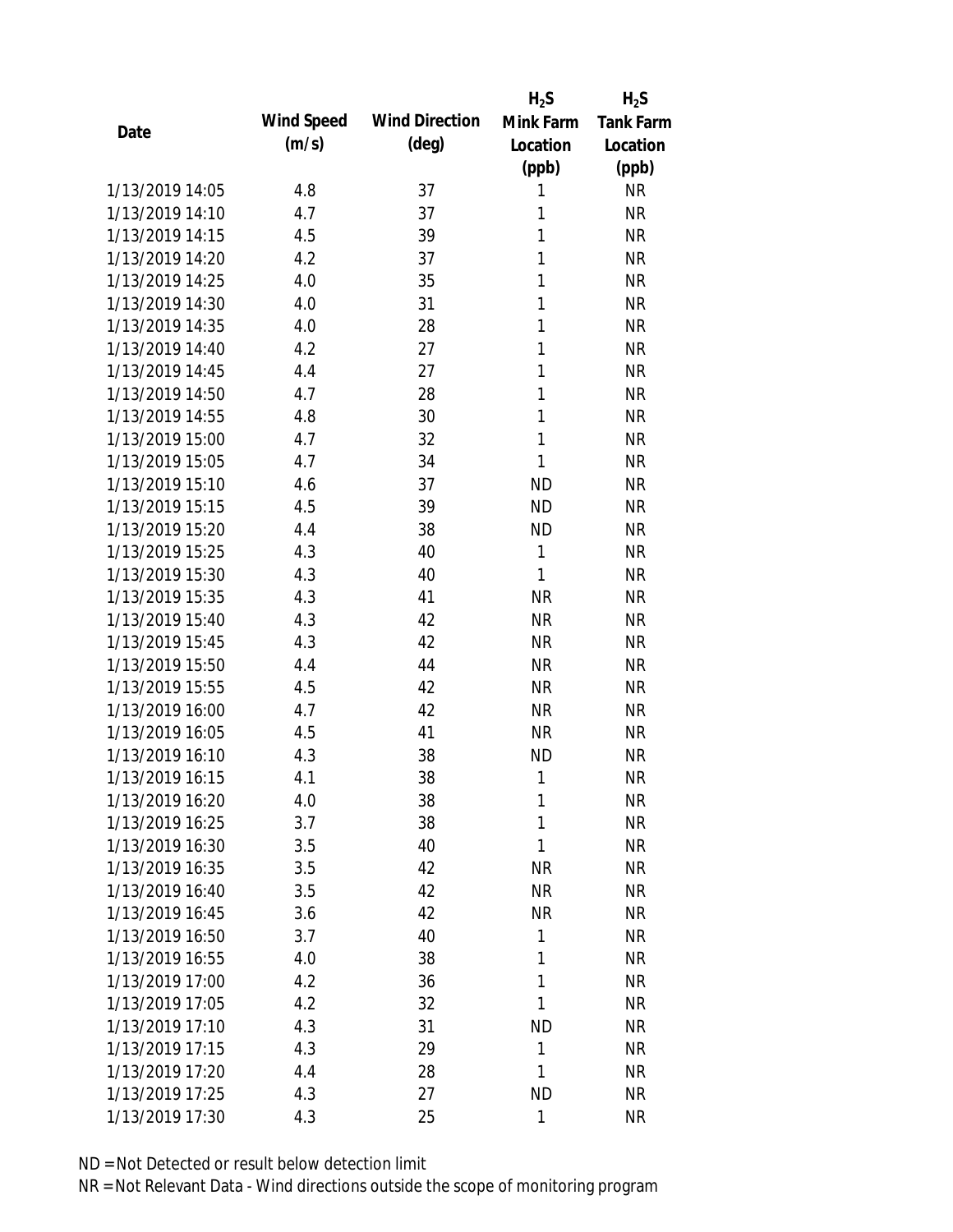|                 |            |                       | $H_2S$       | $H_2S$           |
|-----------------|------------|-----------------------|--------------|------------------|
| Date            | Wind Speed | <b>Wind Direction</b> | Mink Farm    | <b>Tank Farm</b> |
|                 | (m/s)      | $(\text{deg})$        | Location     | Location         |
|                 |            |                       | (ppb)        | (ppb)            |
| 1/13/2019 14:05 | 4.8        | 37                    | 1            | <b>NR</b>        |
| 1/13/2019 14:10 | 4.7        | 37                    | 1            | <b>NR</b>        |
| 1/13/2019 14:15 | 4.5        | 39                    | 1            | <b>NR</b>        |
| 1/13/2019 14:20 | 4.2        | 37                    | 1            | <b>NR</b>        |
| 1/13/2019 14:25 | 4.0        | 35                    | 1            | <b>NR</b>        |
| 1/13/2019 14:30 | 4.0        | 31                    | 1            | <b>NR</b>        |
| 1/13/2019 14:35 | 4.0        | 28                    | 1            | <b>NR</b>        |
| 1/13/2019 14:40 | 4.2        | 27                    | 1            | <b>NR</b>        |
| 1/13/2019 14:45 | 4.4        | 27                    | 1            | <b>NR</b>        |
| 1/13/2019 14:50 | 4.7        | 28                    | 1            | <b>NR</b>        |
| 1/13/2019 14:55 | 4.8        | 30                    | 1            | <b>NR</b>        |
| 1/13/2019 15:00 | 4.7        | 32                    | 1            | <b>NR</b>        |
| 1/13/2019 15:05 | 4.7        | 34                    | $\mathbf{1}$ | <b>NR</b>        |
| 1/13/2019 15:10 | 4.6        | 37                    | <b>ND</b>    | <b>NR</b>        |
| 1/13/2019 15:15 | 4.5        | 39                    | <b>ND</b>    | <b>NR</b>        |
| 1/13/2019 15:20 | 4.4        | 38                    | <b>ND</b>    | <b>NR</b>        |
| 1/13/2019 15:25 | 4.3        | 40                    | 1            | <b>NR</b>        |
| 1/13/2019 15:30 | 4.3        | 40                    | $\mathbf{1}$ | <b>NR</b>        |
| 1/13/2019 15:35 | 4.3        | 41                    | <b>NR</b>    | <b>NR</b>        |
| 1/13/2019 15:40 | 4.3        | 42                    | <b>NR</b>    | <b>NR</b>        |
| 1/13/2019 15:45 | 4.3        | 42                    | <b>NR</b>    | <b>NR</b>        |
| 1/13/2019 15:50 | 4.4        | 44                    | <b>NR</b>    | <b>NR</b>        |
| 1/13/2019 15:55 | 4.5        | 42                    | <b>NR</b>    | <b>NR</b>        |
| 1/13/2019 16:00 | 4.7        | 42                    | <b>NR</b>    | <b>NR</b>        |
| 1/13/2019 16:05 | 4.5        | 41                    | <b>NR</b>    | <b>NR</b>        |
| 1/13/2019 16:10 | 4.3        | 38                    | <b>ND</b>    | <b>NR</b>        |
| 1/13/2019 16:15 | 4.1        | 38                    | 1            | <b>NR</b>        |
| 1/13/2019 16:20 | 4.0        | 38                    | 1            | <b>NR</b>        |
| 1/13/2019 16:25 | 3.7        | 38                    | 1            | <b>NR</b>        |
| 1/13/2019 16:30 | 3.5        | 40                    | 1            | <b>NR</b>        |
| 1/13/2019 16:35 | 3.5        | 42                    | <b>NR</b>    | <b>NR</b>        |
| 1/13/2019 16:40 | 3.5        | 42                    | <b>NR</b>    | <b>NR</b>        |
| 1/13/2019 16:45 | 3.6        | 42                    | <b>NR</b>    | <b>NR</b>        |
| 1/13/2019 16:50 | 3.7        | 40                    | 1            | <b>NR</b>        |
| 1/13/2019 16:55 | 4.0        | 38                    | 1            | <b>NR</b>        |
| 1/13/2019 17:00 | 4.2        | 36                    | 1            | <b>NR</b>        |
| 1/13/2019 17:05 | 4.2        | 32                    | 1            | <b>NR</b>        |
| 1/13/2019 17:10 | 4.3        | 31                    | <b>ND</b>    | <b>NR</b>        |
| 1/13/2019 17:15 | 4.3        | 29                    | 1            | <b>NR</b>        |
| 1/13/2019 17:20 | 4.4        | 28                    | 1            | <b>NR</b>        |
| 1/13/2019 17:25 | 4.3        | 27                    | <b>ND</b>    | <b>NR</b>        |
| 1/13/2019 17:30 | 4.3        | 25                    | $\mathbf{1}$ | <b>NR</b>        |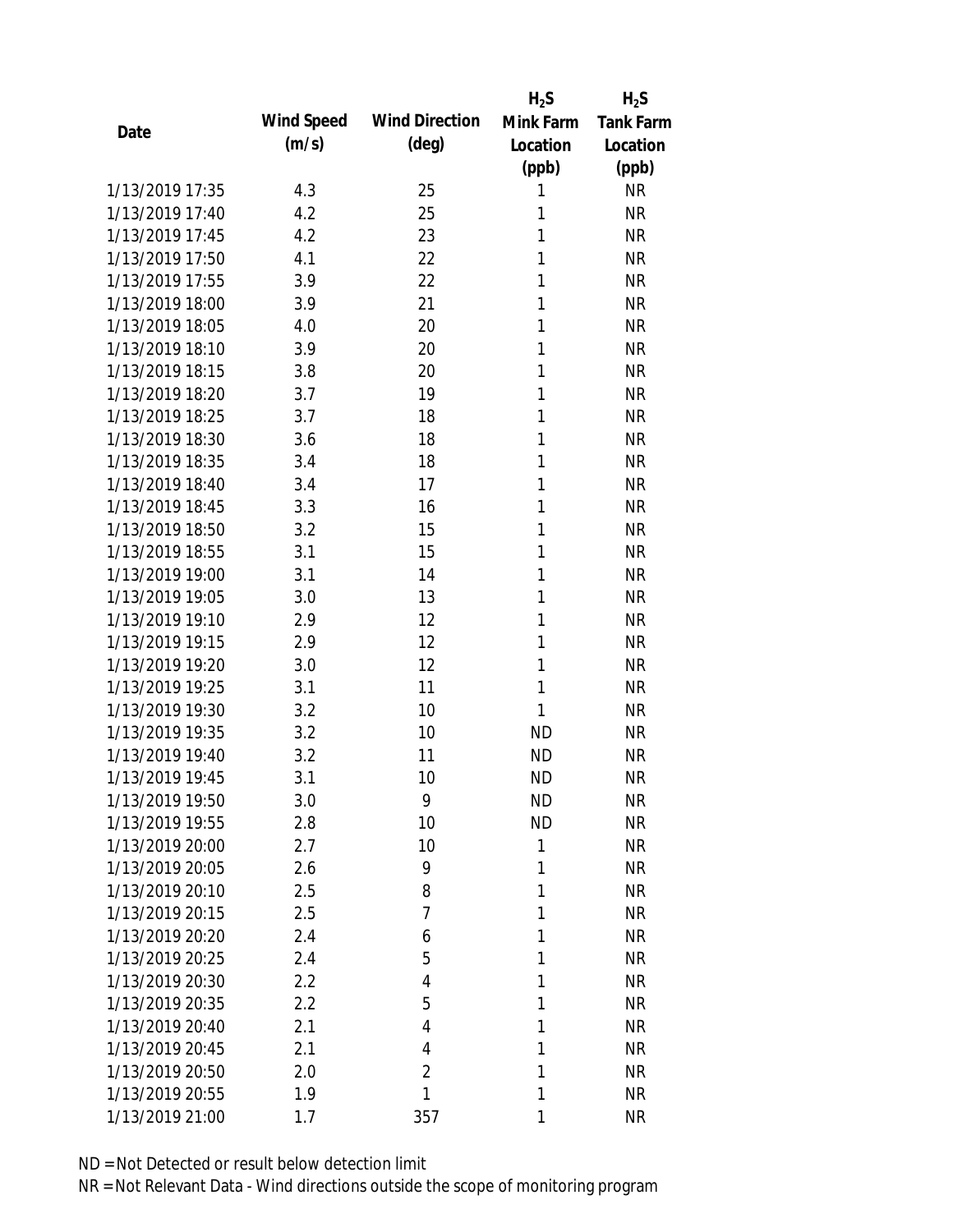|                 |            |                       | $H_2S$       | $H_2S$           |
|-----------------|------------|-----------------------|--------------|------------------|
| Date            | Wind Speed | <b>Wind Direction</b> | Mink Farm    | <b>Tank Farm</b> |
|                 | (m/s)      | $(\text{deg})$        | Location     | Location         |
|                 |            |                       | (ppb)        | (ppb)            |
| 1/13/2019 17:35 | 4.3        | 25                    | 1            | <b>NR</b>        |
| 1/13/2019 17:40 | 4.2        | 25                    | 1            | <b>NR</b>        |
| 1/13/2019 17:45 | 4.2        | 23                    | 1            | <b>NR</b>        |
| 1/13/2019 17:50 | 4.1        | 22                    | 1            | <b>NR</b>        |
| 1/13/2019 17:55 | 3.9        | 22                    | 1            | <b>NR</b>        |
| 1/13/2019 18:00 | 3.9        | 21                    | 1            | <b>NR</b>        |
| 1/13/2019 18:05 | 4.0        | 20                    | 1            | <b>NR</b>        |
| 1/13/2019 18:10 | 3.9        | 20                    | 1            | <b>NR</b>        |
| 1/13/2019 18:15 | 3.8        | 20                    | 1            | <b>NR</b>        |
| 1/13/2019 18:20 | 3.7        | 19                    | 1            | <b>NR</b>        |
| 1/13/2019 18:25 | 3.7        | 18                    | 1            | <b>NR</b>        |
| 1/13/2019 18:30 | 3.6        | 18                    | 1            | <b>NR</b>        |
| 1/13/2019 18:35 | 3.4        | 18                    | 1            | <b>NR</b>        |
| 1/13/2019 18:40 | 3.4        | 17                    | 1            | <b>NR</b>        |
| 1/13/2019 18:45 | 3.3        | 16                    | 1            | <b>NR</b>        |
| 1/13/2019 18:50 | 3.2        | 15                    | 1            | <b>NR</b>        |
| 1/13/2019 18:55 | 3.1        | 15                    | 1            | <b>NR</b>        |
| 1/13/2019 19:00 | 3.1        | 14                    | 1            | <b>NR</b>        |
| 1/13/2019 19:05 | 3.0        | 13                    | 1            | <b>NR</b>        |
| 1/13/2019 19:10 | 2.9        | 12                    | 1            | <b>NR</b>        |
| 1/13/2019 19:15 | 2.9        | 12                    | 1            | <b>NR</b>        |
| 1/13/2019 19:20 | 3.0        | 12                    | 1            | <b>NR</b>        |
| 1/13/2019 19:25 | 3.1        | 11                    | 1            | <b>NR</b>        |
| 1/13/2019 19:30 | 3.2        | 10                    | 1            | <b>NR</b>        |
| 1/13/2019 19:35 | 3.2        | 10                    | <b>ND</b>    | <b>NR</b>        |
| 1/13/2019 19:40 | 3.2        | 11                    | <b>ND</b>    | <b>NR</b>        |
| 1/13/2019 19:45 | 3.1        | 10                    | <b>ND</b>    | <b>NR</b>        |
| 1/13/2019 19:50 | 3.0        | 9                     | <b>ND</b>    | <b>NR</b>        |
| 1/13/2019 19:55 | 2.8        | 10                    | <b>ND</b>    | <b>NR</b>        |
| 1/13/2019 20:00 | 2.7        | 10                    | $\mathbf{1}$ | <b>NR</b>        |
| 1/13/2019 20:05 | 2.6        | 9                     | 1            | <b>NR</b>        |
| 1/13/2019 20:10 | 2.5        | 8                     | 1            | <b>NR</b>        |
| 1/13/2019 20:15 | 2.5        | 7                     | 1            | <b>NR</b>        |
| 1/13/2019 20:20 | 2.4        | 6                     | 1            | <b>NR</b>        |
| 1/13/2019 20:25 | 2.4        | 5                     | 1            | <b>NR</b>        |
| 1/13/2019 20:30 | 2.2        | 4                     | 1            | <b>NR</b>        |
| 1/13/2019 20:35 | 2.2        | 5                     | 1            | <b>NR</b>        |
| 1/13/2019 20:40 | 2.1        | 4                     | 1            | <b>NR</b>        |
| 1/13/2019 20:45 | 2.1        | 4                     | 1            | <b>NR</b>        |
| 1/13/2019 20:50 | 2.0        | $\overline{2}$        | 1            | <b>NR</b>        |
| 1/13/2019 20:55 | 1.9        | 1                     | 1            | <b>NR</b>        |
| 1/13/2019 21:00 | 1.7        | 357                   | 1            | <b>NR</b>        |
|                 |            |                       |              |                  |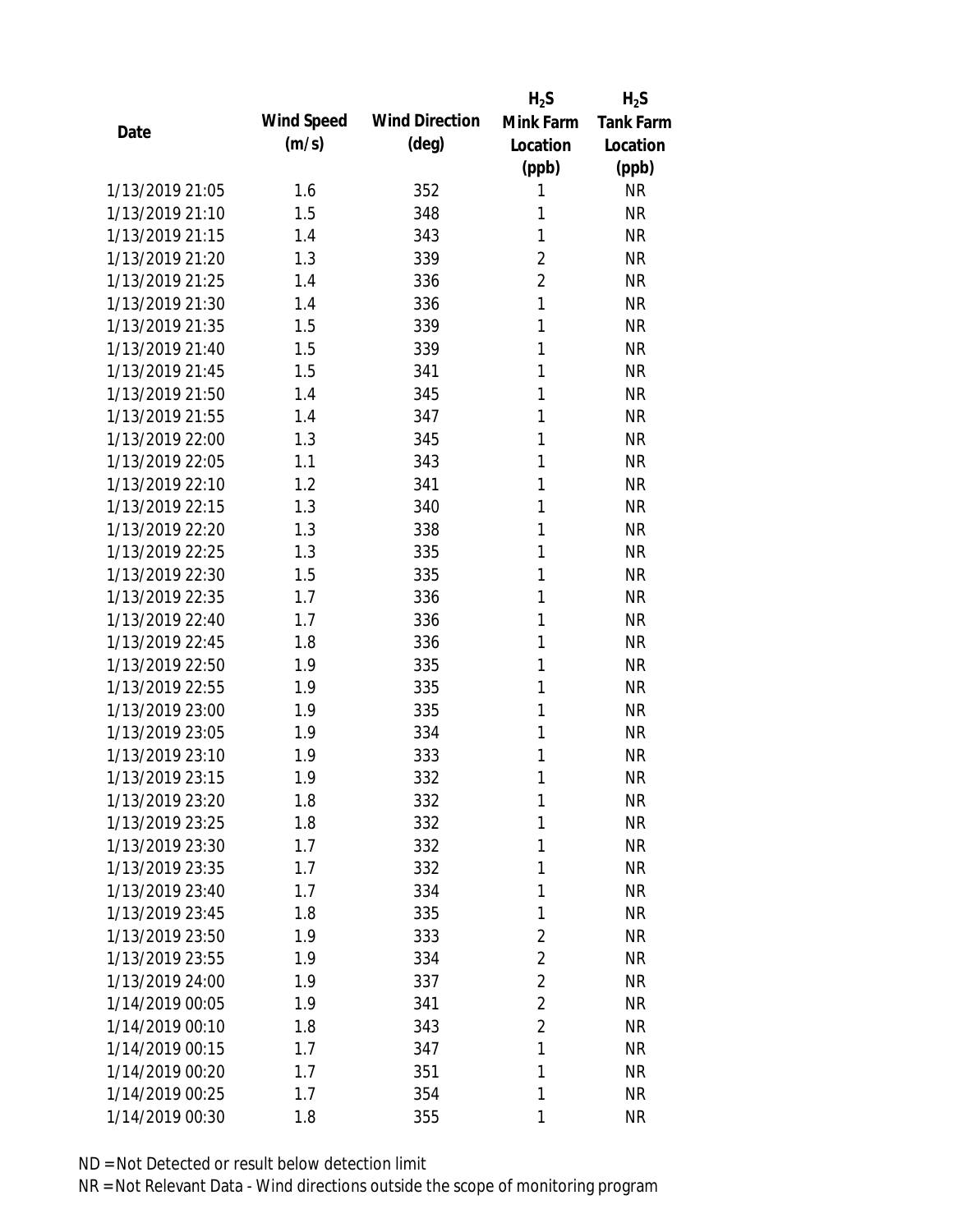|                 |            |                       | $H_2S$         | $H_2S$           |
|-----------------|------------|-----------------------|----------------|------------------|
| Date            | Wind Speed | <b>Wind Direction</b> | Mink Farm      | <b>Tank Farm</b> |
|                 | (m/s)      | $(\text{deg})$        | Location       | Location         |
|                 |            |                       | (ppb)          | (ppb)            |
| 1/13/2019 21:05 | 1.6        | 352                   | 1              | <b>NR</b>        |
| 1/13/2019 21:10 | 1.5        | 348                   | 1              | <b>NR</b>        |
| 1/13/2019 21:15 | 1.4        | 343                   | 1              | <b>NR</b>        |
| 1/13/2019 21:20 | 1.3        | 339                   | 2              | <b>NR</b>        |
| 1/13/2019 21:25 | 1.4        | 336                   | $\overline{2}$ | <b>NR</b>        |
| 1/13/2019 21:30 | 1.4        | 336                   | $\mathbf{1}$   | <b>NR</b>        |
| 1/13/2019 21:35 | 1.5        | 339                   | 1              | <b>NR</b>        |
| 1/13/2019 21:40 | 1.5        | 339                   | 1              | <b>NR</b>        |
| 1/13/2019 21:45 | 1.5        | 341                   | 1              | <b>NR</b>        |
| 1/13/2019 21:50 | 1.4        | 345                   | 1              | <b>NR</b>        |
| 1/13/2019 21:55 | 1.4        | 347                   | 1              | <b>NR</b>        |
| 1/13/2019 22:00 | 1.3        | 345                   | 1              | <b>NR</b>        |
| 1/13/2019 22:05 | 1.1        | 343                   | 1              | <b>NR</b>        |
| 1/13/2019 22:10 | 1.2        | 341                   | 1              | <b>NR</b>        |
| 1/13/2019 22:15 | 1.3        | 340                   | 1              | <b>NR</b>        |
| 1/13/2019 22:20 | 1.3        | 338                   | 1              | <b>NR</b>        |
| 1/13/2019 22:25 | 1.3        | 335                   | 1              | <b>NR</b>        |
| 1/13/2019 22:30 | 1.5        | 335                   | 1              | <b>NR</b>        |
| 1/13/2019 22:35 | 1.7        | 336                   | 1              | <b>NR</b>        |
| 1/13/2019 22:40 | 1.7        | 336                   | 1              | <b>NR</b>        |
| 1/13/2019 22:45 | 1.8        | 336                   | 1              | <b>NR</b>        |
| 1/13/2019 22:50 | 1.9        | 335                   | 1              | <b>NR</b>        |
| 1/13/2019 22:55 | 1.9        | 335                   | 1              | <b>NR</b>        |
| 1/13/2019 23:00 | 1.9        | 335                   | 1              | <b>NR</b>        |
| 1/13/2019 23:05 | 1.9        | 334                   | 1              | <b>NR</b>        |
| 1/13/2019 23:10 | 1.9        | 333                   | 1              | <b>NR</b>        |
| 1/13/2019 23:15 | 1.9        | 332                   | 1              | <b>NR</b>        |
| 1/13/2019 23:20 | 1.8        | 332                   | 1              | <b>NR</b>        |
| 1/13/2019 23:25 | 1.8        | 332                   | 1              | <b>NR</b>        |
| 1/13/2019 23:30 | 1.7        | 332                   | 1              | <b>NR</b>        |
| 1/13/2019 23:35 | 1.7        | 332                   | 1              | <b>NR</b>        |
| 1/13/2019 23:40 | 1.7        | 334                   | 1              | <b>NR</b>        |
| 1/13/2019 23:45 | 1.8        | 335                   | 1              | NR               |
| 1/13/2019 23:50 | 1.9        | 333                   | $\overline{2}$ | <b>NR</b>        |
| 1/13/2019 23:55 | 1.9        | 334                   | $\overline{2}$ | <b>NR</b>        |
| 1/13/2019 24:00 | 1.9        | 337                   | $\overline{2}$ | <b>NR</b>        |
| 1/14/2019 00:05 | 1.9        | 341                   | $\overline{2}$ | <b>NR</b>        |
| 1/14/2019 00:10 | 1.8        | 343                   | $\overline{2}$ | <b>NR</b>        |
| 1/14/2019 00:15 | 1.7        | 347                   | 1              | <b>NR</b>        |
| 1/14/2019 00:20 | 1.7        | 351                   | 1              | <b>NR</b>        |
| 1/14/2019 00:25 | 1.7        | 354                   | 1              | <b>NR</b>        |
| 1/14/2019 00:30 | 1.8        | 355                   | 1              | <b>NR</b>        |
|                 |            |                       |                |                  |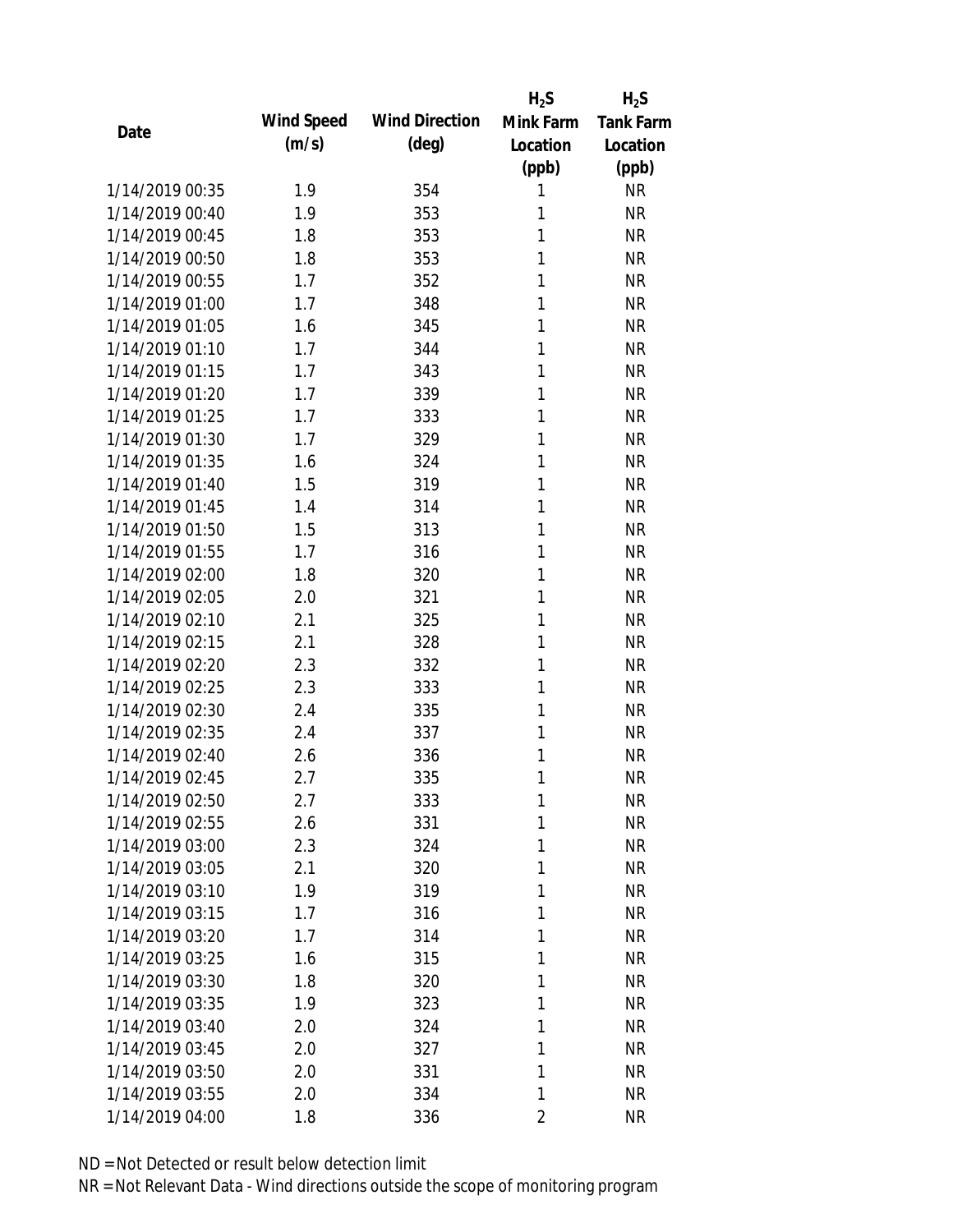|                 |            |                       | $H_2S$         | $H_2S$           |
|-----------------|------------|-----------------------|----------------|------------------|
| Date            | Wind Speed | <b>Wind Direction</b> | Mink Farm      | <b>Tank Farm</b> |
|                 | (m/s)      | $(\text{deg})$        | Location       | Location         |
|                 |            |                       | (ppb)          | (ppb)            |
| 1/14/2019 00:35 | 1.9        | 354                   | 1              | <b>NR</b>        |
| 1/14/2019 00:40 | 1.9        | 353                   | 1              | <b>NR</b>        |
| 1/14/2019 00:45 | 1.8        | 353                   | 1              | <b>NR</b>        |
| 1/14/2019 00:50 | 1.8        | 353                   | 1              | <b>NR</b>        |
| 1/14/2019 00:55 | 1.7        | 352                   | 1              | <b>NR</b>        |
| 1/14/2019 01:00 | 1.7        | 348                   | 1              | <b>NR</b>        |
| 1/14/2019 01:05 | 1.6        | 345                   | 1              | <b>NR</b>        |
| 1/14/2019 01:10 | 1.7        | 344                   | 1              | <b>NR</b>        |
| 1/14/2019 01:15 | 1.7        | 343                   | 1              | <b>NR</b>        |
| 1/14/2019 01:20 | 1.7        | 339                   | 1              | <b>NR</b>        |
| 1/14/2019 01:25 | 1.7        | 333                   | 1              | <b>NR</b>        |
| 1/14/2019 01:30 | 1.7        | 329                   | 1              | <b>NR</b>        |
| 1/14/2019 01:35 | 1.6        | 324                   | 1              | <b>NR</b>        |
| 1/14/2019 01:40 | 1.5        | 319                   | 1              | <b>NR</b>        |
| 1/14/2019 01:45 | 1.4        | 314                   | 1              | <b>NR</b>        |
| 1/14/2019 01:50 | 1.5        | 313                   | 1              | <b>NR</b>        |
| 1/14/2019 01:55 | 1.7        | 316                   | 1              | <b>NR</b>        |
| 1/14/2019 02:00 | 1.8        | 320                   | 1              | <b>NR</b>        |
| 1/14/2019 02:05 | 2.0        | 321                   | 1              | <b>NR</b>        |
| 1/14/2019 02:10 | 2.1        | 325                   | 1              | <b>NR</b>        |
| 1/14/2019 02:15 | 2.1        | 328                   | 1              | <b>NR</b>        |
| 1/14/2019 02:20 | 2.3        | 332                   | 1              | <b>NR</b>        |
| 1/14/2019 02:25 | 2.3        | 333                   | 1              | <b>NR</b>        |
| 1/14/2019 02:30 | 2.4        | 335                   | 1              | <b>NR</b>        |
| 1/14/2019 02:35 | 2.4        | 337                   | 1              | <b>NR</b>        |
| 1/14/2019 02:40 | 2.6        | 336                   | 1              | <b>NR</b>        |
| 1/14/2019 02:45 | 2.7        | 335                   | 1              | <b>NR</b>        |
| 1/14/2019 02:50 | 2.7        | 333                   | 1              | <b>NR</b>        |
| 1/14/2019 02:55 | 2.6        | 331                   | 1              | <b>NR</b>        |
| 1/14/2019 03:00 | 2.3        | 324                   | 1              | <b>NR</b>        |
| 1/14/2019 03:05 | 2.1        | 320                   | 1              | <b>NR</b>        |
| 1/14/2019 03:10 | 1.9        | 319                   | 1              | <b>NR</b>        |
| 1/14/2019 03:15 | 1.7        | 316                   | 1              | <b>NR</b>        |
| 1/14/2019 03:20 | 1.7        | 314                   | 1              | <b>NR</b>        |
| 1/14/2019 03:25 | 1.6        | 315                   | 1              | <b>NR</b>        |
| 1/14/2019 03:30 | 1.8        | 320                   | 1              | <b>NR</b>        |
| 1/14/2019 03:35 | 1.9        | 323                   | 1              | <b>NR</b>        |
| 1/14/2019 03:40 | 2.0        | 324                   | 1              | <b>NR</b>        |
| 1/14/2019 03:45 | 2.0        | 327                   | 1              | <b>NR</b>        |
| 1/14/2019 03:50 | 2.0        | 331                   | 1              | <b>NR</b>        |
| 1/14/2019 03:55 | 2.0        | 334                   | 1              | <b>NR</b>        |
| 1/14/2019 04:00 | 1.8        | 336                   | $\overline{2}$ | <b>NR</b>        |
|                 |            |                       |                |                  |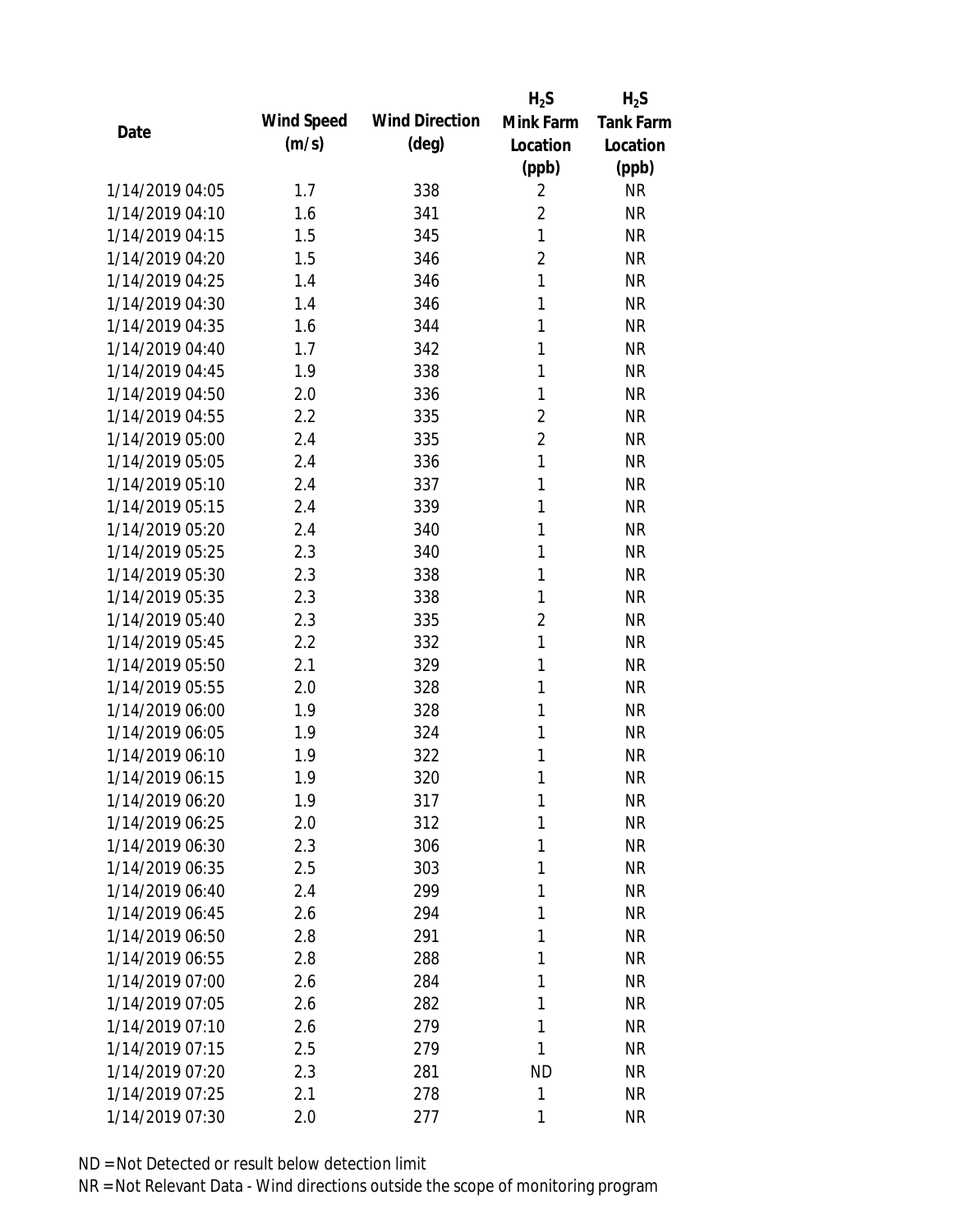|                 |            |                       | $H_2S$         | $H_2S$           |
|-----------------|------------|-----------------------|----------------|------------------|
| Date            | Wind Speed | <b>Wind Direction</b> | Mink Farm      | <b>Tank Farm</b> |
|                 | (m/s)      | $(\text{deg})$        | Location       | Location         |
|                 |            |                       | (ppb)          | (ppb)            |
| 1/14/2019 04:05 | 1.7        | 338                   | $\overline{2}$ | <b>NR</b>        |
| 1/14/2019 04:10 | 1.6        | 341                   | $\overline{2}$ | <b>NR</b>        |
| 1/14/2019 04:15 | 1.5        | 345                   | $\mathbf{1}$   | <b>NR</b>        |
| 1/14/2019 04:20 | 1.5        | 346                   | $\overline{2}$ | <b>NR</b>        |
| 1/14/2019 04:25 | 1.4        | 346                   | $\mathbf{1}$   | <b>NR</b>        |
| 1/14/2019 04:30 | 1.4        | 346                   | 1              | <b>NR</b>        |
| 1/14/2019 04:35 | 1.6        | 344                   | 1              | <b>NR</b>        |
| 1/14/2019 04:40 | 1.7        | 342                   | 1              | <b>NR</b>        |
| 1/14/2019 04:45 | 1.9        | 338                   | 1              | <b>NR</b>        |
| 1/14/2019 04:50 | 2.0        | 336                   | 1              | <b>NR</b>        |
| 1/14/2019 04:55 | 2.2        | 335                   | 2              | <b>NR</b>        |
| 1/14/2019 05:00 | 2.4        | 335                   | $\overline{2}$ | <b>NR</b>        |
| 1/14/2019 05:05 | 2.4        | 336                   | 1              | <b>NR</b>        |
| 1/14/2019 05:10 | 2.4        | 337                   | 1              | <b>NR</b>        |
| 1/14/2019 05:15 | 2.4        | 339                   | 1              | <b>NR</b>        |
| 1/14/2019 05:20 | 2.4        | 340                   | 1              | <b>NR</b>        |
| 1/14/2019 05:25 | 2.3        | 340                   | 1              | <b>NR</b>        |
| 1/14/2019 05:30 | 2.3        | 338                   | 1              | <b>NR</b>        |
| 1/14/2019 05:35 | 2.3        | 338                   | 1              | <b>NR</b>        |
| 1/14/2019 05:40 | 2.3        | 335                   | $\overline{2}$ | <b>NR</b>        |
| 1/14/2019 05:45 | 2.2        | 332                   | $\mathbf{1}$   | <b>NR</b>        |
| 1/14/2019 05:50 | 2.1        | 329                   | 1              | <b>NR</b>        |
| 1/14/2019 05:55 | 2.0        | 328                   | 1              | <b>NR</b>        |
| 1/14/2019 06:00 | 1.9        | 328                   | 1              | <b>NR</b>        |
| 1/14/2019 06:05 | 1.9        | 324                   | 1              | <b>NR</b>        |
| 1/14/2019 06:10 | 1.9        | 322                   | 1              | <b>NR</b>        |
| 1/14/2019 06:15 | 1.9        | 320                   | 1              | <b>NR</b>        |
| 1/14/2019 06:20 | 1.9        | 317                   | 1              | <b>NR</b>        |
| 1/14/2019 06:25 | 2.0        | 312                   | 1              | <b>NR</b>        |
| 1/14/2019 06:30 | 2.3        | 306                   | 1              | <b>NR</b>        |
| 1/14/2019 06:35 | 2.5        | 303                   | 1              | <b>NR</b>        |
| 1/14/2019 06:40 | 2.4        | 299                   | 1              | <b>NR</b>        |
| 1/14/2019 06:45 | 2.6        | 294                   | 1              | <b>NR</b>        |
| 1/14/2019 06:50 | 2.8        | 291                   | 1              | <b>NR</b>        |
| 1/14/2019 06:55 | 2.8        | 288                   | 1              | <b>NR</b>        |
| 1/14/2019 07:00 | 2.6        | 284                   | 1              | <b>NR</b>        |
| 1/14/2019 07:05 | 2.6        | 282                   | 1              | NR               |
| 1/14/2019 07:10 | 2.6        | 279                   | 1              | NR               |
| 1/14/2019 07:15 | 2.5        | 279                   | 1              | NR               |
| 1/14/2019 07:20 | 2.3        | 281                   | <b>ND</b>      | NR               |
| 1/14/2019 07:25 | 2.1        | 278                   | 1              | <b>NR</b>        |
| 1/14/2019 07:30 | 2.0        | 277                   | 1              | <b>NR</b>        |
|                 |            |                       |                |                  |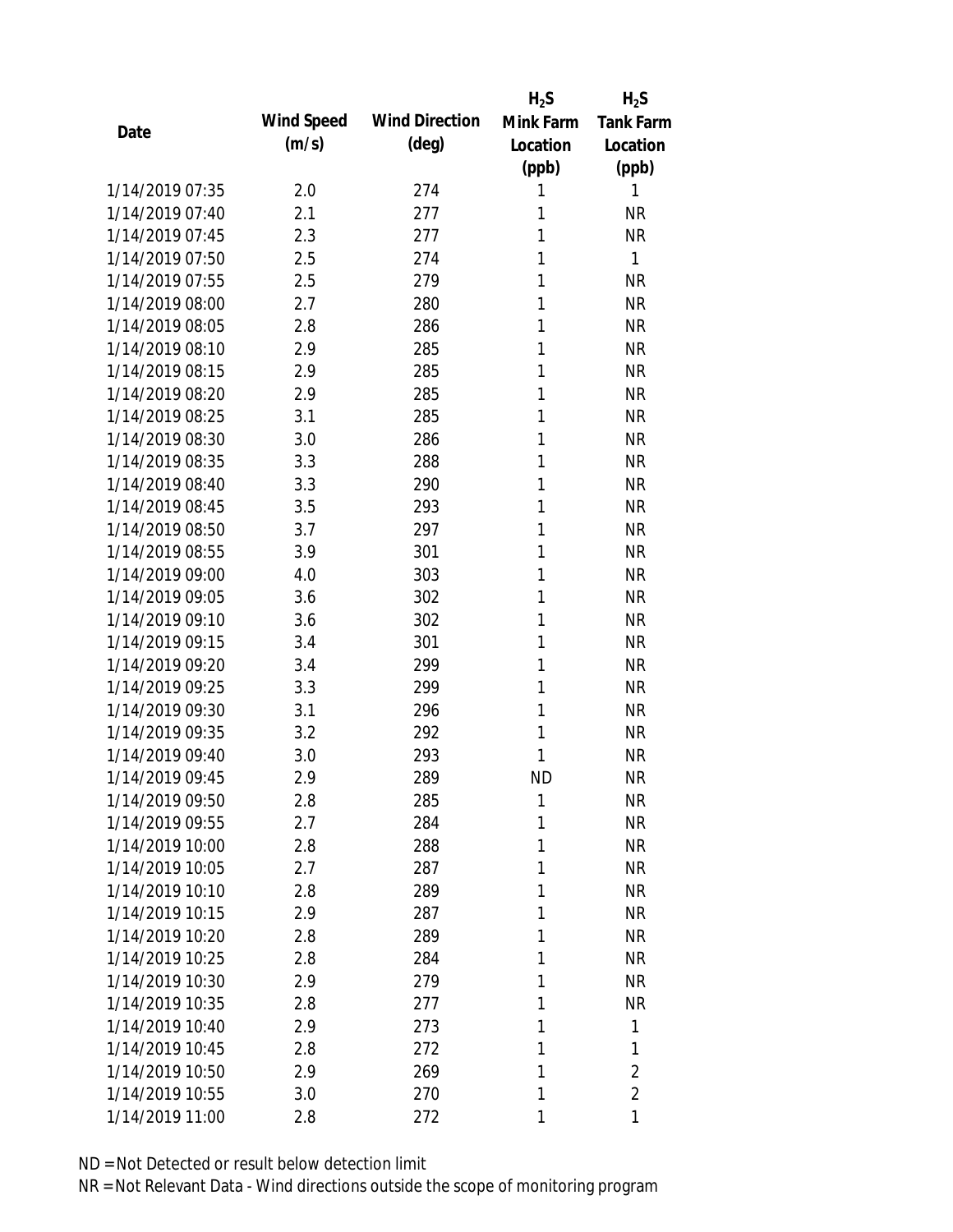|                 |            |                       | $H_2S$    | $H_2S$           |
|-----------------|------------|-----------------------|-----------|------------------|
| Date            | Wind Speed | <b>Wind Direction</b> | Mink Farm | <b>Tank Farm</b> |
|                 | (m/s)      | $(\text{deg})$        | Location  | Location         |
|                 |            |                       | (ppb)     | (ppb)            |
| 1/14/2019 07:35 | 2.0        | 274                   | 1         | 1                |
| 1/14/2019 07:40 | 2.1        | 277                   | 1         | <b>NR</b>        |
| 1/14/2019 07:45 | 2.3        | 277                   | 1         | <b>NR</b>        |
| 1/14/2019 07:50 | 2.5        | 274                   | 1         | 1                |
| 1/14/2019 07:55 | 2.5        | 279                   | 1         | <b>NR</b>        |
| 1/14/2019 08:00 | 2.7        | 280                   | 1         | <b>NR</b>        |
| 1/14/2019 08:05 | 2.8        | 286                   | 1         | <b>NR</b>        |
| 1/14/2019 08:10 | 2.9        | 285                   | 1         | <b>NR</b>        |
| 1/14/2019 08:15 | 2.9        | 285                   | 1         | <b>NR</b>        |
| 1/14/2019 08:20 | 2.9        | 285                   | 1         | <b>NR</b>        |
| 1/14/2019 08:25 | 3.1        | 285                   | 1         | <b>NR</b>        |
| 1/14/2019 08:30 | 3.0        | 286                   | 1         | <b>NR</b>        |
| 1/14/2019 08:35 | 3.3        | 288                   | 1         | <b>NR</b>        |
| 1/14/2019 08:40 | 3.3        | 290                   | 1         | <b>NR</b>        |
| 1/14/2019 08:45 | 3.5        | 293                   | 1         | <b>NR</b>        |
| 1/14/2019 08:50 | 3.7        | 297                   | 1         | <b>NR</b>        |
| 1/14/2019 08:55 | 3.9        | 301                   | 1         | <b>NR</b>        |
| 1/14/2019 09:00 | 4.0        | 303                   | 1         | <b>NR</b>        |
| 1/14/2019 09:05 | 3.6        | 302                   | 1         | <b>NR</b>        |
| 1/14/2019 09:10 | 3.6        | 302                   | 1         | <b>NR</b>        |
| 1/14/2019 09:15 | 3.4        | 301                   | 1         | <b>NR</b>        |
| 1/14/2019 09:20 | 3.4        | 299                   | 1         | <b>NR</b>        |
| 1/14/2019 09:25 | 3.3        | 299                   | 1         | <b>NR</b>        |
| 1/14/2019 09:30 | 3.1        | 296                   | 1         | <b>NR</b>        |
| 1/14/2019 09:35 | 3.2        | 292                   | 1         | <b>NR</b>        |
| 1/14/2019 09:40 | 3.0        | 293                   | 1         | <b>NR</b>        |
| 1/14/2019 09:45 | 2.9        | 289                   | <b>ND</b> | <b>NR</b>        |
| 1/14/2019 09:50 | 2.8        | 285                   | 1         | <b>NR</b>        |
| 1/14/2019 09:55 | 2.7        | 284                   | 1         | <b>NR</b>        |
| 1/14/2019 10:00 | 2.8        | 288                   | 1         | <b>NR</b>        |
| 1/14/2019 10:05 | 2.7        | 287                   | 1         | <b>NR</b>        |
| 1/14/2019 10:10 | 2.8        | 289                   | 1         | NR               |
| 1/14/2019 10:15 | 2.9        | 287                   | 1         | <b>NR</b>        |
| 1/14/2019 10:20 | 2.8        | 289                   | 1         | <b>NR</b>        |
| 1/14/2019 10:25 | 2.8        | 284                   | 1         | <b>NR</b>        |
| 1/14/2019 10:30 | 2.9        | 279                   | 1         | <b>NR</b>        |
| 1/14/2019 10:35 | 2.8        | 277                   | 1         | <b>NR</b>        |
| 1/14/2019 10:40 | 2.9        | 273                   | 1         | 1                |
| 1/14/2019 10:45 | 2.8        | 272                   | 1         | 1                |
| 1/14/2019 10:50 | 2.9        | 269                   | 1         | 2                |
| 1/14/2019 10:55 | 3.0        | 270                   | 1         | $\overline{2}$   |
| 1/14/2019 11:00 | 2.8        | 272                   | 1         | 1                |
|                 |            |                       |           |                  |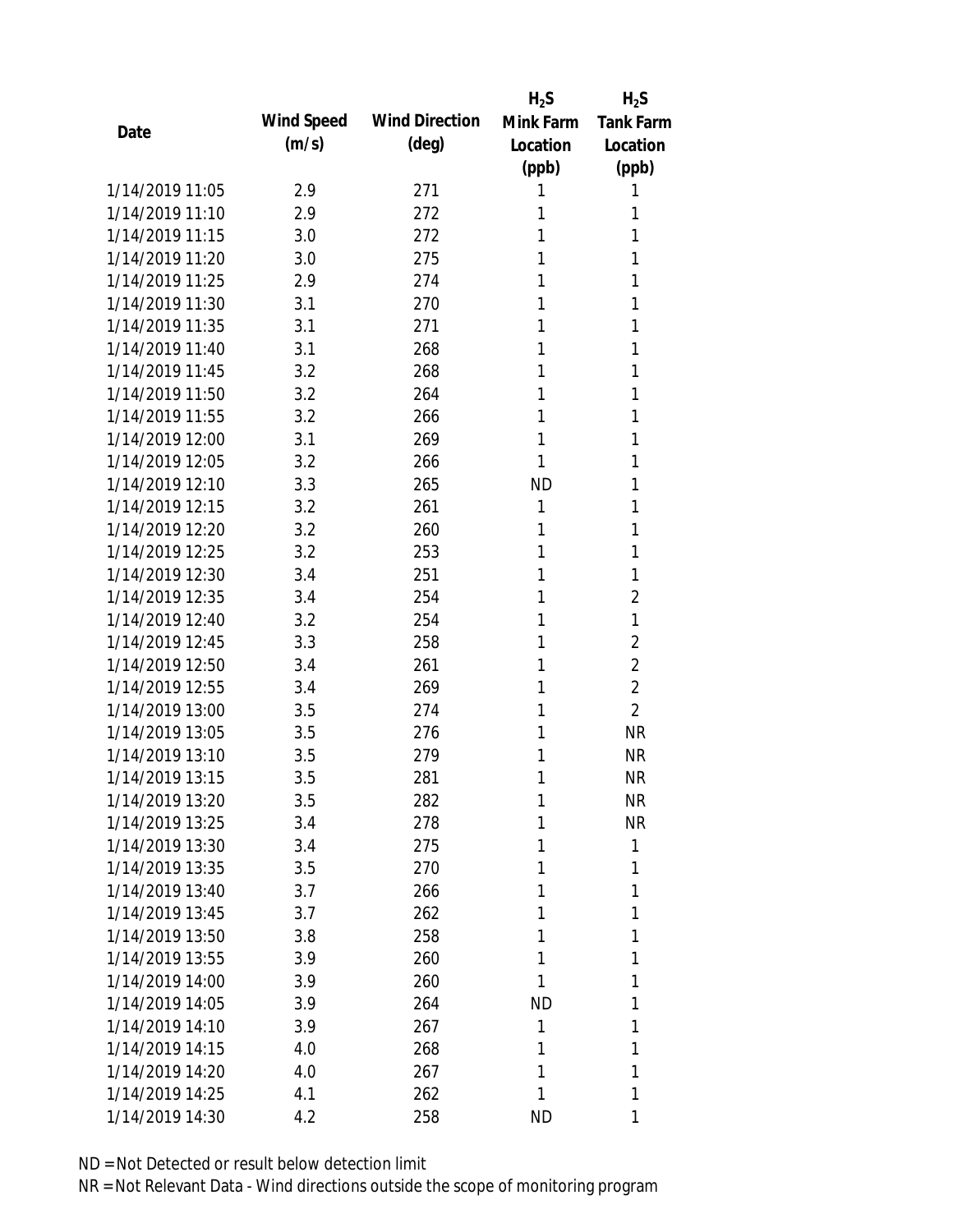|                 |            |                       | $H_2S$    | $H_2S$           |
|-----------------|------------|-----------------------|-----------|------------------|
| Date            | Wind Speed | <b>Wind Direction</b> | Mink Farm | <b>Tank Farm</b> |
|                 | (m/s)      | $(\text{deg})$        | Location  | Location         |
|                 |            |                       | (ppb)     | (ppb)            |
| 1/14/2019 11:05 | 2.9        | 271                   | 1         | 1                |
| 1/14/2019 11:10 | 2.9        | 272                   | 1         | 1                |
| 1/14/2019 11:15 | 3.0        | 272                   | 1         | 1                |
| 1/14/2019 11:20 | 3.0        | 275                   | 1         | 1                |
| 1/14/2019 11:25 | 2.9        | 274                   | 1         | 1                |
| 1/14/2019 11:30 | 3.1        | 270                   | 1         | 1                |
| 1/14/2019 11:35 | 3.1        | 271                   | 1         | 1                |
| 1/14/2019 11:40 | 3.1        | 268                   | 1         | 1                |
| 1/14/2019 11:45 | 3.2        | 268                   | 1         | 1                |
| 1/14/2019 11:50 | 3.2        | 264                   | 1         | 1                |
| 1/14/2019 11:55 | 3.2        | 266                   | 1         | 1                |
| 1/14/2019 12:00 | 3.1        | 269                   | 1         | 1                |
| 1/14/2019 12:05 | 3.2        | 266                   | 1         | 1                |
| 1/14/2019 12:10 | 3.3        | 265                   | <b>ND</b> | 1                |
| 1/14/2019 12:15 | 3.2        | 261                   | 1         | 1                |
| 1/14/2019 12:20 | 3.2        | 260                   | 1         | 1                |
| 1/14/2019 12:25 | 3.2        | 253                   | 1         | 1                |
| 1/14/2019 12:30 | 3.4        | 251                   | 1         | 1                |
| 1/14/2019 12:35 | 3.4        | 254                   | 1         | $\overline{2}$   |
| 1/14/2019 12:40 | 3.2        | 254                   | 1         | 1                |
| 1/14/2019 12:45 | 3.3        | 258                   | 1         | $\overline{2}$   |
| 1/14/2019 12:50 | 3.4        | 261                   | 1         | $\overline{2}$   |
| 1/14/2019 12:55 | 3.4        | 269                   | 1         | 2                |
| 1/14/2019 13:00 | 3.5        | 274                   | 1         | $\overline{2}$   |
| 1/14/2019 13:05 | 3.5        | 276                   | 1         | <b>NR</b>        |
| 1/14/2019 13:10 | 3.5        | 279                   | 1         | <b>NR</b>        |
| 1/14/2019 13:15 | 3.5        | 281                   | 1         | <b>NR</b>        |
| 1/14/2019 13:20 | 3.5        | 282                   | 1         | <b>NR</b>        |
| 1/14/2019 13:25 | 3.4        | 278                   | 1         | <b>NR</b>        |
| 1/14/2019 13:30 | 3.4        | 275                   | 1         | 1                |
| 1/14/2019 13:35 | 3.5        | 270                   | 1         | 1                |
| 1/14/2019 13:40 | 3.7        | 266                   | 1         | 1                |
| 1/14/2019 13:45 | 3.7        | 262                   | 1         | 1                |
| 1/14/2019 13:50 | 3.8        | 258                   | 1         | 1                |
| 1/14/2019 13:55 | 3.9        | 260                   | 1         | 1                |
| 1/14/2019 14:00 | 3.9        | 260                   | 1         | 1                |
| 1/14/2019 14:05 | 3.9        | 264                   | ND        | 1                |
| 1/14/2019 14:10 | 3.9        | 267                   | 1         | 1                |
| 1/14/2019 14:15 | 4.0        | 268                   | 1         | 1                |
| 1/14/2019 14:20 |            |                       | 1         | 1                |
|                 | 4.0        | 267                   |           | 1                |
| 1/14/2019 14:25 | 4.1        | 262                   | 1         |                  |
| 1/14/2019 14:30 | 4.2        | 258                   | <b>ND</b> | 1                |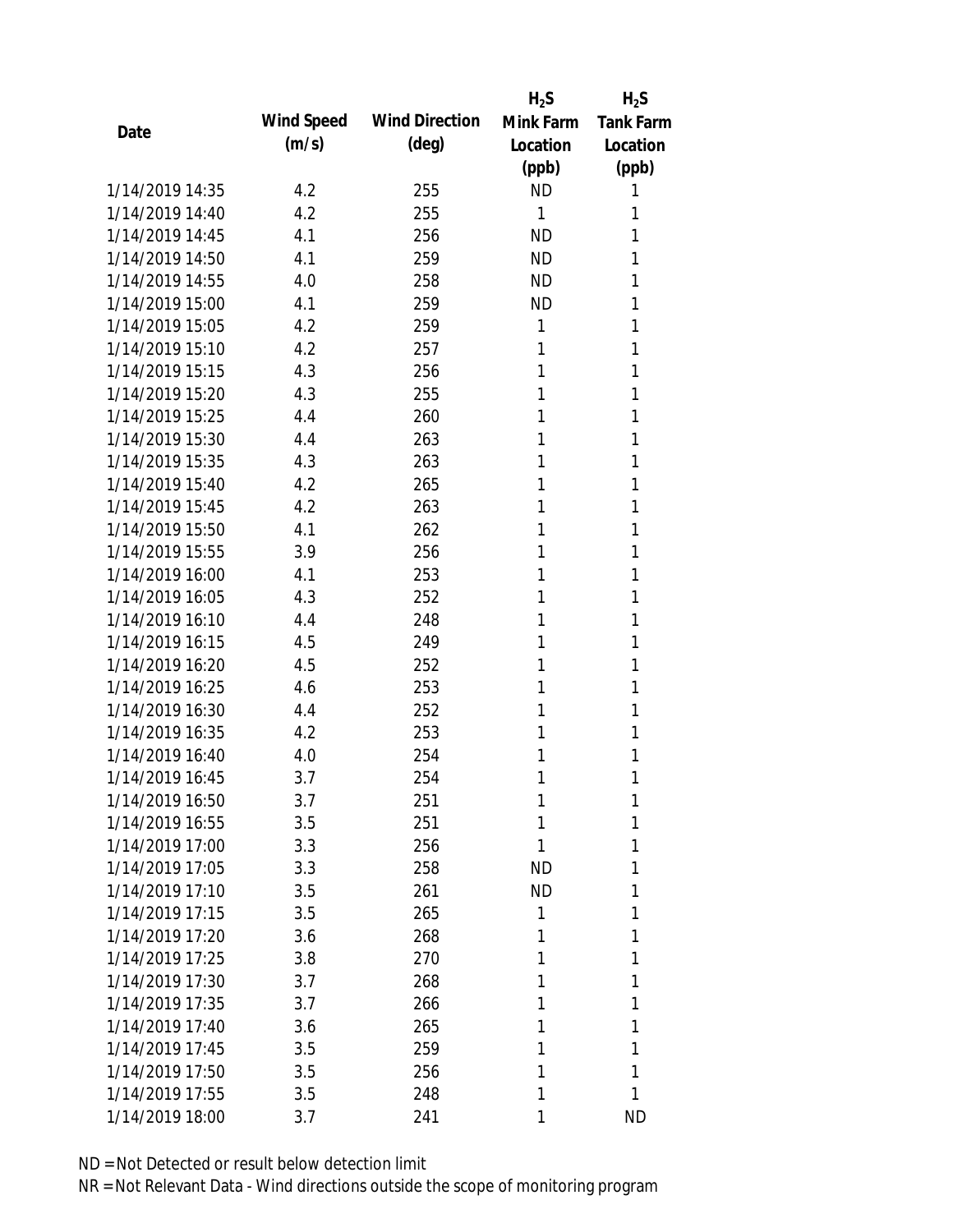|                 |            |                       | $H_2S$       | $H_2S$           |
|-----------------|------------|-----------------------|--------------|------------------|
| Date            | Wind Speed | <b>Wind Direction</b> | Mink Farm    | <b>Tank Farm</b> |
|                 | (m/s)      | $(\text{deg})$        | Location     | Location         |
|                 |            |                       | (ppb)        | (ppb)            |
| 1/14/2019 14:35 | 4.2        | 255                   | <b>ND</b>    | 1                |
| 1/14/2019 14:40 | 4.2        | 255                   | $\mathbf{1}$ | 1                |
| 1/14/2019 14:45 | 4.1        | 256                   | <b>ND</b>    | 1                |
| 1/14/2019 14:50 | 4.1        | 259                   | <b>ND</b>    | 1                |
| 1/14/2019 14:55 | 4.0        | 258                   | <b>ND</b>    | 1                |
| 1/14/2019 15:00 | 4.1        | 259                   | <b>ND</b>    | 1                |
| 1/14/2019 15:05 | 4.2        | 259                   | 1            | 1                |
| 1/14/2019 15:10 | 4.2        | 257                   | 1            | 1                |
| 1/14/2019 15:15 | 4.3        | 256                   | 1            | 1                |
| 1/14/2019 15:20 | 4.3        | 255                   | 1            | 1                |
| 1/14/2019 15:25 | 4.4        | 260                   | 1            | 1                |
| 1/14/2019 15:30 | 4.4        | 263                   | 1            | 1                |
| 1/14/2019 15:35 | 4.3        | 263                   | 1            | 1                |
| 1/14/2019 15:40 | 4.2        | 265                   | 1            | 1                |
| 1/14/2019 15:45 | 4.2        | 263                   | 1            | 1                |
| 1/14/2019 15:50 | 4.1        | 262                   | 1            | 1                |
| 1/14/2019 15:55 | 3.9        | 256                   | 1            | 1                |
| 1/14/2019 16:00 | 4.1        | 253                   | 1            | 1                |
| 1/14/2019 16:05 | 4.3        | 252                   | 1            | 1                |
| 1/14/2019 16:10 | 4.4        | 248                   | 1            | 1                |
| 1/14/2019 16:15 | 4.5        | 249                   | 1            | 1                |
| 1/14/2019 16:20 | 4.5        | 252                   | 1            | 1                |
| 1/14/2019 16:25 | 4.6        | 253                   | 1            | 1                |
| 1/14/2019 16:30 | 4.4        | 252                   | 1            | 1                |
| 1/14/2019 16:35 | 4.2        | 253                   | 1            | 1                |
| 1/14/2019 16:40 | 4.0        | 254                   | 1            | 1                |
| 1/14/2019 16:45 | 3.7        | 254                   | 1            | 1                |
| 1/14/2019 16:50 | 3.7        | 251                   | 1            | 1                |
| 1/14/2019 16:55 | 3.5        | 251                   | 1            | 1                |
| 1/14/2019 17:00 | 3.3        | 256                   | 1            | 1                |
| 1/14/2019 17:05 | 3.3        | 258                   | <b>ND</b>    | 1                |
| 1/14/2019 17:10 | 3.5        | 261                   | <b>ND</b>    | 1                |
| 1/14/2019 17:15 | 3.5        | 265                   | 1            | 1                |
| 1/14/2019 17:20 | 3.6        | 268                   | 1            | 1                |
| 1/14/2019 17:25 | 3.8        | 270                   | 1            | 1                |
| 1/14/2019 17:30 | 3.7        | 268                   | 1            | 1                |
| 1/14/2019 17:35 | 3.7        | 266                   | 1            | 1                |
| 1/14/2019 17:40 | 3.6        | 265                   | 1            | 1                |
| 1/14/2019 17:45 | 3.5        | 259                   | 1            | 1                |
| 1/14/2019 17:50 | 3.5        | 256                   | 1            | 1                |
| 1/14/2019 17:55 | 3.5        | 248                   | 1            | 1                |
| 1/14/2019 18:00 | 3.7        | 241                   | 1            | <b>ND</b>        |
|                 |            |                       |              |                  |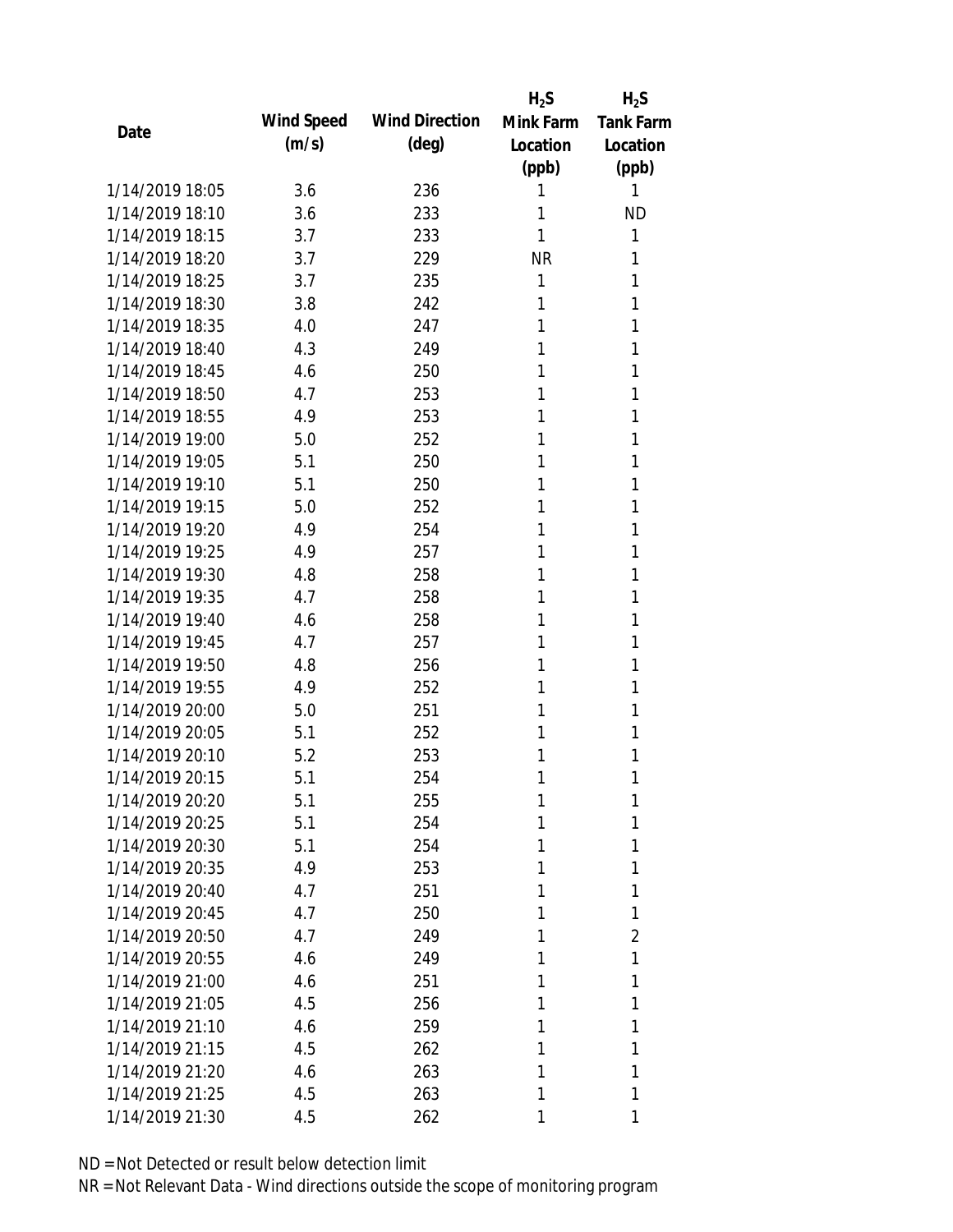|                 |            |                       | $H_2S$    | $H_2S$           |
|-----------------|------------|-----------------------|-----------|------------------|
|                 | Wind Speed | <b>Wind Direction</b> | Mink Farm | <b>Tank Farm</b> |
| Date            | (m/s)      | $(\text{deg})$        | Location  | Location         |
|                 |            |                       | (ppb)     | (ppb)            |
| 1/14/2019 18:05 | 3.6        | 236                   | 1         | 1                |
| 1/14/2019 18:10 | 3.6        | 233                   | 1         | <b>ND</b>        |
| 1/14/2019 18:15 | 3.7        | 233                   | 1         | 1                |
| 1/14/2019 18:20 | 3.7        | 229                   | <b>NR</b> | 1                |
| 1/14/2019 18:25 | 3.7        | 235                   | 1         | 1                |
| 1/14/2019 18:30 | 3.8        | 242                   | 1         | 1                |
| 1/14/2019 18:35 | 4.0        | 247                   | 1         | 1                |
| 1/14/2019 18:40 | 4.3        | 249                   | 1         | 1                |
| 1/14/2019 18:45 | 4.6        | 250                   | 1         | 1                |
| 1/14/2019 18:50 | 4.7        | 253                   | 1         | 1                |
| 1/14/2019 18:55 | 4.9        | 253                   | 1         | 1                |
| 1/14/2019 19:00 | 5.0        | 252                   | 1         | 1                |
| 1/14/2019 19:05 | 5.1        | 250                   | 1         | 1                |
| 1/14/2019 19:10 | 5.1        | 250                   | 1         | 1                |
| 1/14/2019 19:15 | 5.0        | 252                   | 1         | 1                |
| 1/14/2019 19:20 | 4.9        | 254                   | 1         | 1                |
| 1/14/2019 19:25 | 4.9        | 257                   | 1         | 1                |
| 1/14/2019 19:30 | 4.8        | 258                   | 1         | 1                |
| 1/14/2019 19:35 | 4.7        | 258                   | 1         | 1                |
| 1/14/2019 19:40 | 4.6        | 258                   | 1         | 1                |
| 1/14/2019 19:45 | 4.7        | 257                   | 1         | 1                |
| 1/14/2019 19:50 | 4.8        | 256                   | 1         | 1                |
| 1/14/2019 19:55 | 4.9        | 252                   | 1         | 1                |
| 1/14/2019 20:00 | 5.0        | 251                   | 1         | 1                |
| 1/14/2019 20:05 | 5.1        | 252                   | 1         | 1                |
| 1/14/2019 20:10 | 5.2        | 253                   | 1         | 1                |
| 1/14/2019 20:15 | 5.1        | 254                   | 1         | 1                |
| 1/14/2019 20:20 | 5.1        | 255                   | 1         | 1                |
| 1/14/2019 20:25 | 5.1        | 254                   | 1         | 1                |
| 1/14/2019 20:30 | 5.1        | 254                   | 1         | 1                |
| 1/14/2019 20:35 | 4.9        | 253                   | 1         | 1                |
| 1/14/2019 20:40 | 4.7        | 251                   | 1         | 1                |
| 1/14/2019 20:45 | 4.7        | 250                   | 1         | 1                |
| 1/14/2019 20:50 | 4.7        | 249                   | 1         | 2                |
| 1/14/2019 20:55 | 4.6        | 249                   | 1         | 1                |
| 1/14/2019 21:00 | 4.6        | 251                   | 1         | 1                |
| 1/14/2019 21:05 | 4.5        | 256                   | 1         | 1                |
| 1/14/2019 21:10 | 4.6        | 259                   | 1         | 1                |
| 1/14/2019 21:15 | 4.5        | 262                   | 1         | 1                |
| 1/14/2019 21:20 | 4.6        | 263                   | 1         | 1                |
| 1/14/2019 21:25 | 4.5        | 263                   | 1         | 1                |
| 1/14/2019 21:30 | 4.5        | 262                   | 1         | 1                |
|                 |            |                       |           |                  |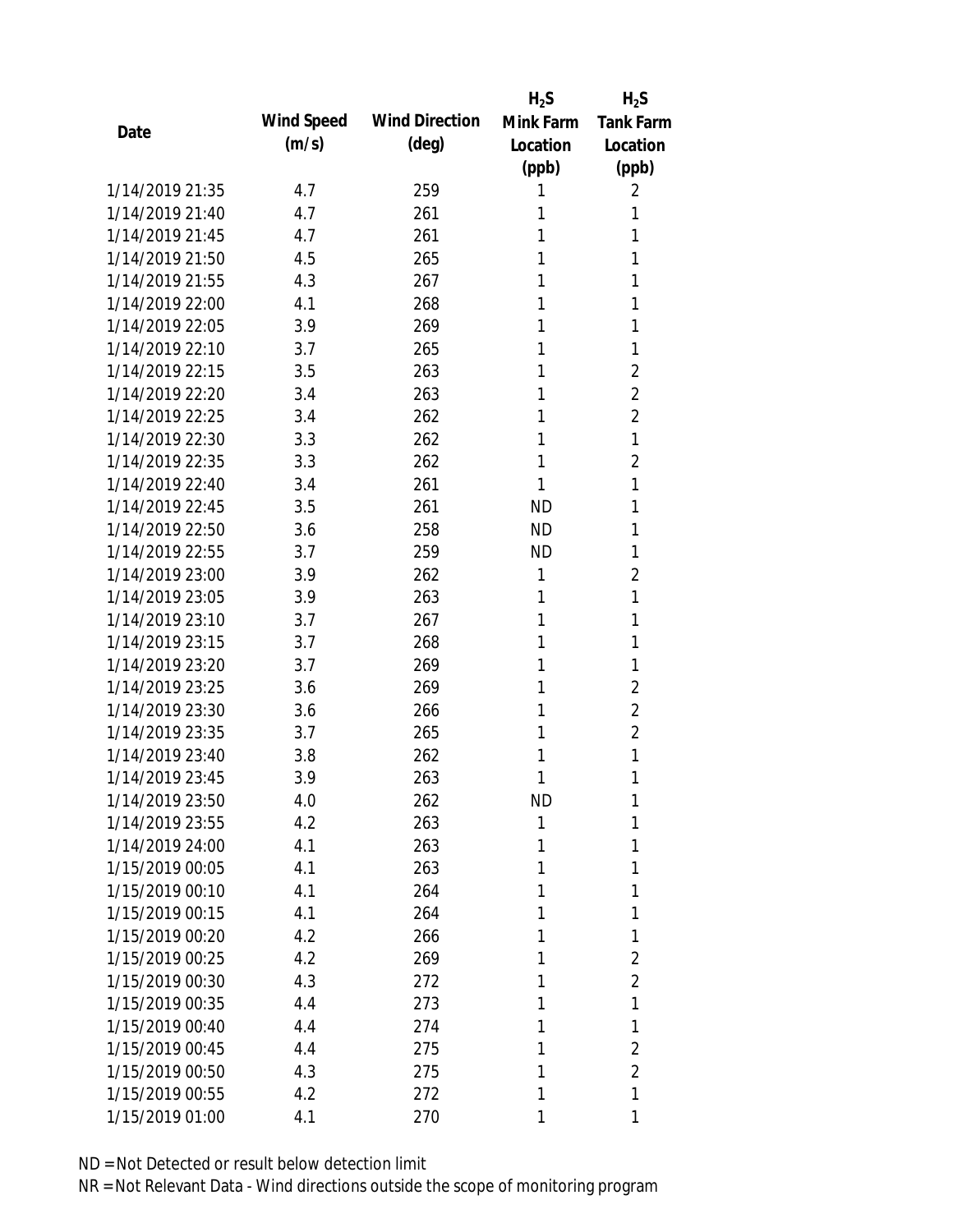|      |                 |            |                       | $H_2S$    | $H_2S$           |
|------|-----------------|------------|-----------------------|-----------|------------------|
|      |                 | Wind Speed | <b>Wind Direction</b> | Mink Farm | <b>Tank Farm</b> |
| Date |                 | (m/s)      | $(\text{deg})$        | Location  | Location         |
|      |                 |            |                       | (ppb)     | (ppb)            |
|      | 1/14/2019 21:35 | 4.7        | 259                   | 1         | 2                |
|      | 1/14/2019 21:40 | 4.7        | 261                   | 1         | 1                |
|      | 1/14/2019 21:45 | 4.7        | 261                   | 1         | 1                |
|      | 1/14/2019 21:50 | 4.5        | 265                   | 1         | 1                |
|      | 1/14/2019 21:55 | 4.3        | 267                   | 1         | 1                |
|      | 1/14/2019 22:00 | 4.1        | 268                   | 1         | 1                |
|      | 1/14/2019 22:05 | 3.9        | 269                   | 1         | 1                |
|      | 1/14/2019 22:10 | 3.7        | 265                   | 1         | 1                |
|      | 1/14/2019 22:15 | 3.5        | 263                   | 1         | $\overline{2}$   |
|      | 1/14/2019 22:20 | 3.4        | 263                   | 1         | $\overline{2}$   |
|      | 1/14/2019 22:25 | 3.4        | 262                   | 1         | $\overline{2}$   |
|      | 1/14/2019 22:30 | 3.3        | 262                   | 1         | 1                |
|      | 1/14/2019 22:35 | 3.3        | 262                   | 1         | $\overline{2}$   |
|      | 1/14/2019 22:40 | 3.4        | 261                   | 1         | 1                |
|      | 1/14/2019 22:45 | 3.5        | 261                   | <b>ND</b> | 1                |
|      | 1/14/2019 22:50 | 3.6        | 258                   | <b>ND</b> | 1                |
|      | 1/14/2019 22:55 | 3.7        | 259                   | <b>ND</b> | 1                |
|      | 1/14/2019 23:00 | 3.9        | 262                   | 1         | $\overline{2}$   |
|      | 1/14/2019 23:05 | 3.9        | 263                   | 1         | 1                |
|      | 1/14/2019 23:10 | 3.7        | 267                   | 1         | 1                |
|      | 1/14/2019 23:15 | 3.7        | 268                   | 1         | 1                |
|      | 1/14/2019 23:20 | 3.7        | 269                   | 1         | 1                |
|      | 1/14/2019 23:25 | 3.6        | 269                   | 1         | 2                |
|      | 1/14/2019 23:30 | 3.6        | 266                   | 1         | $\overline{2}$   |
|      | 1/14/2019 23:35 | 3.7        | 265                   | 1         | $\overline{2}$   |
|      | 1/14/2019 23:40 | 3.8        | 262                   | 1         | 1                |
|      | 1/14/2019 23:45 | 3.9        | 263                   | 1         | 1                |
|      | 1/14/2019 23:50 | 4.0        | 262                   | ND        | 1                |
|      | 1/14/2019 23:55 | 4.2        | 263                   | 1         | 1                |
|      | 1/14/2019 24:00 | 4.1        | 263                   | 1         | 1                |
|      | 1/15/2019 00:05 | 4.1        | 263                   | 1         | 1                |
|      | 1/15/2019 00:10 | 4.1        | 264                   | 1         | 1                |
|      | 1/15/2019 00:15 | 4.1        | 264                   | 1         | 1                |
|      | 1/15/2019 00:20 | 4.2        | 266                   | 1         | 1                |
|      | 1/15/2019 00:25 | 4.2        | 269                   | 1         | 2                |
|      | 1/15/2019 00:30 | 4.3        | 272                   | 1         | $\overline{2}$   |
|      | 1/15/2019 00:35 | 4.4        | 273                   | 1         | 1                |
|      | 1/15/2019 00:40 | 4.4        | 274                   | 1         | 1                |
|      | 1/15/2019 00:45 | 4.4        | 275                   | 1         | 2                |
|      | 1/15/2019 00:50 | 4.3        | 275                   | 1         | $\overline{2}$   |
|      | 1/15/2019 00:55 | 4.2        | 272                   | 1         | 1                |
|      | 1/15/2019 01:00 | 4.1        | 270                   | 1         | 1                |
|      |                 |            |                       |           |                  |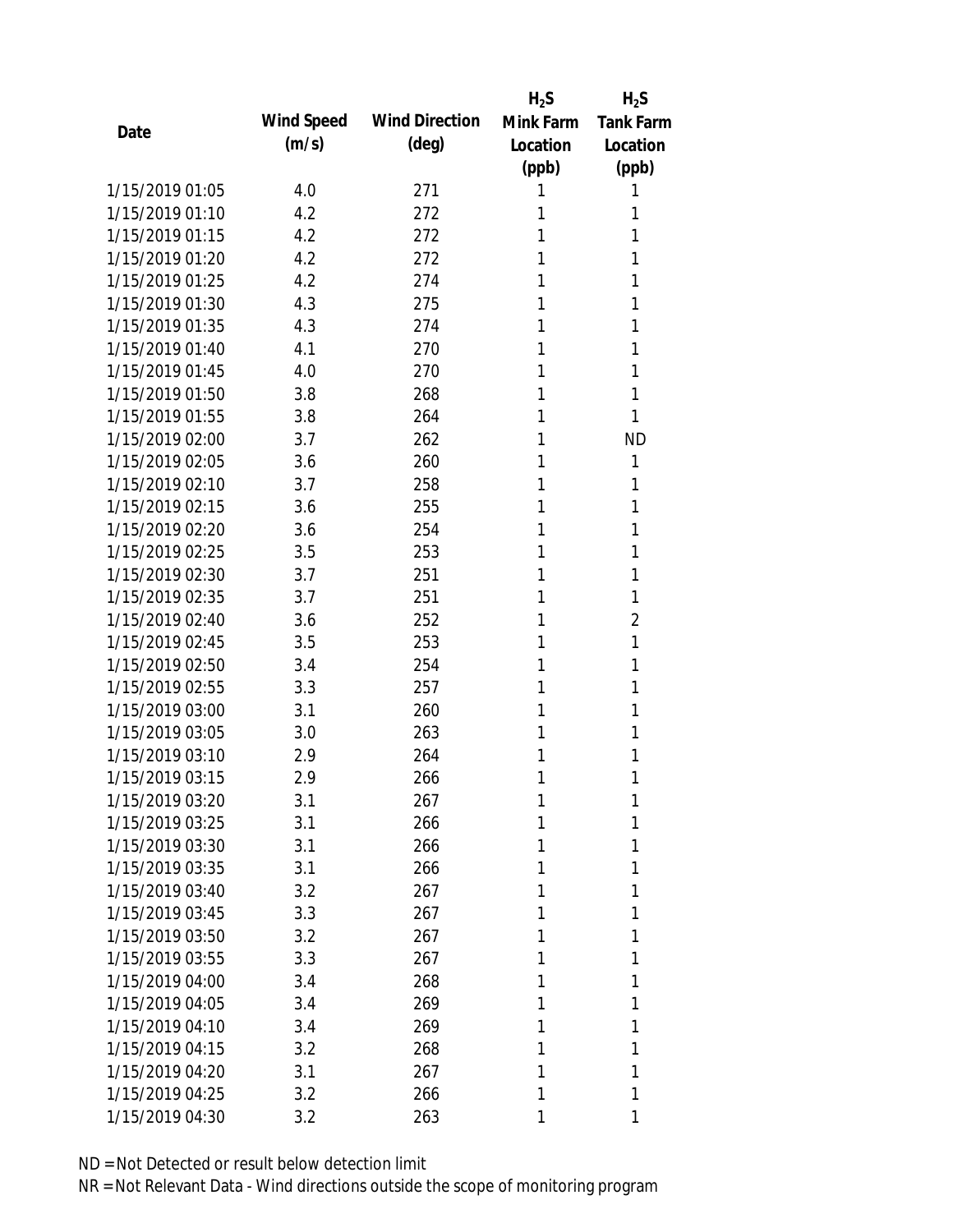|                 |            |                       | $H_2S$    | $H_2S$           |
|-----------------|------------|-----------------------|-----------|------------------|
| Date            | Wind Speed | <b>Wind Direction</b> | Mink Farm | <b>Tank Farm</b> |
|                 | (m/s)      | $(\text{deg})$        | Location  | Location         |
|                 |            |                       | (ppb)     | (ppb)            |
| 1/15/2019 01:05 | 4.0        | 271                   | 1         | 1                |
| 1/15/2019 01:10 | 4.2        | 272                   | 1         | 1                |
| 1/15/2019 01:15 | 4.2        | 272                   | 1         | 1                |
| 1/15/2019 01:20 | 4.2        | 272                   | 1         | 1                |
| 1/15/2019 01:25 | 4.2        | 274                   | 1         | 1                |
| 1/15/2019 01:30 | 4.3        | 275                   | 1         | 1                |
| 1/15/2019 01:35 | 4.3        | 274                   | 1         | 1                |
| 1/15/2019 01:40 | 4.1        | 270                   | 1         | 1                |
| 1/15/2019 01:45 | 4.0        | 270                   | 1         | 1                |
| 1/15/2019 01:50 | 3.8        | 268                   | 1         | 1                |
| 1/15/2019 01:55 | 3.8        | 264                   | 1         | 1                |
| 1/15/2019 02:00 | 3.7        | 262                   | 1         | <b>ND</b>        |
| 1/15/2019 02:05 | 3.6        | 260                   | 1         | 1                |
| 1/15/2019 02:10 | 3.7        | 258                   | 1         | 1                |
| 1/15/2019 02:15 | 3.6        | 255                   | 1         | 1                |
| 1/15/2019 02:20 | 3.6        | 254                   | 1         | 1                |
| 1/15/2019 02:25 | 3.5        | 253                   | 1         | 1                |
| 1/15/2019 02:30 | 3.7        | 251                   | 1         | 1                |
| 1/15/2019 02:35 | 3.7        | 251                   | 1         | 1                |
| 1/15/2019 02:40 | 3.6        | 252                   | 1         | 2                |
| 1/15/2019 02:45 | 3.5        | 253                   | 1         | 1                |
| 1/15/2019 02:50 | 3.4        | 254                   | 1         | 1                |
| 1/15/2019 02:55 | 3.3        | 257                   | 1         | 1                |
| 1/15/2019 03:00 | 3.1        | 260                   | 1         | 1                |
| 1/15/2019 03:05 | 3.0        | 263                   | 1         | 1                |
| 1/15/2019 03:10 | 2.9        | 264                   | 1         | 1                |
| 1/15/2019 03:15 | 2.9        | 266                   | 1         | 1                |
| 1/15/2019 03:20 | 3.1        | 267                   | 1         | 1                |
| 1/15/2019 03:25 | 3.1        | 266                   | 1         | 1                |
| 1/15/2019 03:30 | 3.1        | 266                   | 1         | 1                |
| 1/15/2019 03:35 | 3.1        | 266                   | 1         | 1                |
| 1/15/2019 03:40 | 3.2        | 267                   | 1         | 1                |
| 1/15/2019 03:45 | 3.3        | 267                   | 1         | 1                |
| 1/15/2019 03:50 | 3.2        | 267                   | 1         | 1                |
| 1/15/2019 03:55 | 3.3        | 267                   | 1         | 1                |
| 1/15/2019 04:00 | 3.4        | 268                   | 1         | 1                |
| 1/15/2019 04:05 | 3.4        | 269                   | 1         | 1                |
| 1/15/2019 04:10 | 3.4        | 269                   | 1         | 1                |
| 1/15/2019 04:15 | 3.2        | 268                   | 1         | 1                |
| 1/15/2019 04:20 | 3.1        | 267                   | 1         | 1                |
| 1/15/2019 04:25 | 3.2        | 266                   | 1         | 1                |
| 1/15/2019 04:30 |            | 263                   |           | 1                |
|                 | 3.2        |                       | 1         |                  |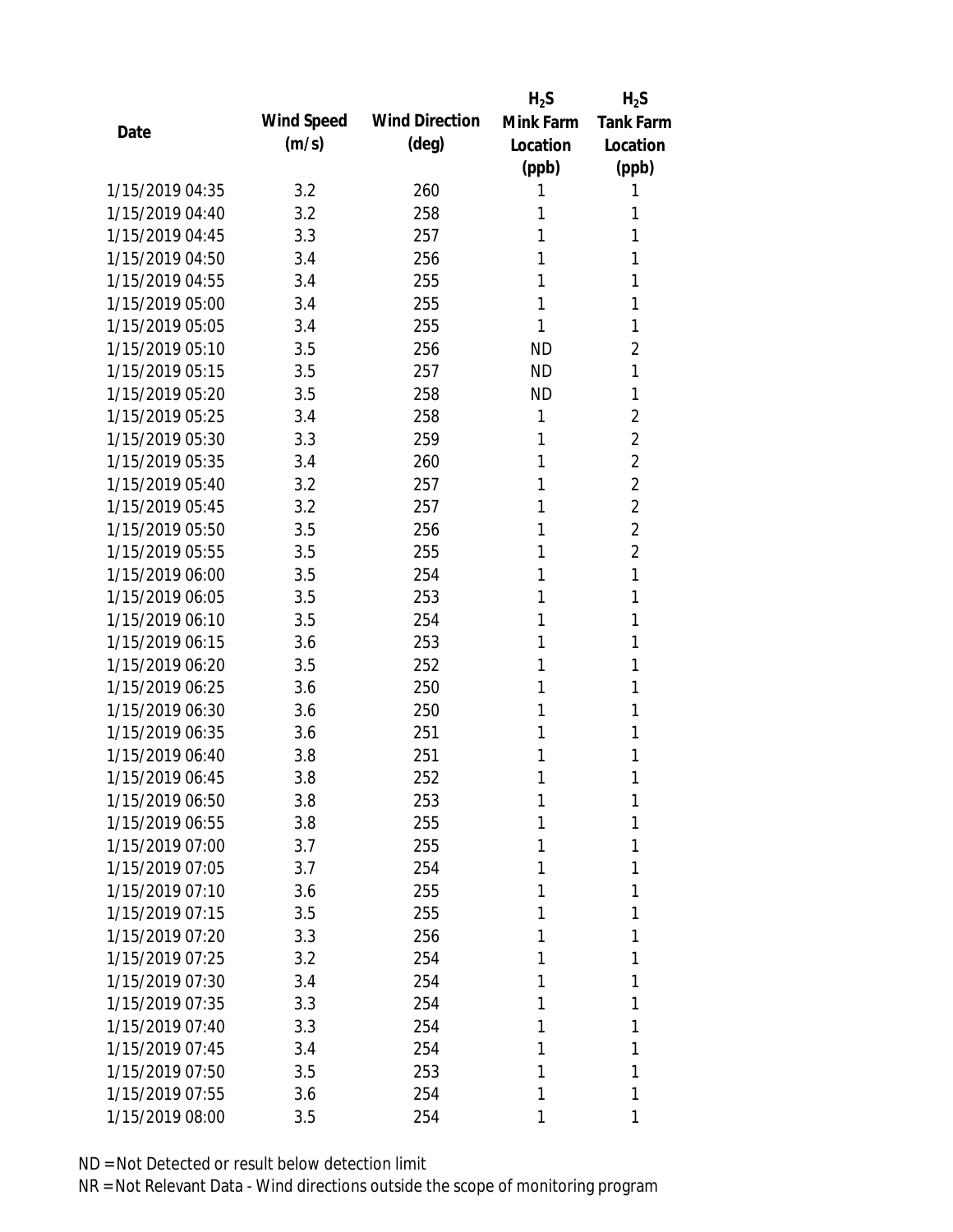|                 |            |                       | $H_2S$    | $H_2S$           |
|-----------------|------------|-----------------------|-----------|------------------|
| Date            | Wind Speed | <b>Wind Direction</b> | Mink Farm | <b>Tank Farm</b> |
|                 | (m/s)      | (deg)                 | Location  | Location         |
|                 |            |                       | (ppb)     | (ppb)            |
| 1/15/2019 04:35 | 3.2        | 260                   | 1         | 1                |
| 1/15/2019 04:40 | 3.2        | 258                   | 1         | 1                |
| 1/15/2019 04:45 | 3.3        | 257                   | 1         | 1                |
| 1/15/2019 04:50 | 3.4        | 256                   | 1         | 1                |
| 1/15/2019 04:55 | 3.4        | 255                   | 1         | 1                |
| 1/15/2019 05:00 | 3.4        | 255                   | 1         | 1                |
| 1/15/2019 05:05 | 3.4        | 255                   | 1         | 1                |
| 1/15/2019 05:10 | 3.5        | 256                   | <b>ND</b> | $\overline{2}$   |
| 1/15/2019 05:15 | 3.5        | 257                   | <b>ND</b> | 1                |
| 1/15/2019 05:20 | 3.5        | 258                   | <b>ND</b> | 1                |
| 1/15/2019 05:25 | 3.4        | 258                   | 1         | $\overline{2}$   |
| 1/15/2019 05:30 | 3.3        | 259                   | 1         | 2                |
| 1/15/2019 05:35 | 3.4        | 260                   | 1         | $\overline{2}$   |
| 1/15/2019 05:40 | 3.2        | 257                   | 1         | $\overline{2}$   |
| 1/15/2019 05:45 | 3.2        | 257                   | 1         | $\overline{2}$   |
| 1/15/2019 05:50 | 3.5        | 256                   | 1         | $\overline{2}$   |
| 1/15/2019 05:55 | 3.5        | 255                   | 1         | $\overline{2}$   |
| 1/15/2019 06:00 | 3.5        | 254                   | 1         | 1                |
| 1/15/2019 06:05 | 3.5        | 253                   | 1         | 1                |
| 1/15/2019 06:10 | 3.5        | 254                   | 1         | 1                |
| 1/15/2019 06:15 | 3.6        | 253                   | 1         | 1                |
| 1/15/2019 06:20 | 3.5        | 252                   | 1         | 1                |
| 1/15/2019 06:25 | 3.6        | 250                   | 1         | 1                |
| 1/15/2019 06:30 | 3.6        | 250                   | 1         | 1                |
| 1/15/2019 06:35 | 3.6        | 251                   | 1         | 1                |
| 1/15/2019 06:40 | 3.8        | 251                   | 1         | 1                |
| 1/15/2019 06:45 | 3.8        | 252                   | 1         | 1                |
| 1/15/2019 06:50 | 3.8        | 253                   | 1         | 1                |
| 1/15/2019 06:55 | 3.8        | 255                   | 1         | 1                |
| 1/15/2019 07:00 | 3.7        | 255                   | 1         | 1                |
| 1/15/2019 07:05 | 3.7        | 254                   | 1         | 1                |
| 1/15/2019 07:10 | 3.6        | 255                   | 1         | 1                |
| 1/15/2019 07:15 | 3.5        | 255                   | 1         | 1                |
| 1/15/2019 07:20 | 3.3        | 256                   | 1         | 1                |
| 1/15/2019 07:25 | 3.2        | 254                   | 1         | 1                |
| 1/15/2019 07:30 | 3.4        | 254                   | 1         | 1                |
| 1/15/2019 07:35 | 3.3        | 254                   | 1         | 1                |
| 1/15/2019 07:40 | 3.3        | 254                   | 1         | 1                |
| 1/15/2019 07:45 | 3.4        | 254                   | 1         | 1                |
| 1/15/2019 07:50 | 3.5        | 253                   | 1         | 1                |
| 1/15/2019 07:55 | 3.6        | 254                   | 1         | 1                |
| 1/15/2019 08:00 | 3.5        | 254                   | 1         | 1                |
|                 |            |                       |           |                  |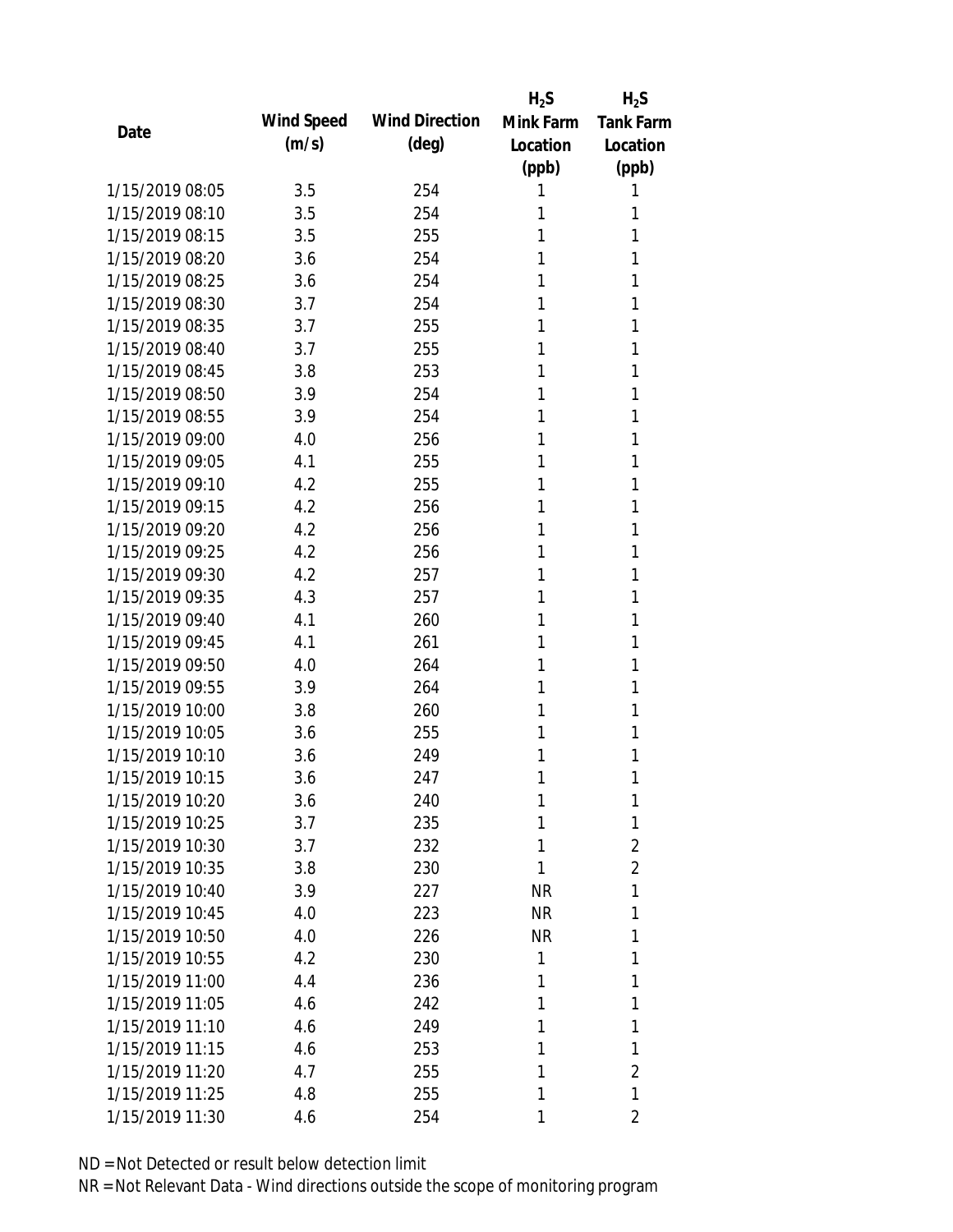|                 |            |                       | $H_2S$    | $H_2S$           |
|-----------------|------------|-----------------------|-----------|------------------|
| Date            | Wind Speed | <b>Wind Direction</b> | Mink Farm | <b>Tank Farm</b> |
|                 | (m/s)      | (deg)                 | Location  | Location         |
|                 |            |                       | (ppb)     | (ppb)            |
| 1/15/2019 08:05 | 3.5        | 254                   | 1         | 1                |
| 1/15/2019 08:10 | 3.5        | 254                   | 1         | 1                |
| 1/15/2019 08:15 | 3.5        | 255                   | 1         | 1                |
| 1/15/2019 08:20 | 3.6        | 254                   | 1         | 1                |
| 1/15/2019 08:25 | 3.6        | 254                   | 1         | 1                |
| 1/15/2019 08:30 | 3.7        | 254                   | 1         | 1                |
| 1/15/2019 08:35 | 3.7        | 255                   | 1         | 1                |
| 1/15/2019 08:40 | 3.7        | 255                   | 1         | 1                |
| 1/15/2019 08:45 | 3.8        | 253                   | 1         | 1                |
| 1/15/2019 08:50 | 3.9        | 254                   | 1         | 1                |
| 1/15/2019 08:55 | 3.9        | 254                   | 1         | 1                |
| 1/15/2019 09:00 | 4.0        | 256                   | 1         | 1                |
| 1/15/2019 09:05 | 4.1        | 255                   | 1         | 1                |
| 1/15/2019 09:10 | 4.2        | 255                   | 1         | 1                |
| 1/15/2019 09:15 | 4.2        | 256                   | 1         | 1                |
| 1/15/2019 09:20 | 4.2        | 256                   | 1         | 1                |
| 1/15/2019 09:25 | 4.2        | 256                   | 1         | 1                |
| 1/15/2019 09:30 | 4.2        | 257                   | 1         | 1                |
| 1/15/2019 09:35 | 4.3        | 257                   | 1         | 1                |
| 1/15/2019 09:40 | 4.1        | 260                   | 1         | 1                |
| 1/15/2019 09:45 | 4.1        | 261                   | 1         | 1                |
| 1/15/2019 09:50 | 4.0        | 264                   | 1         | 1                |
| 1/15/2019 09:55 | 3.9        | 264                   | 1         | 1                |
| 1/15/2019 10:00 | 3.8        | 260                   | 1         | 1                |
| 1/15/2019 10:05 | 3.6        | 255                   | 1         | 1                |
| 1/15/2019 10:10 | 3.6        | 249                   | 1         | 1                |
| 1/15/2019 10:15 | 3.6        | 247                   | 1         | 1                |
| 1/15/2019 10:20 | 3.6        | 240                   | 1         | 1                |
| 1/15/2019 10:25 | 3.7        | 235                   | 1         | 1                |
| 1/15/2019 10:30 | 3.7        | 232                   | 1         | $\overline{2}$   |
| 1/15/2019 10:35 | 3.8        | 230                   | 1         | $\overline{2}$   |
| 1/15/2019 10:40 | 3.9        | 227                   | <b>NR</b> | 1                |
| 1/15/2019 10:45 | 4.0        | 223                   | <b>NR</b> | 1                |
| 1/15/2019 10:50 | 4.0        | 226                   | <b>NR</b> | 1                |
| 1/15/2019 10:55 | 4.2        | 230                   | 1         | 1                |
| 1/15/2019 11:00 | 4.4        | 236                   | 1         | 1                |
| 1/15/2019 11:05 | 4.6        | 242                   | 1         | 1                |
| 1/15/2019 11:10 | 4.6        | 249                   | 1         | 1                |
| 1/15/2019 11:15 | 4.6        | 253                   | 1         | 1                |
| 1/15/2019 11:20 | 4.7        | 255                   | 1         | $\overline{2}$   |
| 1/15/2019 11:25 | 4.8        | 255                   | 1         | 1                |
| 1/15/2019 11:30 | 4.6        | 254                   | 1         | 2                |
|                 |            |                       |           |                  |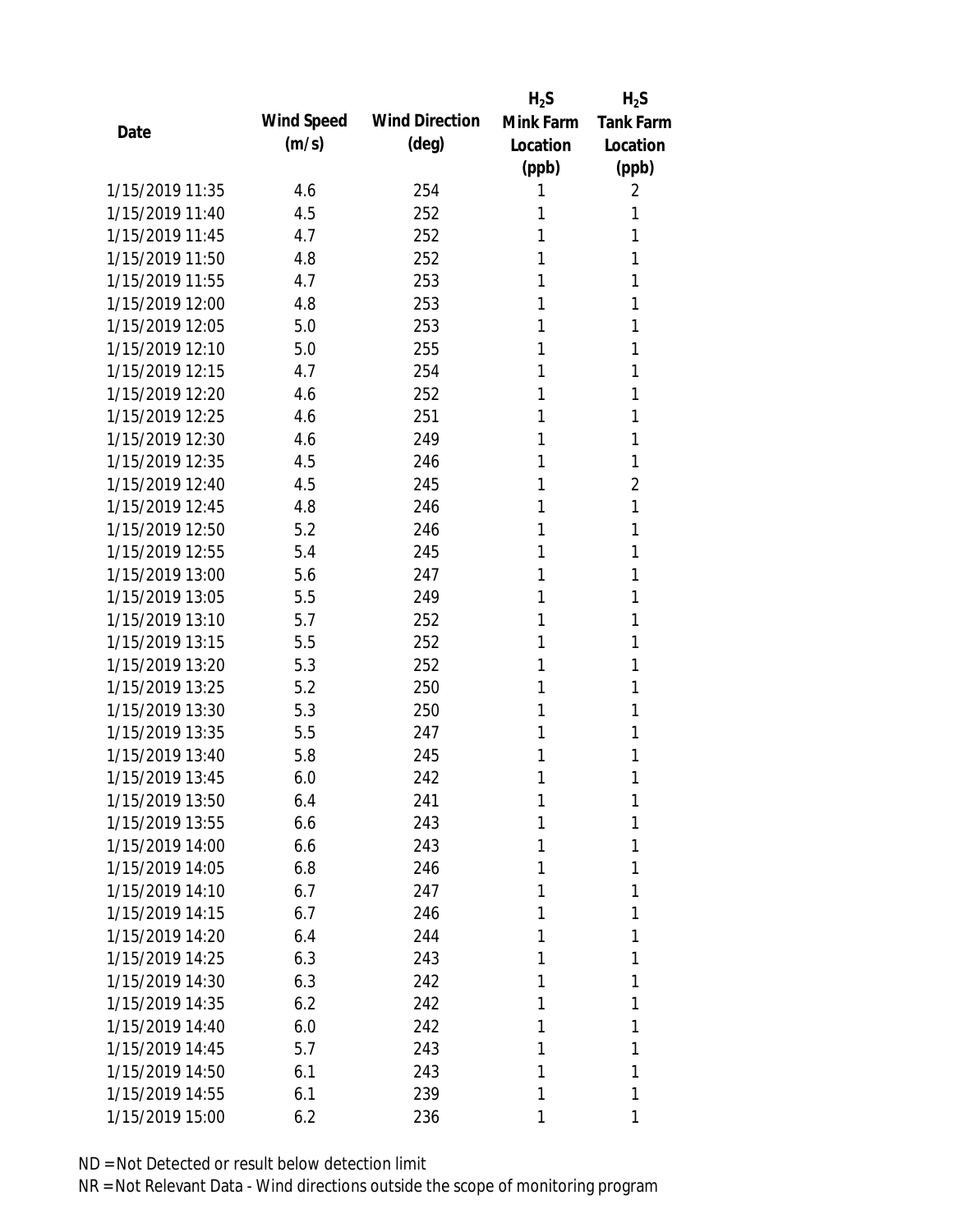|                 |            |                       | $H_2S$    | $H_2S$           |
|-----------------|------------|-----------------------|-----------|------------------|
| Date            | Wind Speed | <b>Wind Direction</b> | Mink Farm | <b>Tank Farm</b> |
|                 | (m/s)      | $(\text{deg})$        | Location  | Location         |
|                 |            |                       | (ppb)     | (ppb)            |
| 1/15/2019 11:35 | 4.6        | 254                   | 1         | 2                |
| 1/15/2019 11:40 | 4.5        | 252                   | 1         | 1                |
| 1/15/2019 11:45 | 4.7        | 252                   | 1         | 1                |
| 1/15/2019 11:50 | 4.8        | 252                   | 1         | 1                |
| 1/15/2019 11:55 | 4.7        | 253                   | 1         | 1                |
| 1/15/2019 12:00 | 4.8        | 253                   | 1         | 1                |
| 1/15/2019 12:05 | 5.0        | 253                   | 1         | 1                |
| 1/15/2019 12:10 | 5.0        | 255                   | 1         | 1                |
| 1/15/2019 12:15 | 4.7        | 254                   | 1         | 1                |
| 1/15/2019 12:20 | 4.6        | 252                   | 1         | 1                |
| 1/15/2019 12:25 | 4.6        | 251                   | 1         | 1                |
| 1/15/2019 12:30 | 4.6        | 249                   | 1         | 1                |
| 1/15/2019 12:35 | 4.5        | 246                   | 1         | 1                |
| 1/15/2019 12:40 | 4.5        | 245                   | 1         | $\overline{2}$   |
| 1/15/2019 12:45 | 4.8        | 246                   | 1         | 1                |
| 1/15/2019 12:50 | 5.2        | 246                   | 1         | 1                |
| 1/15/2019 12:55 | 5.4        | 245                   | 1         | 1                |
| 1/15/2019 13:00 | 5.6        | 247                   | 1         | 1                |
| 1/15/2019 13:05 | 5.5        | 249                   | 1         | 1                |
| 1/15/2019 13:10 | 5.7        | 252                   | 1         | 1                |
| 1/15/2019 13:15 | 5.5        | 252                   | 1         | 1                |
| 1/15/2019 13:20 | 5.3        | 252                   | 1         | 1                |
| 1/15/2019 13:25 | 5.2        | 250                   | 1         | 1                |
| 1/15/2019 13:30 | 5.3        | 250                   | 1         | 1                |
| 1/15/2019 13:35 | 5.5        | 247                   | 1         | 1                |
| 1/15/2019 13:40 | 5.8        | 245                   | 1         | 1                |
| 1/15/2019 13:45 | 6.0        | 242                   | 1         | 1                |
| 1/15/2019 13:50 | 6.4        | 241                   | 1         | 1                |
| 1/15/2019 13:55 | 6.6        | 243                   | 1         | 1                |
| 1/15/2019 14:00 | 6.6        | 243                   | 1         | 1                |
| 1/15/2019 14:05 | 6.8        | 246                   | 1         | 1                |
| 1/15/2019 14:10 | 6.7        | 247                   | 1         | 1                |
| 1/15/2019 14:15 | 6.7        | 246                   | 1         | 1                |
| 1/15/2019 14:20 | 6.4        | 244                   | 1         | 1                |
| 1/15/2019 14:25 | 6.3        | 243                   | 1         | 1                |
| 1/15/2019 14:30 | 6.3        | 242                   | 1         | 1                |
| 1/15/2019 14:35 | 6.2        | 242                   | 1         | 1                |
| 1/15/2019 14:40 | 6.0        | 242                   | 1         | 1                |
| 1/15/2019 14:45 | 5.7        | 243                   | 1         | 1                |
| 1/15/2019 14:50 | 6.1        | 243                   | 1         | 1                |
| 1/15/2019 14:55 | 6.1        | 239                   | 1         | 1                |
| 1/15/2019 15:00 | 6.2        | 236                   | 1         | 1                |
|                 |            |                       |           |                  |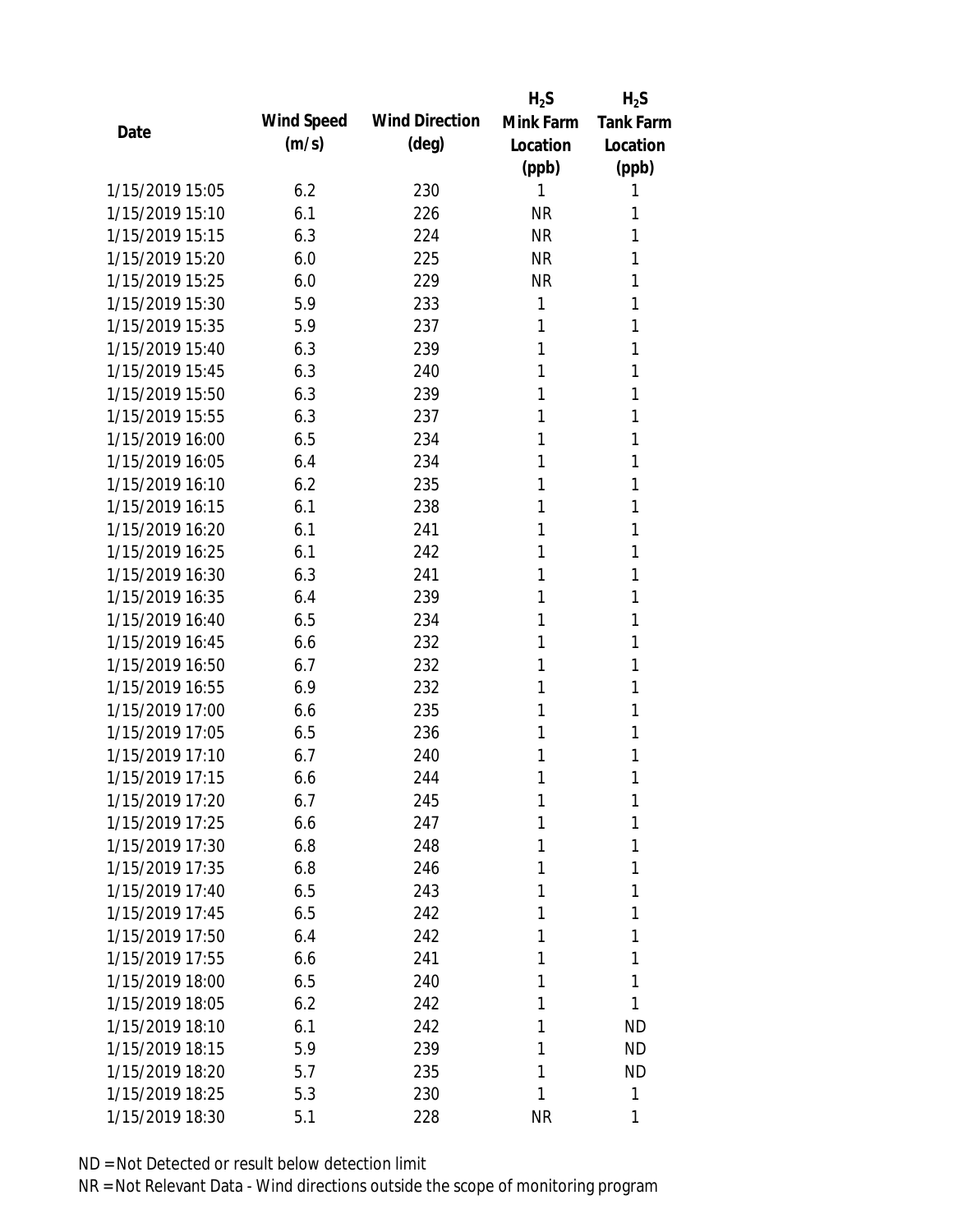|                 |            |                       | $H_2S$    | $H_2S$           |
|-----------------|------------|-----------------------|-----------|------------------|
| Date            | Wind Speed | <b>Wind Direction</b> | Mink Farm | <b>Tank Farm</b> |
|                 | (m/s)      | $(\text{deg})$        | Location  | Location         |
|                 |            |                       | (ppb)     | (ppb)            |
| 1/15/2019 15:05 | 6.2        | 230                   | 1         | 1                |
| 1/15/2019 15:10 | 6.1        | 226                   | <b>NR</b> | 1                |
| 1/15/2019 15:15 | 6.3        | 224                   | <b>NR</b> | 1                |
| 1/15/2019 15:20 | 6.0        | 225                   | <b>NR</b> | 1                |
| 1/15/2019 15:25 | 6.0        | 229                   | <b>NR</b> | 1                |
| 1/15/2019 15:30 | 5.9        | 233                   | 1         | 1                |
| 1/15/2019 15:35 | 5.9        | 237                   | 1         | 1                |
| 1/15/2019 15:40 | 6.3        | 239                   | 1         | 1                |
| 1/15/2019 15:45 | 6.3        | 240                   | 1         | 1                |
| 1/15/2019 15:50 | 6.3        | 239                   | 1         | 1                |
| 1/15/2019 15:55 | 6.3        | 237                   | 1         | 1                |
| 1/15/2019 16:00 | 6.5        | 234                   | 1         | 1                |
| 1/15/2019 16:05 | 6.4        | 234                   | 1         | 1                |
| 1/15/2019 16:10 | 6.2        | 235                   | 1         | 1                |
| 1/15/2019 16:15 | 6.1        | 238                   | 1         | 1                |
| 1/15/2019 16:20 | 6.1        | 241                   | 1         | 1                |
| 1/15/2019 16:25 | 6.1        | 242                   | 1         | 1                |
| 1/15/2019 16:30 | 6.3        | 241                   | 1         | 1                |
| 1/15/2019 16:35 | 6.4        | 239                   | 1         | 1                |
| 1/15/2019 16:40 | 6.5        | 234                   | 1         | 1                |
| 1/15/2019 16:45 | 6.6        | 232                   | 1         | 1                |
| 1/15/2019 16:50 | 6.7        | 232                   | 1         | 1                |
| 1/15/2019 16:55 | 6.9        | 232                   | 1         | 1                |
| 1/15/2019 17:00 | 6.6        | 235                   | 1         | 1                |
| 1/15/2019 17:05 | 6.5        | 236                   | 1         | 1                |
| 1/15/2019 17:10 | 6.7        | 240                   | 1         | 1                |
| 1/15/2019 17:15 | 6.6        | 244                   | 1         | 1                |
| 1/15/2019 17:20 | 6.7        | 245                   | 1         | 1                |
| 1/15/2019 17:25 | 6.6        | 247                   | 1         | 1                |
| 1/15/2019 17:30 | 6.8        | 248                   | 1         | 1                |
| 1/15/2019 17:35 | 6.8        | 246                   | 1         | 1                |
| 1/15/2019 17:40 | 6.5        | 243                   | 1         | 1                |
| 1/15/2019 17:45 | 6.5        | 242                   | 1         | 1                |
| 1/15/2019 17:50 | 6.4        | 242                   | 1         | 1                |
| 1/15/2019 17:55 | 6.6        | 241                   | 1         | 1                |
| 1/15/2019 18:00 | 6.5        | 240                   | 1         | 1                |
| 1/15/2019 18:05 | 6.2        | 242                   | 1         | 1                |
| 1/15/2019 18:10 | 6.1        | 242                   | 1         | <b>ND</b>        |
| 1/15/2019 18:15 | 5.9        | 239                   | 1         | <b>ND</b>        |
| 1/15/2019 18:20 | 5.7        | 235                   | 1         | <b>ND</b>        |
| 1/15/2019 18:25 | 5.3        | 230                   | 1         | 1                |
| 1/15/2019 18:30 | 5.1        | 228                   | <b>NR</b> | 1                |
|                 |            |                       |           |                  |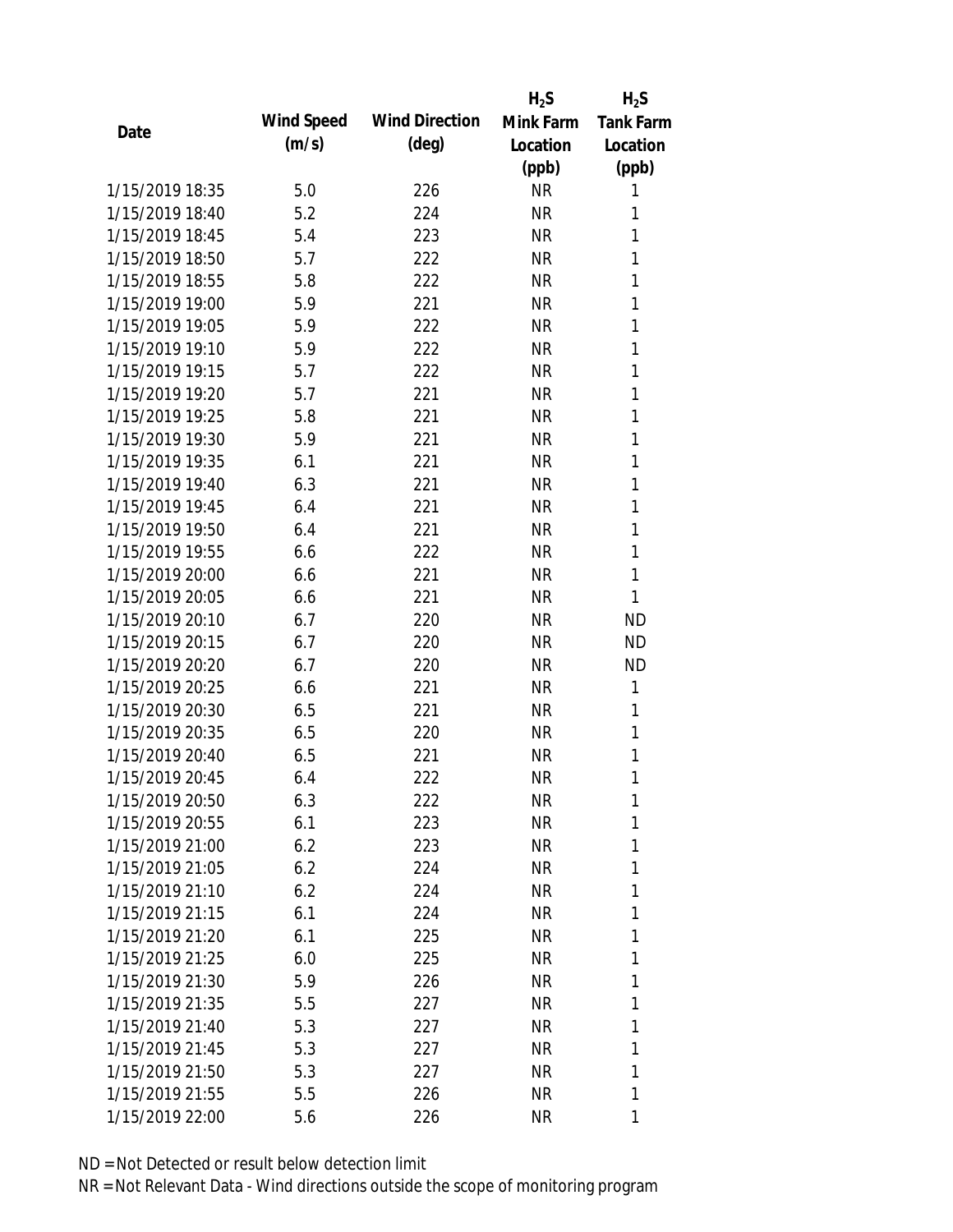|                 |            |                       | $H_2S$    | $H_2S$           |
|-----------------|------------|-----------------------|-----------|------------------|
|                 | Wind Speed | <b>Wind Direction</b> | Mink Farm | <b>Tank Farm</b> |
| Date            | (m/s)      | $(\text{deg})$        | Location  | Location         |
|                 |            |                       | (ppb)     | (ppb)            |
| 1/15/2019 18:35 | 5.0        | 226                   | <b>NR</b> | 1                |
| 1/15/2019 18:40 | 5.2        | 224                   | <b>NR</b> | 1                |
| 1/15/2019 18:45 | 5.4        | 223                   | <b>NR</b> | 1                |
| 1/15/2019 18:50 | 5.7        | 222                   | <b>NR</b> | 1                |
| 1/15/2019 18:55 | 5.8        | 222                   | <b>NR</b> | 1                |
| 1/15/2019 19:00 | 5.9        | 221                   | <b>NR</b> | 1                |
| 1/15/2019 19:05 | 5.9        | 222                   | <b>NR</b> | 1                |
| 1/15/2019 19:10 | 5.9        | 222                   | <b>NR</b> | 1                |
| 1/15/2019 19:15 | 5.7        | 222                   | <b>NR</b> | 1                |
| 1/15/2019 19:20 | 5.7        | 221                   | <b>NR</b> | 1                |
| 1/15/2019 19:25 | 5.8        | 221                   | <b>NR</b> | 1                |
| 1/15/2019 19:30 | 5.9        | 221                   | <b>NR</b> | 1                |
| 1/15/2019 19:35 | 6.1        | 221                   | <b>NR</b> | 1                |
| 1/15/2019 19:40 | 6.3        | 221                   | <b>NR</b> | 1                |
| 1/15/2019 19:45 | 6.4        | 221                   | <b>NR</b> | 1                |
| 1/15/2019 19:50 | 6.4        | 221                   | <b>NR</b> | 1                |
| 1/15/2019 19:55 | 6.6        | 222                   | <b>NR</b> | 1                |
| 1/15/2019 20:00 | 6.6        | 221                   | <b>NR</b> | 1                |
| 1/15/2019 20:05 | 6.6        | 221                   | <b>NR</b> | 1                |
| 1/15/2019 20:10 | 6.7        | 220                   | <b>NR</b> | <b>ND</b>        |
| 1/15/2019 20:15 | 6.7        | 220                   | <b>NR</b> | <b>ND</b>        |
| 1/15/2019 20:20 | 6.7        | 220                   | <b>NR</b> | <b>ND</b>        |
| 1/15/2019 20:25 | 6.6        | 221                   | <b>NR</b> | 1                |
| 1/15/2019 20:30 | 6.5        | 221                   | <b>NR</b> | 1                |
| 1/15/2019 20:35 | 6.5        | 220                   | <b>NR</b> | 1                |
| 1/15/2019 20:40 | 6.5        | 221                   | <b>NR</b> | 1                |
| 1/15/2019 20:45 | 6.4        | 222                   | <b>NR</b> | 1                |
| 1/15/2019 20:50 | 6.3        | 222                   | <b>NR</b> | 1                |
| 1/15/2019 20:55 | 6.1        | 223                   | NR        | 1                |
| 1/15/2019 21:00 | 6.2        | 223                   | NR        | 1                |
| 1/15/2019 21:05 | 6.2        | 224                   | NR        | 1                |
| 1/15/2019 21:10 | 6.2        | 224                   | NR.       | 1                |
| 1/15/2019 21:15 | 6.1        | 224                   | NR        | 1                |
| 1/15/2019 21:20 | 6.1        | 225                   | NR        | 1                |
| 1/15/2019 21:25 | 6.0        | 225                   | NR        | 1                |
| 1/15/2019 21:30 | 5.9        | 226                   | NR        | 1                |
| 1/15/2019 21:35 | 5.5        | 227                   | NR        | 1                |
| 1/15/2019 21:40 | 5.3        | 227                   | NR        | 1                |
| 1/15/2019 21:45 | 5.3        | 227                   | NR.       | 1                |
| 1/15/2019 21:50 | 5.3        | 227                   | NR        | 1                |
| 1/15/2019 21:55 | 5.5        | 226                   | NR        | 1                |
| 1/15/2019 22:00 |            |                       | <b>NR</b> | 1                |
|                 | 5.6        | 226                   |           |                  |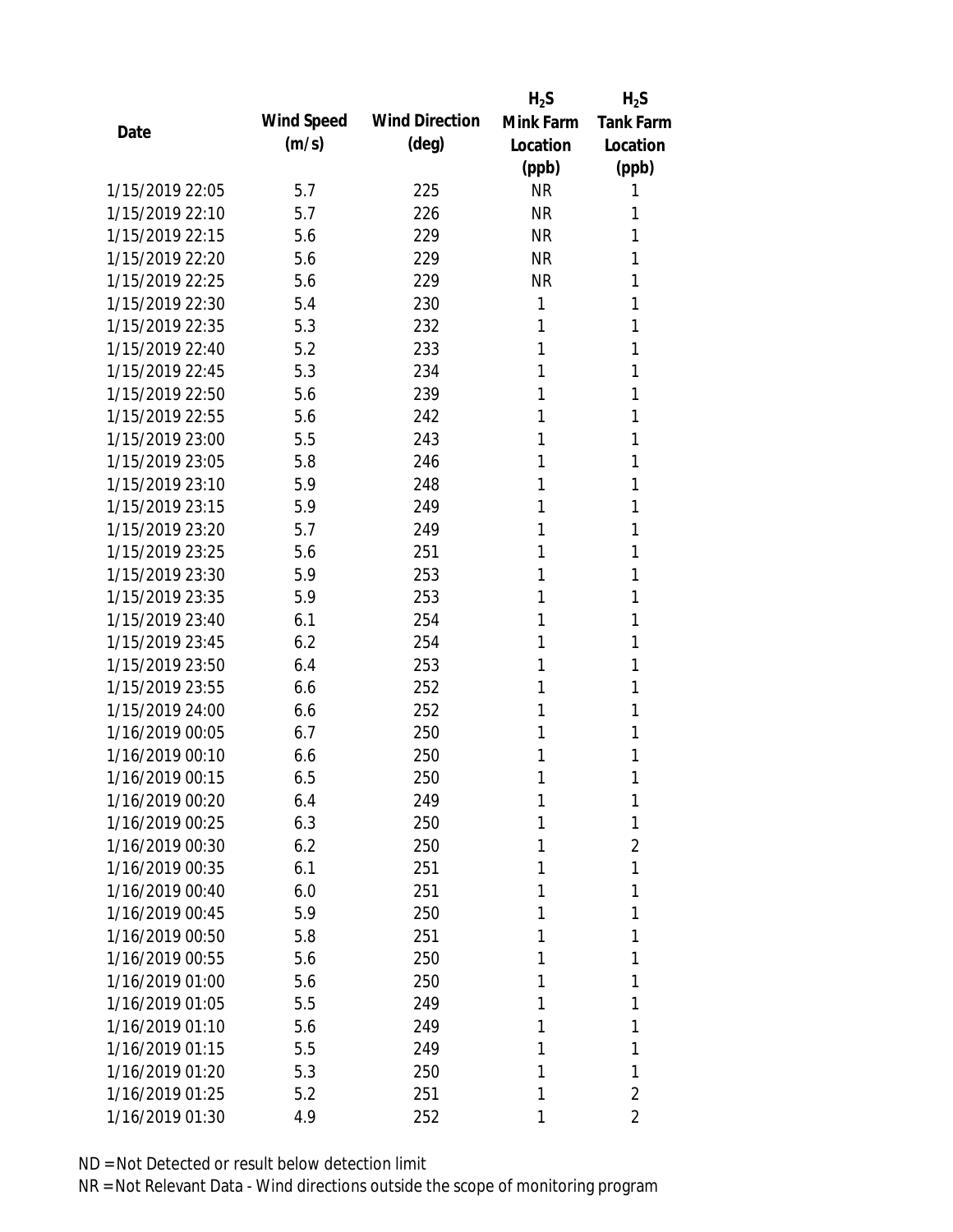|                 |            |                       | $H_2S$    | $H_2S$           |
|-----------------|------------|-----------------------|-----------|------------------|
| Date            | Wind Speed | <b>Wind Direction</b> | Mink Farm | <b>Tank Farm</b> |
|                 | (m/s)      | $(\text{deg})$        | Location  | Location         |
|                 |            |                       | (ppb)     | (ppb)            |
| 1/15/2019 22:05 | 5.7        | 225                   | <b>NR</b> | 1                |
| 1/15/2019 22:10 | 5.7        | 226                   | <b>NR</b> | 1                |
| 1/15/2019 22:15 | 5.6        | 229                   | <b>NR</b> | 1                |
| 1/15/2019 22:20 | 5.6        | 229                   | <b>NR</b> | 1                |
| 1/15/2019 22:25 | 5.6        | 229                   | <b>NR</b> | 1                |
| 1/15/2019 22:30 | 5.4        | 230                   | 1         | 1                |
| 1/15/2019 22:35 | 5.3        | 232                   | 1         | 1                |
| 1/15/2019 22:40 | 5.2        | 233                   | 1         | 1                |
| 1/15/2019 22:45 | 5.3        | 234                   | 1         | 1                |
| 1/15/2019 22:50 | 5.6        | 239                   | 1         | 1                |
| 1/15/2019 22:55 | 5.6        | 242                   | 1         | 1                |
| 1/15/2019 23:00 | 5.5        | 243                   | 1         | 1                |
| 1/15/2019 23:05 | 5.8        | 246                   | 1         | 1                |
| 1/15/2019 23:10 | 5.9        | 248                   | 1         | 1                |
| 1/15/2019 23:15 | 5.9        | 249                   | 1         | 1                |
| 1/15/2019 23:20 | 5.7        | 249                   | 1         | 1                |
| 1/15/2019 23:25 | 5.6        | 251                   | 1         | 1                |
| 1/15/2019 23:30 | 5.9        | 253                   | 1         | 1                |
| 1/15/2019 23:35 | 5.9        | 253                   | 1         | 1                |
| 1/15/2019 23:40 | 6.1        | 254                   | 1         | 1                |
| 1/15/2019 23:45 | 6.2        | 254                   | 1         | 1                |
| 1/15/2019 23:50 | 6.4        | 253                   | 1         | 1                |
| 1/15/2019 23:55 | 6.6        | 252                   | 1         | 1                |
| 1/15/2019 24:00 | 6.6        | 252                   | 1         | 1                |
| 1/16/2019 00:05 | 6.7        | 250                   | 1         | 1                |
| 1/16/2019 00:10 | 6.6        | 250                   | 1         | 1                |
| 1/16/2019 00:15 | 6.5        | 250                   | 1         | 1                |
| 1/16/2019 00:20 | 6.4        | 249                   | 1         | 1                |
| 1/16/2019 00:25 | 6.3        | 250                   | 1         | 1                |
| 1/16/2019 00:30 | 6.2        | 250                   | 1         | $\overline{2}$   |
| 1/16/2019 00:35 | 6.1        | 251                   | 1         | 1                |
| 1/16/2019 00:40 | 6.0        | 251                   | 1         | 1                |
| 1/16/2019 00:45 | 5.9        | 250                   | 1         | 1                |
| 1/16/2019 00:50 | 5.8        | 251                   | 1         | 1                |
| 1/16/2019 00:55 | 5.6        | 250                   | 1         | 1                |
| 1/16/2019 01:00 | 5.6        | 250                   | 1         | 1                |
| 1/16/2019 01:05 | 5.5        | 249                   | 1         | 1                |
| 1/16/2019 01:10 | 5.6        | 249                   | 1         | 1                |
| 1/16/2019 01:15 | 5.5        | 249                   | 1         | 1                |
| 1/16/2019 01:20 | 5.3        | 250                   | 1         | 1                |
| 1/16/2019 01:25 | 5.2        | 251                   | 1         | $\overline{2}$   |
| 1/16/2019 01:30 | 4.9        | 252                   | 1         | 2                |
|                 |            |                       |           |                  |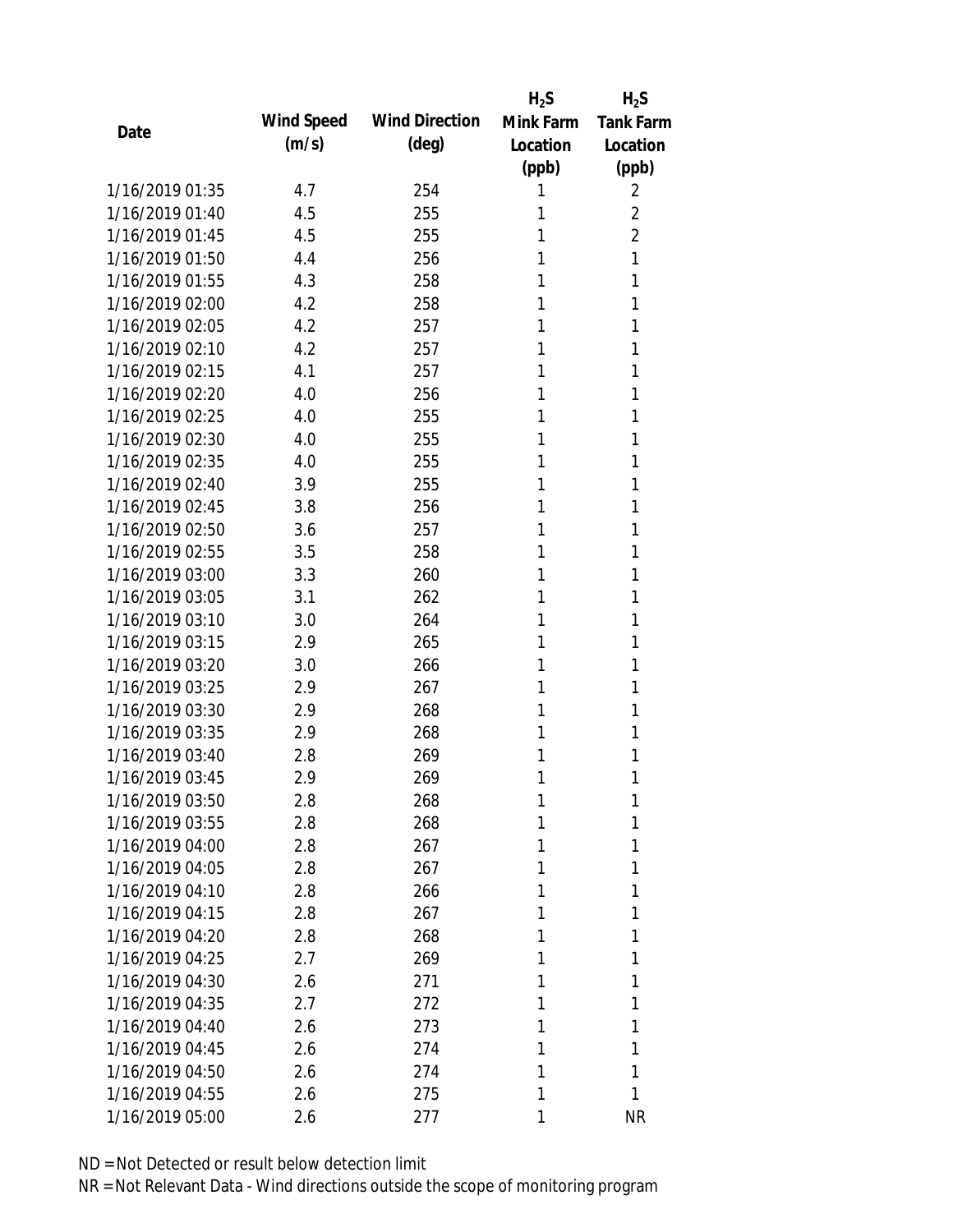|                 |            |                       | $H_2S$    | $H_2S$           |
|-----------------|------------|-----------------------|-----------|------------------|
| Date            | Wind Speed | <b>Wind Direction</b> | Mink Farm | <b>Tank Farm</b> |
|                 | (m/s)      | $(\text{deg})$        | Location  | Location         |
|                 |            |                       | (ppb)     | (ppb)            |
| 1/16/2019 01:35 | 4.7        | 254                   | 1         | 2                |
| 1/16/2019 01:40 | 4.5        | 255                   | 1         | 2                |
| 1/16/2019 01:45 | 4.5        | 255                   | 1         | $\overline{2}$   |
| 1/16/2019 01:50 | 4.4        | 256                   | 1         | 1                |
| 1/16/2019 01:55 | 4.3        | 258                   | 1         | 1                |
| 1/16/2019 02:00 | 4.2        | 258                   | 1         | 1                |
| 1/16/2019 02:05 | 4.2        | 257                   | 1         | 1                |
| 1/16/2019 02:10 | 4.2        | 257                   | 1         | 1                |
| 1/16/2019 02:15 | 4.1        | 257                   | 1         | 1                |
| 1/16/2019 02:20 | 4.0        | 256                   | 1         | 1                |
| 1/16/2019 02:25 | 4.0        | 255                   | 1         | 1                |
| 1/16/2019 02:30 | 4.0        | 255                   | 1         | 1                |
| 1/16/2019 02:35 | 4.0        | 255                   | 1         | 1                |
| 1/16/2019 02:40 | 3.9        | 255                   | 1         | 1                |
| 1/16/2019 02:45 | 3.8        | 256                   | 1         | 1                |
| 1/16/2019 02:50 | 3.6        | 257                   | 1         | 1                |
| 1/16/2019 02:55 | 3.5        | 258                   | 1         | 1                |
| 1/16/2019 03:00 | 3.3        | 260                   | 1         | 1                |
| 1/16/2019 03:05 | 3.1        | 262                   | 1         | 1                |
| 1/16/2019 03:10 | 3.0        | 264                   | 1         | 1                |
| 1/16/2019 03:15 | 2.9        | 265                   | 1         | 1                |
| 1/16/2019 03:20 | 3.0        | 266                   | 1         | 1                |
| 1/16/2019 03:25 | 2.9        | 267                   | 1         | 1                |
| 1/16/2019 03:30 | 2.9        | 268                   | 1         | 1                |
| 1/16/2019 03:35 | 2.9        | 268                   | 1         | 1                |
| 1/16/2019 03:40 | 2.8        | 269                   | 1         | 1                |
| 1/16/2019 03:45 | 2.9        | 269                   | 1         | 1                |
| 1/16/2019 03:50 | 2.8        | 268                   | 1         | 1                |
| 1/16/2019 03:55 | 2.8        | 268                   | 1         | 1                |
| 1/16/2019 04:00 | 2.8        | 267                   | 1         | 1                |
| 1/16/2019 04:05 | 2.8        | 267                   | 1         | 1                |
| 1/16/2019 04:10 | 2.8        | 266                   | 1         | 1                |
| 1/16/2019 04:15 | 2.8        | 267                   | 1         | 1                |
| 1/16/2019 04:20 | 2.8        | 268                   | 1         | 1                |
| 1/16/2019 04:25 | 2.7        | 269                   | 1         | 1                |
| 1/16/2019 04:30 | 2.6        |                       | 1         | 1                |
| 1/16/2019 04:35 |            | 271                   | 1         |                  |
|                 | 2.7        | 272                   |           | 1                |
| 1/16/2019 04:40 | 2.6        | 273                   | 1         | 1                |
| 1/16/2019 04:45 | 2.6        | 274                   | 1         | 1                |
| 1/16/2019 04:50 | 2.6        | 274                   | 1         | 1                |
| 1/16/2019 04:55 | 2.6        | 275                   | 1         | 1                |
| 1/16/2019 05:00 | 2.6        | 277                   | 1         | <b>NR</b>        |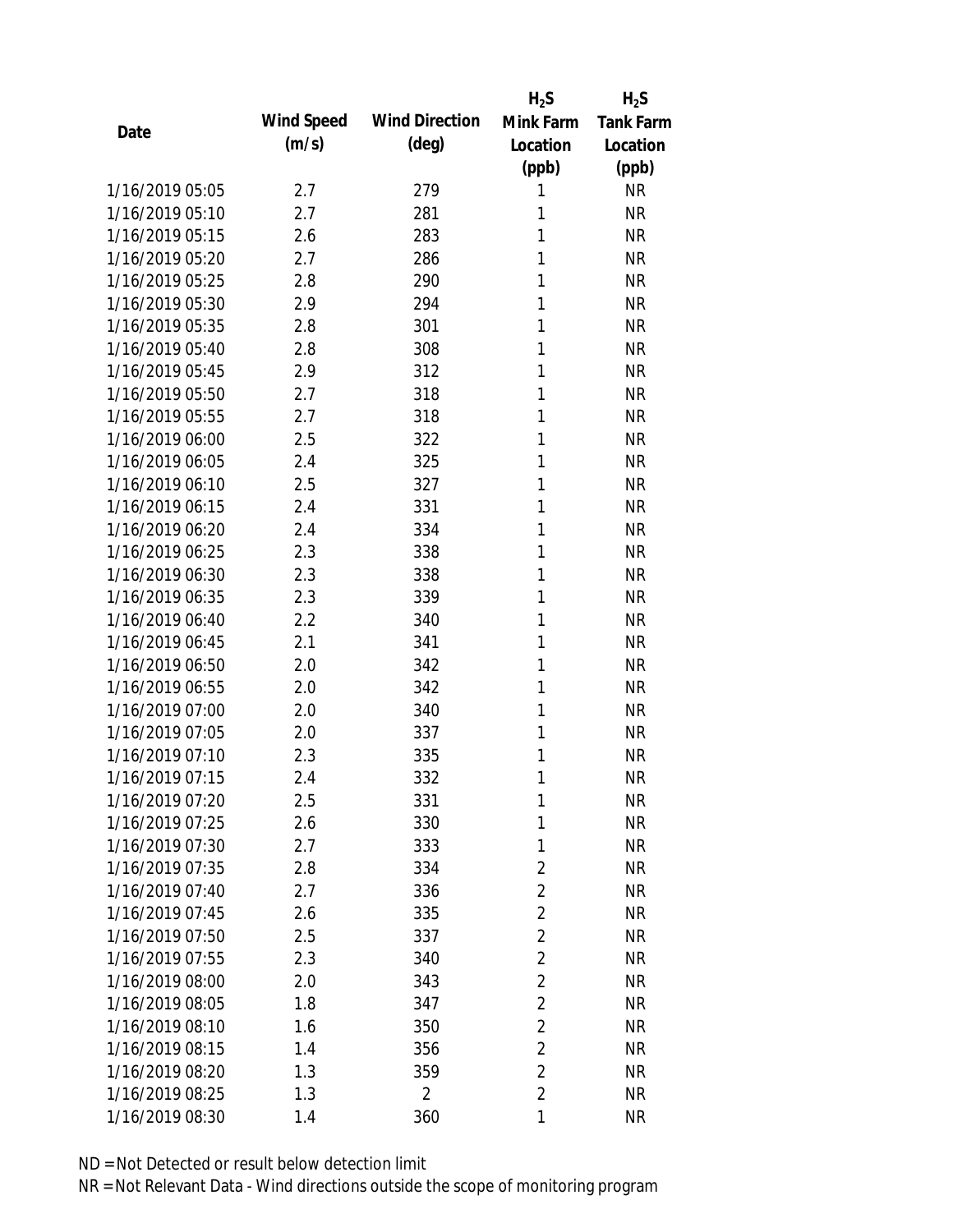|                 |            |                       | $H_2S$         | $H_2S$           |
|-----------------|------------|-----------------------|----------------|------------------|
| Date            | Wind Speed | <b>Wind Direction</b> | Mink Farm      | <b>Tank Farm</b> |
|                 | (m/s)      | $(\text{deg})$        | Location       | Location         |
|                 |            |                       | (ppb)          | (ppb)            |
| 1/16/2019 05:05 | 2.7        | 279                   | 1              | <b>NR</b>        |
| 1/16/2019 05:10 | 2.7        | 281                   | 1              | <b>NR</b>        |
| 1/16/2019 05:15 | 2.6        | 283                   | 1              | <b>NR</b>        |
| 1/16/2019 05:20 | 2.7        | 286                   | 1              | <b>NR</b>        |
| 1/16/2019 05:25 | 2.8        | 290                   | 1              | <b>NR</b>        |
| 1/16/2019 05:30 | 2.9        | 294                   | 1              | <b>NR</b>        |
| 1/16/2019 05:35 | 2.8        | 301                   | 1              | <b>NR</b>        |
| 1/16/2019 05:40 | 2.8        | 308                   | 1              | <b>NR</b>        |
| 1/16/2019 05:45 | 2.9        | 312                   | 1              | <b>NR</b>        |
| 1/16/2019 05:50 | 2.7        | 318                   | 1              | <b>NR</b>        |
| 1/16/2019 05:55 | 2.7        | 318                   | 1              | <b>NR</b>        |
| 1/16/2019 06:00 | 2.5        | 322                   | 1              | <b>NR</b>        |
| 1/16/2019 06:05 | 2.4        | 325                   | 1              | <b>NR</b>        |
| 1/16/2019 06:10 | 2.5        | 327                   | 1              | <b>NR</b>        |
| 1/16/2019 06:15 | 2.4        | 331                   | 1              | <b>NR</b>        |
| 1/16/2019 06:20 | 2.4        | 334                   | 1              | <b>NR</b>        |
| 1/16/2019 06:25 | 2.3        | 338                   | 1              | <b>NR</b>        |
| 1/16/2019 06:30 | 2.3        | 338                   | 1              | <b>NR</b>        |
| 1/16/2019 06:35 | 2.3        | 339                   | 1              | <b>NR</b>        |
| 1/16/2019 06:40 | 2.2        | 340                   | 1              | <b>NR</b>        |
| 1/16/2019 06:45 | 2.1        | 341                   | 1              | <b>NR</b>        |
| 1/16/2019 06:50 | 2.0        | 342                   | 1              | <b>NR</b>        |
| 1/16/2019 06:55 | 2.0        | 342                   | 1              | <b>NR</b>        |
| 1/16/2019 07:00 | 2.0        | 340                   | 1              | <b>NR</b>        |
| 1/16/2019 07:05 | 2.0        | 337                   | 1              | <b>NR</b>        |
| 1/16/2019 07:10 | 2.3        | 335                   | 1              | <b>NR</b>        |
| 1/16/2019 07:15 | 2.4        | 332                   | 1              | <b>NR</b>        |
| 1/16/2019 07:20 | 2.5        | 331                   | 1              | <b>NR</b>        |
| 1/16/2019 07:25 | 2.6        | 330                   | 1              | <b>NR</b>        |
| 1/16/2019 07:30 | 2.7        | 333                   | 1              | <b>NR</b>        |
| 1/16/2019 07:35 | 2.8        | 334                   | $\overline{2}$ | <b>NR</b>        |
| 1/16/2019 07:40 | 2.7        | 336                   | $\overline{2}$ | NR               |
| 1/16/2019 07:45 | 2.6        | 335                   | $\overline{2}$ | NR               |
| 1/16/2019 07:50 | 2.5        | 337                   | $\overline{2}$ | <b>NR</b>        |
| 1/16/2019 07:55 | 2.3        | 340                   | $\overline{2}$ | <b>NR</b>        |
| 1/16/2019 08:00 | 2.0        | 343                   | $\overline{2}$ | <b>NR</b>        |
| 1/16/2019 08:05 | 1.8        | 347                   | $\overline{2}$ | <b>NR</b>        |
| 1/16/2019 08:10 | 1.6        | 350                   | $\overline{2}$ | <b>NR</b>        |
| 1/16/2019 08:15 | 1.4        | 356                   | $\overline{2}$ | <b>NR</b>        |
| 1/16/2019 08:20 | 1.3        | 359                   | $\overline{2}$ | <b>NR</b>        |
| 1/16/2019 08:25 | 1.3        | $\overline{2}$        | $\overline{2}$ | <b>NR</b>        |
| 1/16/2019 08:30 | 1.4        | 360                   | 1              | <b>NR</b>        |
|                 |            |                       |                |                  |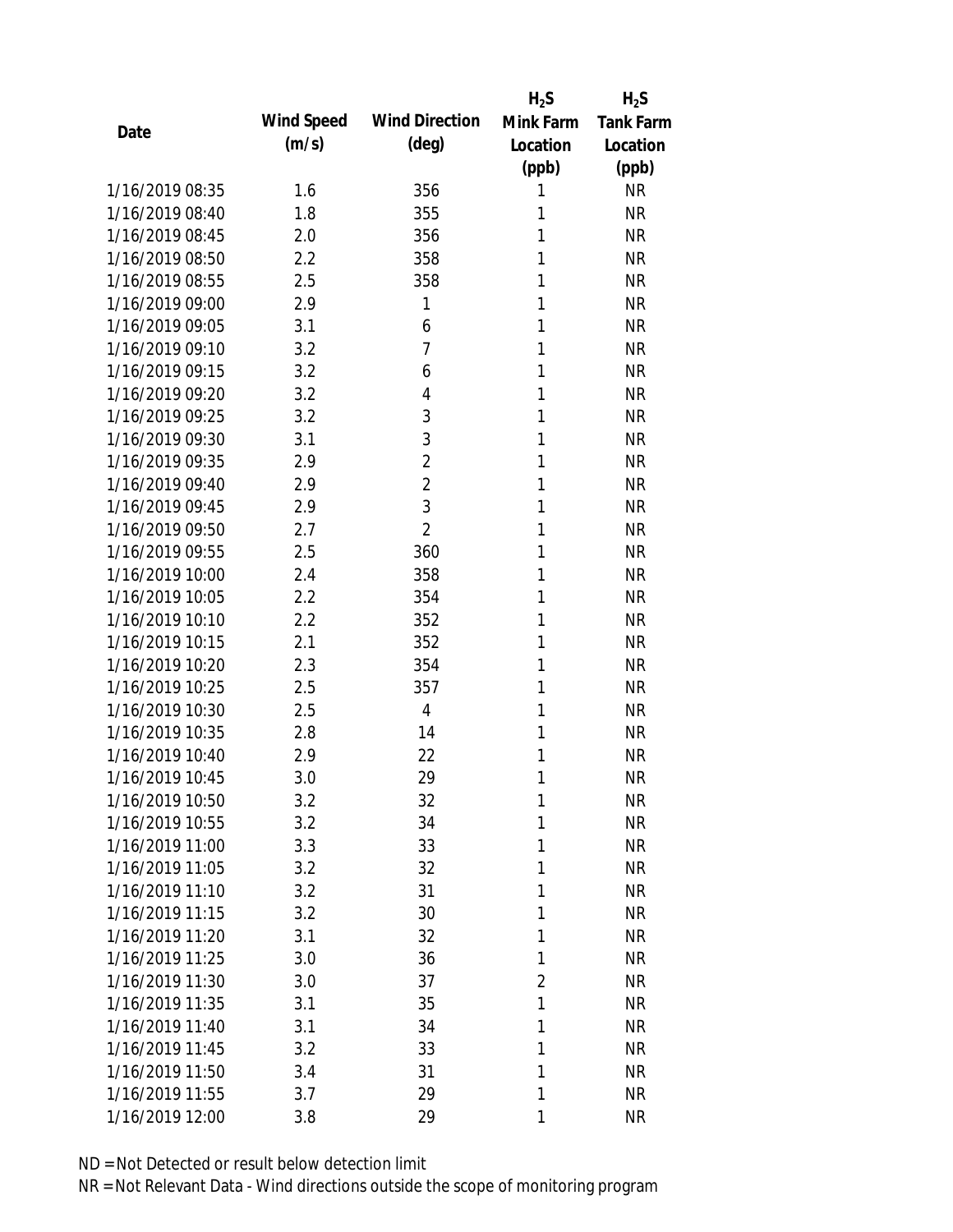|                 |            |                       | $H_2S$         | $H_2S$           |
|-----------------|------------|-----------------------|----------------|------------------|
| Date            | Wind Speed | <b>Wind Direction</b> | Mink Farm      | <b>Tank Farm</b> |
|                 | (m/s)      | $(\text{deg})$        | Location       | Location         |
|                 |            |                       | (ppb)          | (ppb)            |
| 1/16/2019 08:35 | 1.6        | 356                   | 1              | <b>NR</b>        |
| 1/16/2019 08:40 | 1.8        | 355                   | 1              | <b>NR</b>        |
| 1/16/2019 08:45 | 2.0        | 356                   | 1              | <b>NR</b>        |
| 1/16/2019 08:50 | 2.2        | 358                   | 1              | <b>NR</b>        |
| 1/16/2019 08:55 | 2.5        | 358                   | 1              | <b>NR</b>        |
| 1/16/2019 09:00 | 2.9        | 1                     | 1              | <b>NR</b>        |
| 1/16/2019 09:05 | 3.1        | 6                     | 1              | <b>NR</b>        |
| 1/16/2019 09:10 | 3.2        | $\overline{1}$        | 1              | <b>NR</b>        |
| 1/16/2019 09:15 | 3.2        | 6                     | 1              | <b>NR</b>        |
| 1/16/2019 09:20 | 3.2        | 4                     | 1              | <b>NR</b>        |
| 1/16/2019 09:25 | 3.2        | 3                     | 1              | <b>NR</b>        |
| 1/16/2019 09:30 | 3.1        | 3                     | 1              | <b>NR</b>        |
| 1/16/2019 09:35 | 2.9        | $\overline{2}$        | 1              | <b>NR</b>        |
| 1/16/2019 09:40 | 2.9        | $\overline{2}$        | 1              | <b>NR</b>        |
| 1/16/2019 09:45 | 2.9        | 3                     | 1              | <b>NR</b>        |
| 1/16/2019 09:50 | 2.7        | $\overline{2}$        | 1              | <b>NR</b>        |
| 1/16/2019 09:55 | 2.5        | 360                   | 1              | <b>NR</b>        |
| 1/16/2019 10:00 | 2.4        | 358                   | 1              | <b>NR</b>        |
| 1/16/2019 10:05 | 2.2        | 354                   | 1              | <b>NR</b>        |
| 1/16/2019 10:10 | 2.2        | 352                   | 1              | <b>NR</b>        |
| 1/16/2019 10:15 | 2.1        | 352                   | 1              | <b>NR</b>        |
| 1/16/2019 10:20 | 2.3        | 354                   | 1              | <b>NR</b>        |
| 1/16/2019 10:25 | 2.5        | 357                   | 1              | <b>NR</b>        |
| 1/16/2019 10:30 | 2.5        | $\overline{4}$        | 1              | <b>NR</b>        |
| 1/16/2019 10:35 | 2.8        | 14                    | 1              | <b>NR</b>        |
| 1/16/2019 10:40 | 2.9        | 22                    | 1              | <b>NR</b>        |
| 1/16/2019 10:45 | 3.0        | 29                    | 1              | <b>NR</b>        |
| 1/16/2019 10:50 | 3.2        | 32                    | 1              | <b>NR</b>        |
| 1/16/2019 10:55 | 3.2        | 34                    | 1              | <b>NR</b>        |
| 1/16/2019 11:00 | 3.3        | 33                    | 1              | <b>NR</b>        |
| 1/16/2019 11:05 | 3.2        | 32                    | 1              | <b>NR</b>        |
| 1/16/2019 11:10 | 3.2        | 31                    | 1              | <b>NR</b>        |
| 1/16/2019 11:15 | 3.2        | 30                    | 1              | <b>NR</b>        |
| 1/16/2019 11:20 | 3.1        | 32                    | 1              | <b>NR</b>        |
| 1/16/2019 11:25 | 3.0        | 36                    | 1              | <b>NR</b>        |
| 1/16/2019 11:30 | 3.0        | 37                    | $\overline{2}$ | <b>NR</b>        |
| 1/16/2019 11:35 | 3.1        | 35                    | 1              | <b>NR</b>        |
| 1/16/2019 11:40 | 3.1        | 34                    | 1              | <b>NR</b>        |
| 1/16/2019 11:45 | 3.2        | 33                    | 1              | <b>NR</b>        |
| 1/16/2019 11:50 | 3.4        | 31                    | 1              | <b>NR</b>        |
| 1/16/2019 11:55 | 3.7        | 29                    | 1              | <b>NR</b>        |
| 1/16/2019 12:00 | 3.8        | 29                    | 1              | <b>NR</b>        |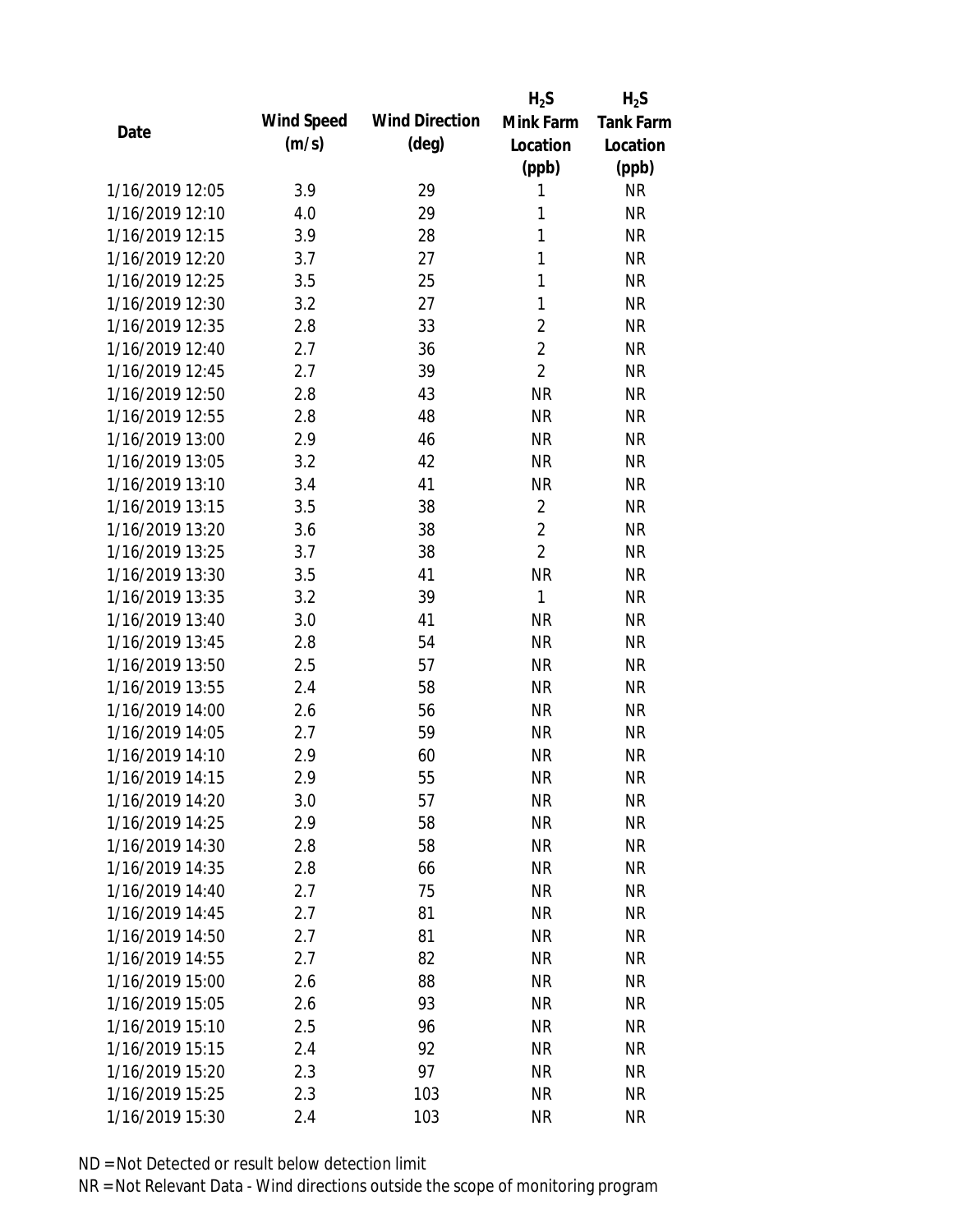|                 |            |                       | $H_2S$         | $H_2S$           |
|-----------------|------------|-----------------------|----------------|------------------|
| Date            | Wind Speed | <b>Wind Direction</b> | Mink Farm      | <b>Tank Farm</b> |
|                 | (m/s)      | $(\text{deg})$        | Location       | Location         |
|                 |            |                       | (ppb)          | (ppb)            |
| 1/16/2019 12:05 | 3.9        | 29                    | 1              | <b>NR</b>        |
| 1/16/2019 12:10 | 4.0        | 29                    | 1              | <b>NR</b>        |
| 1/16/2019 12:15 | 3.9        | 28                    | 1              | <b>NR</b>        |
| 1/16/2019 12:20 | 3.7        | 27                    | 1              | <b>NR</b>        |
| 1/16/2019 12:25 | 3.5        | 25                    | $\mathbf{1}$   | <b>NR</b>        |
| 1/16/2019 12:30 | 3.2        | 27                    | 1              | <b>NR</b>        |
| 1/16/2019 12:35 | 2.8        | 33                    | $\overline{2}$ | <b>NR</b>        |
| 1/16/2019 12:40 | 2.7        | 36                    | $\overline{2}$ | <b>NR</b>        |
| 1/16/2019 12:45 | 2.7        | 39                    | $\overline{2}$ | <b>NR</b>        |
| 1/16/2019 12:50 | 2.8        | 43                    | <b>NR</b>      | <b>NR</b>        |
| 1/16/2019 12:55 | 2.8        | 48                    | <b>NR</b>      | <b>NR</b>        |
| 1/16/2019 13:00 | 2.9        | 46                    | <b>NR</b>      | <b>NR</b>        |
| 1/16/2019 13:05 | 3.2        | 42                    | <b>NR</b>      | <b>NR</b>        |
| 1/16/2019 13:10 | 3.4        | 41                    | <b>NR</b>      | <b>NR</b>        |
| 1/16/2019 13:15 | 3.5        | 38                    | $\overline{2}$ | <b>NR</b>        |
| 1/16/2019 13:20 | 3.6        | 38                    | $\overline{2}$ | <b>NR</b>        |
| 1/16/2019 13:25 | 3.7        | 38                    | $\overline{2}$ | <b>NR</b>        |
| 1/16/2019 13:30 | 3.5        | 41                    | <b>NR</b>      | <b>NR</b>        |
| 1/16/2019 13:35 | 3.2        | 39                    | 1              | <b>NR</b>        |
| 1/16/2019 13:40 | 3.0        | 41                    | <b>NR</b>      | <b>NR</b>        |
| 1/16/2019 13:45 | 2.8        | 54                    | <b>NR</b>      | <b>NR</b>        |
| 1/16/2019 13:50 | 2.5        | 57                    | <b>NR</b>      | <b>NR</b>        |
| 1/16/2019 13:55 | 2.4        | 58                    | <b>NR</b>      | <b>NR</b>        |
| 1/16/2019 14:00 | 2.6        | 56                    | <b>NR</b>      | <b>NR</b>        |
| 1/16/2019 14:05 | 2.7        | 59                    | <b>NR</b>      | <b>NR</b>        |
| 1/16/2019 14:10 | 2.9        | 60                    | <b>NR</b>      | <b>NR</b>        |
| 1/16/2019 14:15 | 2.9        | 55                    | <b>NR</b>      | <b>NR</b>        |
| 1/16/2019 14:20 | 3.0        | 57                    | <b>NR</b>      | <b>NR</b>        |
| 1/16/2019 14:25 | 2.9        | 58                    | <b>NR</b>      | <b>NR</b>        |
| 1/16/2019 14:30 | 2.8        | 58                    | NR             | <b>NR</b>        |
| 1/16/2019 14:35 | 2.8        | 66                    | <b>NR</b>      | <b>NR</b>        |
| 1/16/2019 14:40 | 2.7        | 75                    | <b>NR</b>      | <b>NR</b>        |
| 1/16/2019 14:45 | 2.7        | 81                    | <b>NR</b>      | <b>NR</b>        |
| 1/16/2019 14:50 | 2.7        | 81                    | <b>NR</b>      | <b>NR</b>        |
| 1/16/2019 14:55 | 2.7        | 82                    | <b>NR</b>      | <b>NR</b>        |
| 1/16/2019 15:00 | 2.6        | 88                    | NR             | <b>NR</b>        |
| 1/16/2019 15:05 | 2.6        | 93                    | <b>NR</b>      | <b>NR</b>        |
| 1/16/2019 15:10 | 2.5        | 96                    | NR             | <b>NR</b>        |
| 1/16/2019 15:15 | 2.4        | 92                    | <b>NR</b>      | <b>NR</b>        |
| 1/16/2019 15:20 | 2.3        | 97                    | <b>NR</b>      | <b>NR</b>        |
| 1/16/2019 15:25 | 2.3        | 103                   | <b>NR</b>      | <b>NR</b>        |
| 1/16/2019 15:30 | 2.4        | 103                   | <b>NR</b>      | <b>NR</b>        |
|                 |            |                       |                |                  |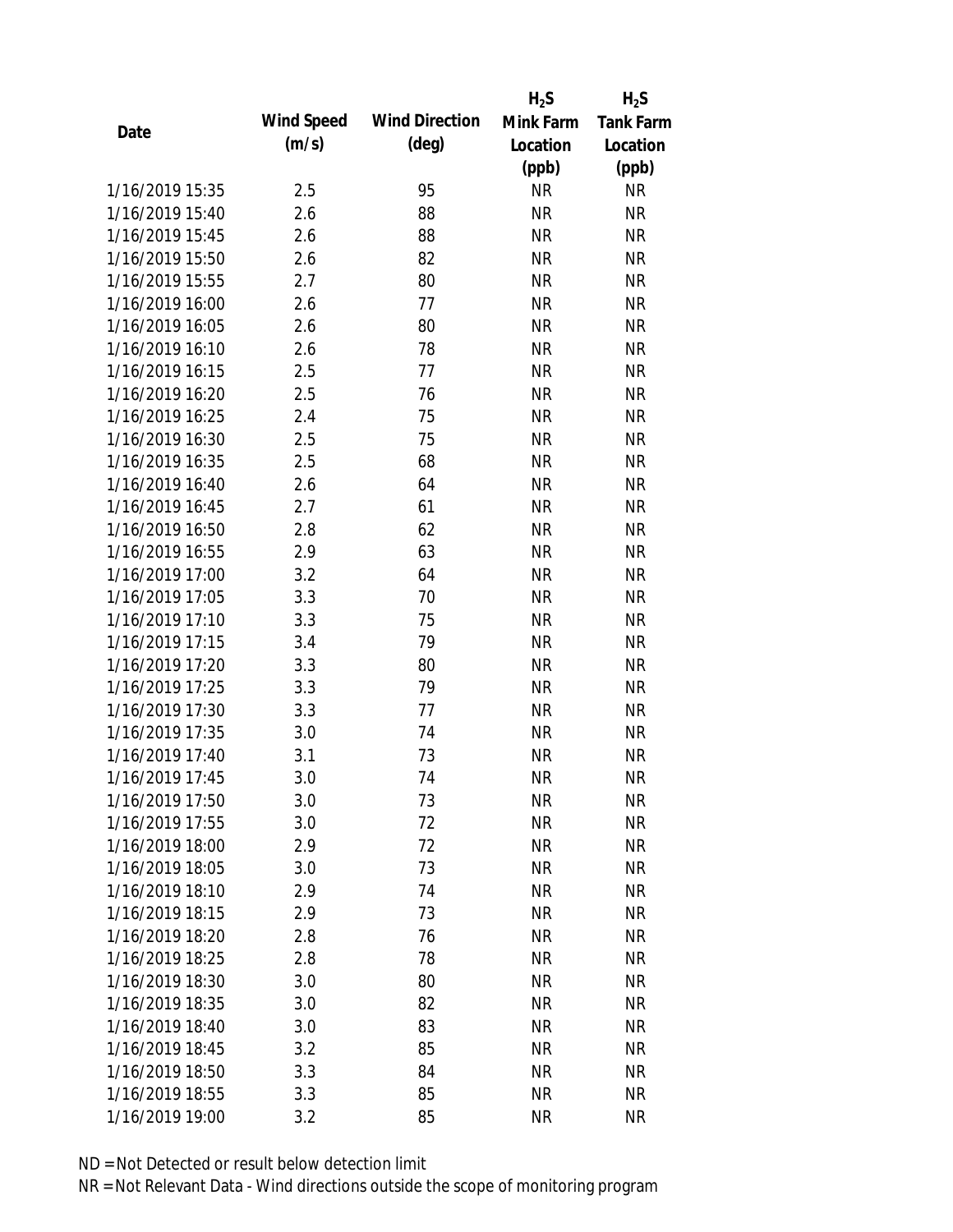|                 |            |                       | $H_2S$    | $H_2S$           |
|-----------------|------------|-----------------------|-----------|------------------|
| Date            | Wind Speed | <b>Wind Direction</b> | Mink Farm | <b>Tank Farm</b> |
|                 | (m/s)      | $(\text{deg})$        | Location  | Location         |
|                 |            |                       | (ppb)     | (ppb)            |
| 1/16/2019 15:35 | 2.5        | 95                    | <b>NR</b> | <b>NR</b>        |
| 1/16/2019 15:40 | 2.6        | 88                    | <b>NR</b> | <b>NR</b>        |
| 1/16/2019 15:45 | 2.6        | 88                    | <b>NR</b> | <b>NR</b>        |
| 1/16/2019 15:50 | 2.6        | 82                    | <b>NR</b> | <b>NR</b>        |
| 1/16/2019 15:55 | 2.7        | 80                    | <b>NR</b> | <b>NR</b>        |
| 1/16/2019 16:00 | 2.6        | 77                    | <b>NR</b> | <b>NR</b>        |
| 1/16/2019 16:05 | 2.6        | 80                    | <b>NR</b> | <b>NR</b>        |
| 1/16/2019 16:10 | 2.6        | 78                    | <b>NR</b> | <b>NR</b>        |
| 1/16/2019 16:15 | 2.5        | 77                    | <b>NR</b> | <b>NR</b>        |
| 1/16/2019 16:20 | 2.5        | 76                    | <b>NR</b> | <b>NR</b>        |
| 1/16/2019 16:25 | 2.4        | 75                    | <b>NR</b> | <b>NR</b>        |
| 1/16/2019 16:30 | 2.5        | 75                    | <b>NR</b> | <b>NR</b>        |
| 1/16/2019 16:35 | 2.5        | 68                    | <b>NR</b> | <b>NR</b>        |
| 1/16/2019 16:40 | 2.6        | 64                    | <b>NR</b> | <b>NR</b>        |
| 1/16/2019 16:45 | 2.7        | 61                    | <b>NR</b> | <b>NR</b>        |
| 1/16/2019 16:50 | 2.8        | 62                    | <b>NR</b> | <b>NR</b>        |
| 1/16/2019 16:55 | 2.9        | 63                    | <b>NR</b> | <b>NR</b>        |
| 1/16/2019 17:00 | 3.2        | 64                    | <b>NR</b> | <b>NR</b>        |
| 1/16/2019 17:05 | 3.3        | 70                    | <b>NR</b> | <b>NR</b>        |
| 1/16/2019 17:10 | 3.3        | 75                    | <b>NR</b> | <b>NR</b>        |
| 1/16/2019 17:15 | 3.4        | 79                    | <b>NR</b> | <b>NR</b>        |
| 1/16/2019 17:20 | 3.3        | 80                    | <b>NR</b> | <b>NR</b>        |
| 1/16/2019 17:25 | 3.3        | 79                    | <b>NR</b> | <b>NR</b>        |
| 1/16/2019 17:30 | 3.3        | 77                    | <b>NR</b> | <b>NR</b>        |
| 1/16/2019 17:35 | 3.0        | 74                    | <b>NR</b> | <b>NR</b>        |
| 1/16/2019 17:40 | 3.1        | 73                    | <b>NR</b> | <b>NR</b>        |
| 1/16/2019 17:45 | 3.0        | 74                    | <b>NR</b> | <b>NR</b>        |
| 1/16/2019 17:50 | 3.0        | 73                    | <b>NR</b> | <b>NR</b>        |
| 1/16/2019 17:55 | 3.0        | 72                    | <b>NR</b> | <b>NR</b>        |
| 1/16/2019 18:00 | 2.9        | 72                    | <b>NR</b> | <b>NR</b>        |
| 1/16/2019 18:05 | 3.0        | 73                    | <b>NR</b> | <b>NR</b>        |
| 1/16/2019 18:10 | 2.9        | 74                    | <b>NR</b> | NR               |
| 1/16/2019 18:15 | 2.9        | 73                    | <b>NR</b> | <b>NR</b>        |
| 1/16/2019 18:20 | 2.8        | 76                    | <b>NR</b> | <b>NR</b>        |
| 1/16/2019 18:25 | 2.8        | 78                    | <b>NR</b> | NR               |
| 1/16/2019 18:30 | 3.0        | 80                    | <b>NR</b> | <b>NR</b>        |
| 1/16/2019 18:35 | 3.0        | 82                    | <b>NR</b> | NR               |
| 1/16/2019 18:40 | 3.0        | 83                    | <b>NR</b> | NR               |
| 1/16/2019 18:45 | 3.2        | 85                    | <b>NR</b> | NR               |
| 1/16/2019 18:50 | 3.3        | 84                    | <b>NR</b> | NR               |
| 1/16/2019 18:55 | 3.3        | 85                    | <b>NR</b> | <b>NR</b>        |
| 1/16/2019 19:00 | 3.2        | 85                    | <b>NR</b> | <b>NR</b>        |
|                 |            |                       |           |                  |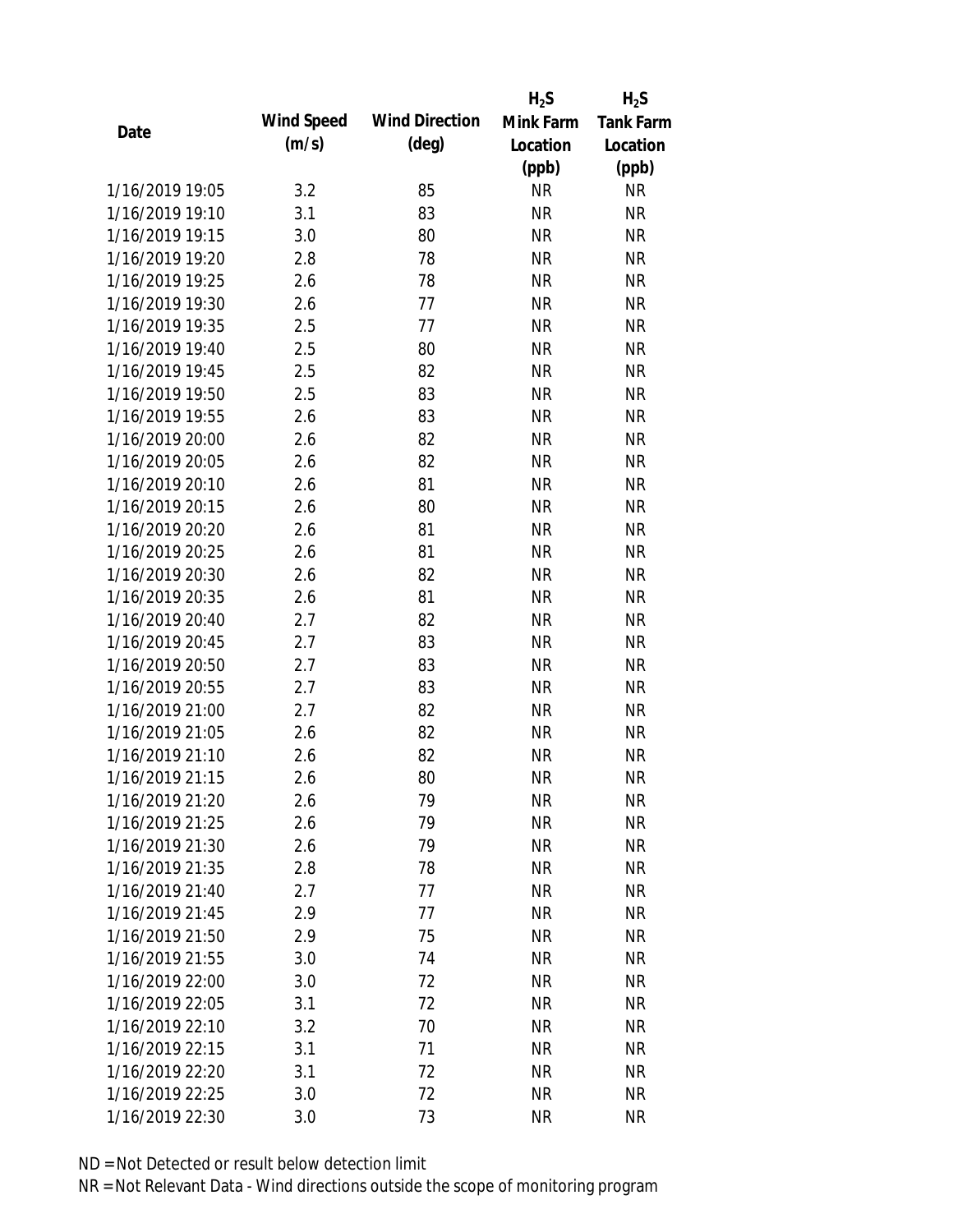|                 |            |                       | $H_2S$    | $H_2S$           |
|-----------------|------------|-----------------------|-----------|------------------|
| Date            | Wind Speed | <b>Wind Direction</b> | Mink Farm | <b>Tank Farm</b> |
|                 | (m/s)      | $(\text{deg})$        | Location  | Location         |
|                 |            |                       | (ppb)     | (ppb)            |
| 1/16/2019 19:05 | 3.2        | 85                    | <b>NR</b> | NR               |
| 1/16/2019 19:10 | 3.1        | 83                    | <b>NR</b> | <b>NR</b>        |
| 1/16/2019 19:15 | 3.0        | 80                    | <b>NR</b> | <b>NR</b>        |
| 1/16/2019 19:20 | 2.8        | 78                    | <b>NR</b> | <b>NR</b>        |
| 1/16/2019 19:25 | 2.6        | 78                    | <b>NR</b> | <b>NR</b>        |
| 1/16/2019 19:30 | 2.6        | 77                    | <b>NR</b> | <b>NR</b>        |
| 1/16/2019 19:35 | 2.5        | 77                    | <b>NR</b> | <b>NR</b>        |
| 1/16/2019 19:40 | 2.5        | 80                    | <b>NR</b> | <b>NR</b>        |
| 1/16/2019 19:45 | 2.5        | 82                    | <b>NR</b> | <b>NR</b>        |
| 1/16/2019 19:50 | 2.5        | 83                    | <b>NR</b> | <b>NR</b>        |
| 1/16/2019 19:55 | 2.6        | 83                    | <b>NR</b> | <b>NR</b>        |
| 1/16/2019 20:00 | 2.6        | 82                    | <b>NR</b> | <b>NR</b>        |
| 1/16/2019 20:05 | 2.6        | 82                    | <b>NR</b> | <b>NR</b>        |
| 1/16/2019 20:10 | 2.6        | 81                    | <b>NR</b> | <b>NR</b>        |
| 1/16/2019 20:15 | 2.6        | 80                    | <b>NR</b> | <b>NR</b>        |
| 1/16/2019 20:20 | 2.6        | 81                    | <b>NR</b> | <b>NR</b>        |
| 1/16/2019 20:25 | 2.6        | 81                    | <b>NR</b> | <b>NR</b>        |
| 1/16/2019 20:30 | 2.6        | 82                    | <b>NR</b> | <b>NR</b>        |
| 1/16/2019 20:35 | 2.6        | 81                    | <b>NR</b> | <b>NR</b>        |
| 1/16/2019 20:40 | 2.7        | 82                    | <b>NR</b> | <b>NR</b>        |
| 1/16/2019 20:45 | 2.7        | 83                    | <b>NR</b> | <b>NR</b>        |
| 1/16/2019 20:50 | 2.7        | 83                    | <b>NR</b> | <b>NR</b>        |
| 1/16/2019 20:55 | 2.7        | 83                    | <b>NR</b> | <b>NR</b>        |
| 1/16/2019 21:00 | 2.7        | 82                    | <b>NR</b> | <b>NR</b>        |
| 1/16/2019 21:05 | 2.6        | 82                    | <b>NR</b> | <b>NR</b>        |
| 1/16/2019 21:10 | 2.6        | 82                    | <b>NR</b> | <b>NR</b>        |
| 1/16/2019 21:15 | 2.6        | 80                    | <b>NR</b> | <b>NR</b>        |
| 1/16/2019 21:20 | 2.6        | 79                    | <b>NR</b> | <b>NR</b>        |
| 1/16/2019 21:25 | 2.6        | 79                    | <b>NR</b> | <b>NR</b>        |
| 1/16/2019 21:30 | 2.6        | 79                    | <b>NR</b> | <b>NR</b>        |
| 1/16/2019 21:35 | 2.8        | 78                    | <b>NR</b> | <b>NR</b>        |
| 1/16/2019 21:40 | 2.7        | 77                    | <b>NR</b> | NR               |
| 1/16/2019 21:45 | 2.9        | 77                    | <b>NR</b> | <b>NR</b>        |
| 1/16/2019 21:50 | 2.9        | 75                    | <b>NR</b> | <b>NR</b>        |
| 1/16/2019 21:55 | 3.0        | 74                    | <b>NR</b> | NR               |
| 1/16/2019 22:00 | 3.0        | 72                    | <b>NR</b> | <b>NR</b>        |
| 1/16/2019 22:05 | 3.1        | 72                    | <b>NR</b> | NR               |
| 1/16/2019 22:10 | 3.2        | 70                    | <b>NR</b> | NR               |
| 1/16/2019 22:15 | 3.1        | 71                    | <b>NR</b> | NR               |
| 1/16/2019 22:20 | 3.1        | 72                    | <b>NR</b> | NR               |
| 1/16/2019 22:25 | 3.0        | 72                    | <b>NR</b> | <b>NR</b>        |
|                 |            |                       |           | <b>NR</b>        |
| 1/16/2019 22:30 | 3.0        | 73                    | <b>NR</b> |                  |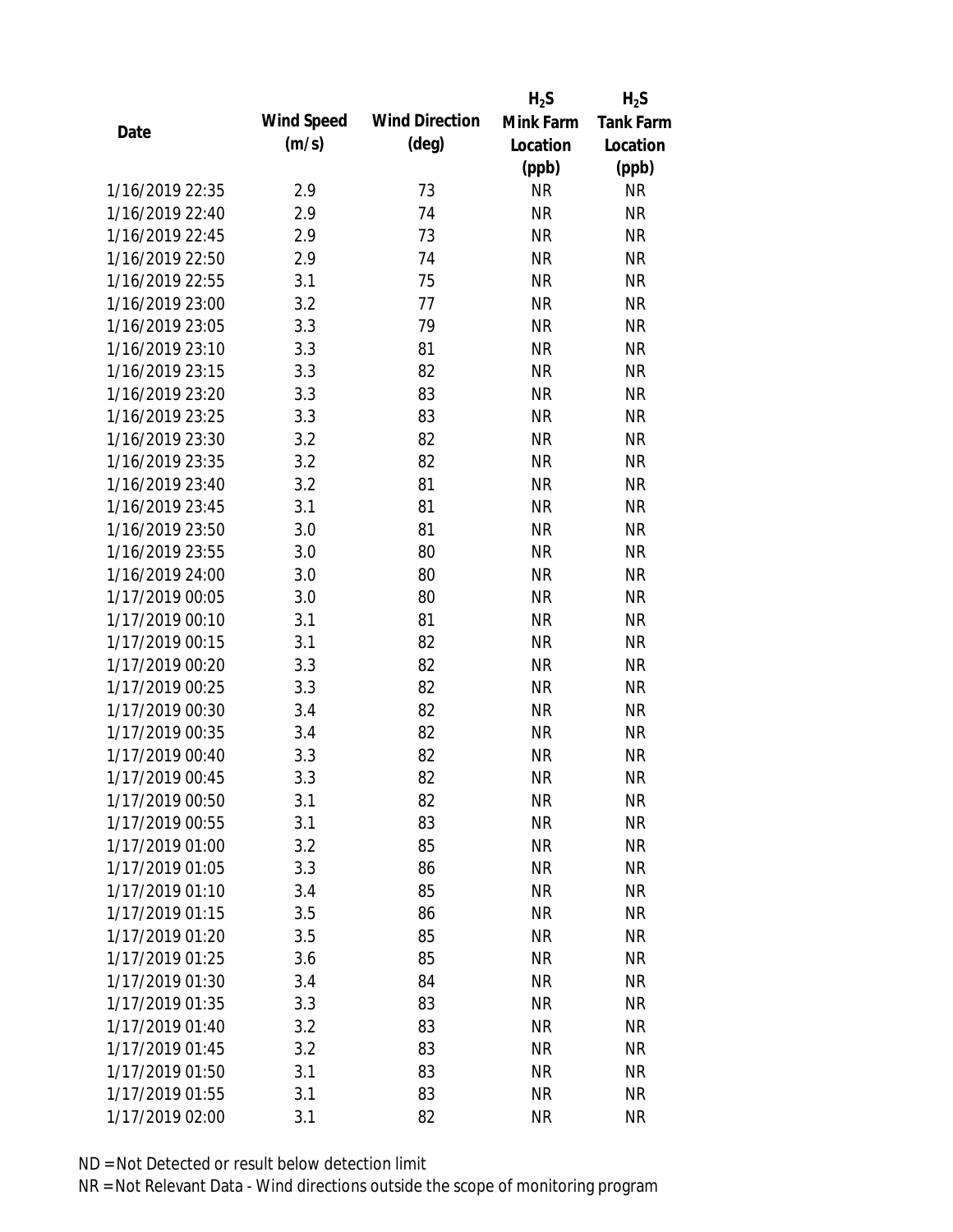|                 |            |                       | $H_2S$    | $H_2S$           |
|-----------------|------------|-----------------------|-----------|------------------|
| Date            | Wind Speed | <b>Wind Direction</b> | Mink Farm | <b>Tank Farm</b> |
|                 | (m/s)      | $(\text{deg})$        | Location  | Location         |
|                 |            |                       | (ppb)     | (ppb)            |
| 1/16/2019 22:35 | 2.9        | 73                    | <b>NR</b> | <b>NR</b>        |
| 1/16/2019 22:40 | 2.9        | 74                    | <b>NR</b> | <b>NR</b>        |
| 1/16/2019 22:45 | 2.9        | 73                    | <b>NR</b> | <b>NR</b>        |
| 1/16/2019 22:50 | 2.9        | 74                    | <b>NR</b> | <b>NR</b>        |
| 1/16/2019 22:55 | 3.1        | 75                    | <b>NR</b> | <b>NR</b>        |
| 1/16/2019 23:00 | 3.2        | 77                    | <b>NR</b> | <b>NR</b>        |
| 1/16/2019 23:05 | 3.3        | 79                    | <b>NR</b> | <b>NR</b>        |
| 1/16/2019 23:10 | 3.3        | 81                    | <b>NR</b> | <b>NR</b>        |
| 1/16/2019 23:15 | 3.3        | 82                    | <b>NR</b> | <b>NR</b>        |
| 1/16/2019 23:20 | 3.3        | 83                    | <b>NR</b> | <b>NR</b>        |
| 1/16/2019 23:25 | 3.3        | 83                    | <b>NR</b> | <b>NR</b>        |
| 1/16/2019 23:30 | 3.2        | 82                    | <b>NR</b> | <b>NR</b>        |
| 1/16/2019 23:35 | 3.2        | 82                    | <b>NR</b> | <b>NR</b>        |
| 1/16/2019 23:40 | 3.2        | 81                    | <b>NR</b> | <b>NR</b>        |
| 1/16/2019 23:45 | 3.1        | 81                    | <b>NR</b> | <b>NR</b>        |
| 1/16/2019 23:50 | 3.0        | 81                    | <b>NR</b> | <b>NR</b>        |
| 1/16/2019 23:55 | 3.0        | 80                    | <b>NR</b> | <b>NR</b>        |
| 1/16/2019 24:00 | 3.0        | 80                    | <b>NR</b> | <b>NR</b>        |
| 1/17/2019 00:05 | 3.0        | 80                    | <b>NR</b> | <b>NR</b>        |
| 1/17/2019 00:10 | 3.1        | 81                    | <b>NR</b> | <b>NR</b>        |
| 1/17/2019 00:15 | 3.1        | 82                    | <b>NR</b> | <b>NR</b>        |
| 1/17/2019 00:20 | 3.3        | 82                    | <b>NR</b> | <b>NR</b>        |
| 1/17/2019 00:25 | 3.3        | 82                    | <b>NR</b> | <b>NR</b>        |
| 1/17/2019 00:30 | 3.4        | 82                    | <b>NR</b> | <b>NR</b>        |
| 1/17/2019 00:35 | 3.4        | 82                    | <b>NR</b> | <b>NR</b>        |
| 1/17/2019 00:40 | 3.3        | 82                    | <b>NR</b> | <b>NR</b>        |
| 1/17/2019 00:45 | 3.3        | 82                    | <b>NR</b> | <b>NR</b>        |
| 1/17/2019 00:50 | 3.1        | 82                    | <b>NR</b> | <b>NR</b>        |
| 1/17/2019 00:55 | 3.1        | 83                    | <b>NR</b> | <b>NR</b>        |
| 1/17/2019 01:00 | 3.2        | 85                    | <b>NR</b> | <b>NR</b>        |
| 1/17/2019 01:05 | 3.3        | 86                    | <b>NR</b> | <b>NR</b>        |
| 1/17/2019 01:10 | 3.4        | 85                    | <b>NR</b> | NR               |
| 1/17/2019 01:15 | 3.5        | 86                    | <b>NR</b> | <b>NR</b>        |
| 1/17/2019 01:20 | 3.5        | 85                    | <b>NR</b> | <b>NR</b>        |
| 1/17/2019 01:25 | 3.6        | 85                    | <b>NR</b> | <b>NR</b>        |
| 1/17/2019 01:30 | 3.4        | 84                    | <b>NR</b> | <b>NR</b>        |
| 1/17/2019 01:35 | 3.3        | 83                    | <b>NR</b> | <b>NR</b>        |
| 1/17/2019 01:40 | 3.2        | 83                    | <b>NR</b> | <b>NR</b>        |
| 1/17/2019 01:45 | 3.2        | 83                    | <b>NR</b> | NR               |
| 1/17/2019 01:50 | 3.1        | 83                    | <b>NR</b> | NR               |
| 1/17/2019 01:55 | 3.1        | 83                    | <b>NR</b> | <b>NR</b>        |
| 1/17/2019 02:00 | 3.1        | 82                    | <b>NR</b> | <b>NR</b>        |
|                 |            |                       |           |                  |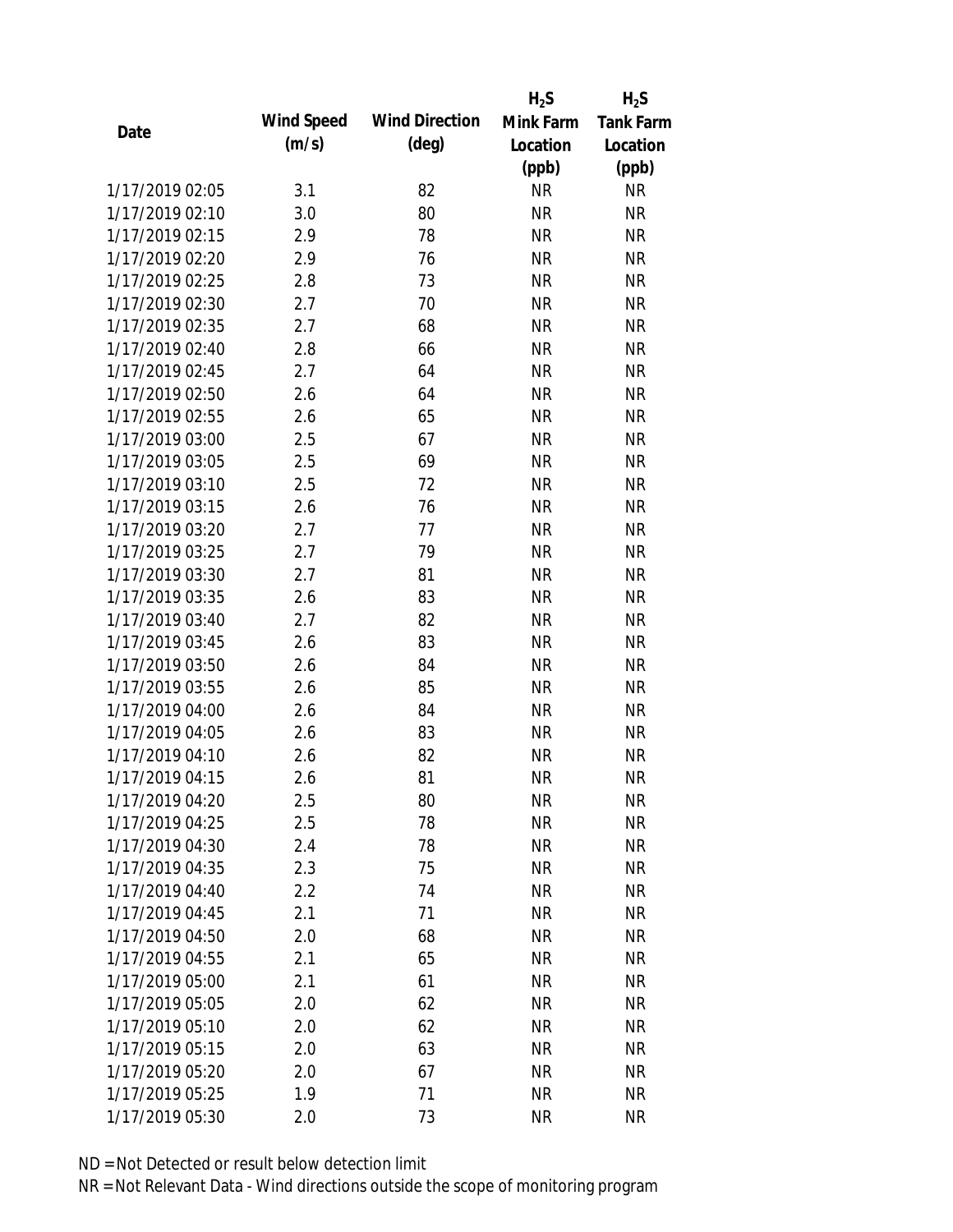|                 |            |                       | $H_2S$    | $H_2S$           |
|-----------------|------------|-----------------------|-----------|------------------|
| Date            | Wind Speed | <b>Wind Direction</b> | Mink Farm | <b>Tank Farm</b> |
|                 | (m/s)      | $(\text{deg})$        | Location  | Location         |
|                 |            |                       | (ppb)     | (ppb)            |
| 1/17/2019 02:05 | 3.1        | 82                    | <b>NR</b> | <b>NR</b>        |
| 1/17/2019 02:10 | 3.0        | 80                    | <b>NR</b> | <b>NR</b>        |
| 1/17/2019 02:15 | 2.9        | 78                    | <b>NR</b> | <b>NR</b>        |
| 1/17/2019 02:20 | 2.9        | 76                    | <b>NR</b> | <b>NR</b>        |
| 1/17/2019 02:25 | 2.8        | 73                    | <b>NR</b> | <b>NR</b>        |
| 1/17/2019 02:30 | 2.7        | 70                    | <b>NR</b> | <b>NR</b>        |
| 1/17/2019 02:35 | 2.7        | 68                    | <b>NR</b> | <b>NR</b>        |
| 1/17/2019 02:40 | 2.8        | 66                    | <b>NR</b> | <b>NR</b>        |
| 1/17/2019 02:45 | 2.7        | 64                    | <b>NR</b> | <b>NR</b>        |
| 1/17/2019 02:50 | 2.6        | 64                    | <b>NR</b> | <b>NR</b>        |
| 1/17/2019 02:55 | 2.6        | 65                    | <b>NR</b> | <b>NR</b>        |
| 1/17/2019 03:00 | 2.5        | 67                    | <b>NR</b> | <b>NR</b>        |
| 1/17/2019 03:05 | 2.5        | 69                    | <b>NR</b> | <b>NR</b>        |
| 1/17/2019 03:10 | 2.5        | 72                    | <b>NR</b> | <b>NR</b>        |
| 1/17/2019 03:15 | 2.6        | 76                    | <b>NR</b> | <b>NR</b>        |
| 1/17/2019 03:20 | 2.7        | 77                    | <b>NR</b> | <b>NR</b>        |
| 1/17/2019 03:25 | 2.7        | 79                    | <b>NR</b> | <b>NR</b>        |
| 1/17/2019 03:30 | 2.7        | 81                    | <b>NR</b> | <b>NR</b>        |
| 1/17/2019 03:35 | 2.6        | 83                    | <b>NR</b> | <b>NR</b>        |
| 1/17/2019 03:40 | 2.7        | 82                    | <b>NR</b> | <b>NR</b>        |
| 1/17/2019 03:45 | 2.6        | 83                    | <b>NR</b> | <b>NR</b>        |
| 1/17/2019 03:50 | 2.6        | 84                    | <b>NR</b> | <b>NR</b>        |
| 1/17/2019 03:55 | 2.6        | 85                    | <b>NR</b> | <b>NR</b>        |
| 1/17/2019 04:00 | 2.6        | 84                    | <b>NR</b> | <b>NR</b>        |
| 1/17/2019 04:05 | 2.6        | 83                    | <b>NR</b> | <b>NR</b>        |
| 1/17/2019 04:10 | 2.6        | 82                    | <b>NR</b> | <b>NR</b>        |
| 1/17/2019 04:15 | 2.6        | 81                    | <b>NR</b> | <b>NR</b>        |
| 1/17/2019 04:20 | 2.5        | 80                    | <b>NR</b> | <b>NR</b>        |
| 1/17/2019 04:25 | 2.5        | 78                    | <b>NR</b> | <b>NR</b>        |
| 1/17/2019 04:30 | 2.4        | 78                    | NR        | <b>NR</b>        |
| 1/17/2019 04:35 | 2.3        | 75                    | <b>NR</b> | <b>NR</b>        |
| 1/17/2019 04:40 | 2.2        | 74                    | <b>NR</b> | <b>NR</b>        |
| 1/17/2019 04:45 | 2.1        | 71                    | <b>NR</b> | <b>NR</b>        |
| 1/17/2019 04:50 | 2.0        | 68                    | <b>NR</b> | <b>NR</b>        |
| 1/17/2019 04:55 | 2.1        | 65                    | <b>NR</b> | <b>NR</b>        |
| 1/17/2019 05:00 | 2.1        | 61                    | <b>NR</b> | <b>NR</b>        |
| 1/17/2019 05:05 | 2.0        | 62                    | <b>NR</b> | <b>NR</b>        |
| 1/17/2019 05:10 | 2.0        | 62                    | NR        | <b>NR</b>        |
| 1/17/2019 05:15 | 2.0        | 63                    | <b>NR</b> | <b>NR</b>        |
| 1/17/2019 05:20 | 2.0        | 67                    | <b>NR</b> | <b>NR</b>        |
| 1/17/2019 05:25 | 1.9        | 71                    | <b>NR</b> | <b>NR</b>        |
| 1/17/2019 05:30 | 2.0        | 73                    | <b>NR</b> | <b>NR</b>        |
|                 |            |                       |           |                  |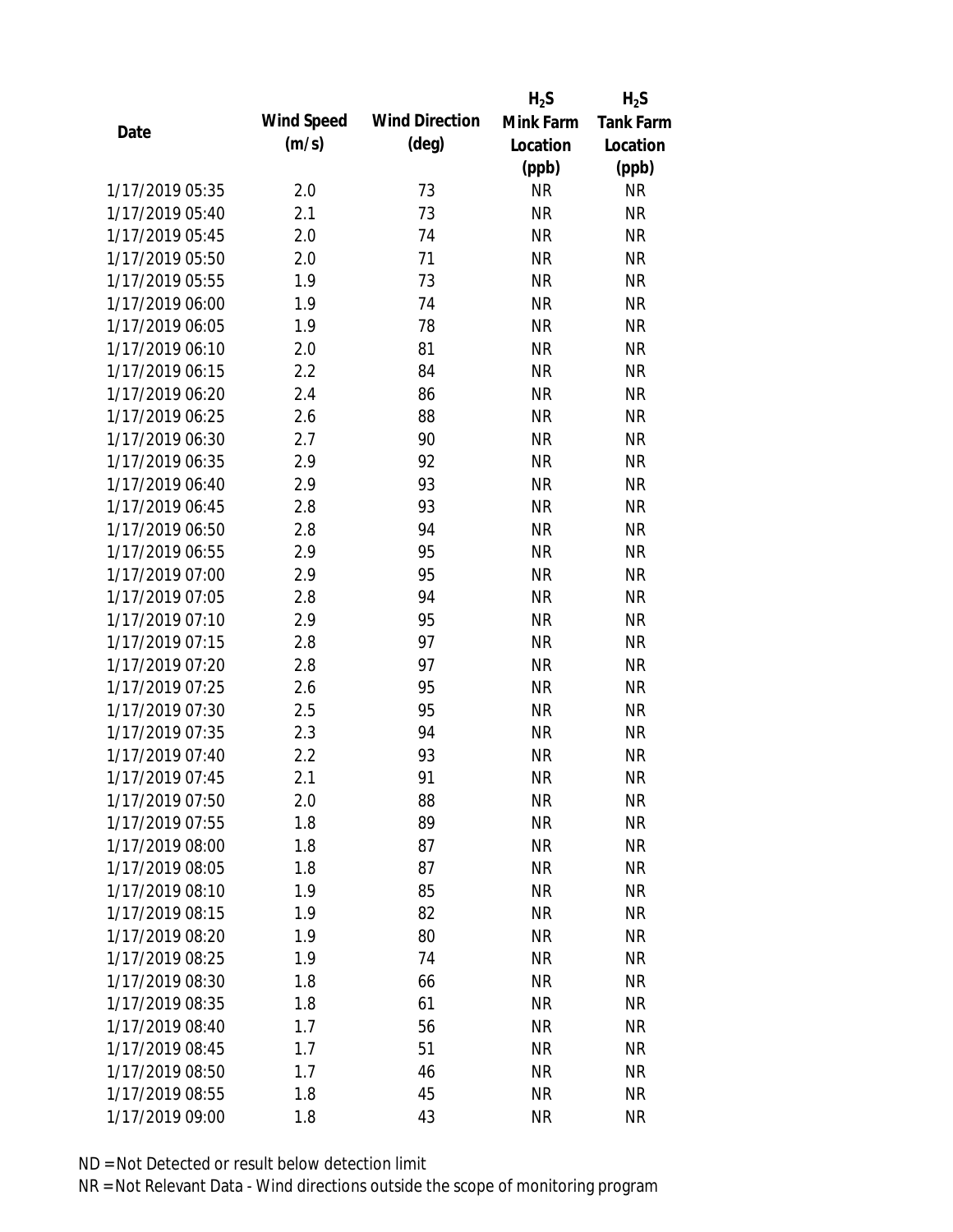|                 |            |                       | $H_2S$    | $H_2S$           |
|-----------------|------------|-----------------------|-----------|------------------|
| Date            | Wind Speed | <b>Wind Direction</b> | Mink Farm | <b>Tank Farm</b> |
|                 | (m/s)      | $(\text{deg})$        | Location  | Location         |
|                 |            |                       | (ppb)     | (ppb)            |
| 1/17/2019 05:35 | 2.0        | 73                    | <b>NR</b> | <b>NR</b>        |
| 1/17/2019 05:40 | 2.1        | 73                    | <b>NR</b> | <b>NR</b>        |
| 1/17/2019 05:45 | 2.0        | 74                    | <b>NR</b> | <b>NR</b>        |
| 1/17/2019 05:50 | 2.0        | 71                    | <b>NR</b> | <b>NR</b>        |
| 1/17/2019 05:55 | 1.9        | 73                    | <b>NR</b> | <b>NR</b>        |
| 1/17/2019 06:00 | 1.9        | 74                    | <b>NR</b> | <b>NR</b>        |
| 1/17/2019 06:05 | 1.9        | 78                    | <b>NR</b> | <b>NR</b>        |
| 1/17/2019 06:10 | 2.0        | 81                    | <b>NR</b> | <b>NR</b>        |
| 1/17/2019 06:15 | 2.2        | 84                    | <b>NR</b> | <b>NR</b>        |
| 1/17/2019 06:20 | 2.4        | 86                    | <b>NR</b> | <b>NR</b>        |
| 1/17/2019 06:25 | 2.6        | 88                    | <b>NR</b> | <b>NR</b>        |
| 1/17/2019 06:30 | 2.7        | 90                    | <b>NR</b> | <b>NR</b>        |
| 1/17/2019 06:35 | 2.9        | 92                    | <b>NR</b> | <b>NR</b>        |
| 1/17/2019 06:40 | 2.9        | 93                    | <b>NR</b> | <b>NR</b>        |
| 1/17/2019 06:45 | 2.8        | 93                    | <b>NR</b> | <b>NR</b>        |
| 1/17/2019 06:50 | 2.8        | 94                    | <b>NR</b> | <b>NR</b>        |
| 1/17/2019 06:55 | 2.9        | 95                    | <b>NR</b> | <b>NR</b>        |
| 1/17/2019 07:00 | 2.9        | 95                    | <b>NR</b> | <b>NR</b>        |
| 1/17/2019 07:05 | 2.8        | 94                    | <b>NR</b> | <b>NR</b>        |
| 1/17/2019 07:10 | 2.9        | 95                    | <b>NR</b> | <b>NR</b>        |
| 1/17/2019 07:15 | 2.8        | 97                    | <b>NR</b> | <b>NR</b>        |
| 1/17/2019 07:20 | 2.8        | 97                    | <b>NR</b> | <b>NR</b>        |
| 1/17/2019 07:25 | 2.6        | 95                    | <b>NR</b> | <b>NR</b>        |
| 1/17/2019 07:30 | 2.5        | 95                    | <b>NR</b> | <b>NR</b>        |
| 1/17/2019 07:35 | 2.3        | 94                    | <b>NR</b> | <b>NR</b>        |
| 1/17/2019 07:40 | 2.2        | 93                    | <b>NR</b> | <b>NR</b>        |
| 1/17/2019 07:45 | 2.1        | 91                    | <b>NR</b> | <b>NR</b>        |
| 1/17/2019 07:50 | 2.0        | 88                    | <b>NR</b> | <b>NR</b>        |
| 1/17/2019 07:55 | 1.8        | 89                    | <b>NR</b> | <b>NR</b>        |
| 1/17/2019 08:00 | 1.8        | 87                    | <b>NR</b> | <b>NR</b>        |
| 1/17/2019 08:05 | 1.8        | 87                    | <b>NR</b> | <b>NR</b>        |
| 1/17/2019 08:10 | 1.9        | 85                    | <b>NR</b> | NR               |
| 1/17/2019 08:15 | 1.9        | 82                    | <b>NR</b> | <b>NR</b>        |
| 1/17/2019 08:20 | 1.9        | 80                    | <b>NR</b> | <b>NR</b>        |
| 1/17/2019 08:25 | 1.9        | 74                    | <b>NR</b> | <b>NR</b>        |
| 1/17/2019 08:30 | 1.8        |                       | <b>NR</b> | <b>NR</b>        |
| 1/17/2019 08:35 | 1.8        | 66<br>61              | <b>NR</b> | <b>NR</b>        |
| 1/17/2019 08:40 | 1.7        |                       |           | <b>NR</b>        |
|                 |            | 56                    | NR        |                  |
| 1/17/2019 08:45 | 1.7        | 51                    | <b>NR</b> | <b>NR</b>        |
| 1/17/2019 08:50 | 1.7        | 46                    | <b>NR</b> | NR               |
| 1/17/2019 08:55 | 1.8        | 45                    | <b>NR</b> | <b>NR</b>        |
| 1/17/2019 09:00 | 1.8        | 43                    | <b>NR</b> | <b>NR</b>        |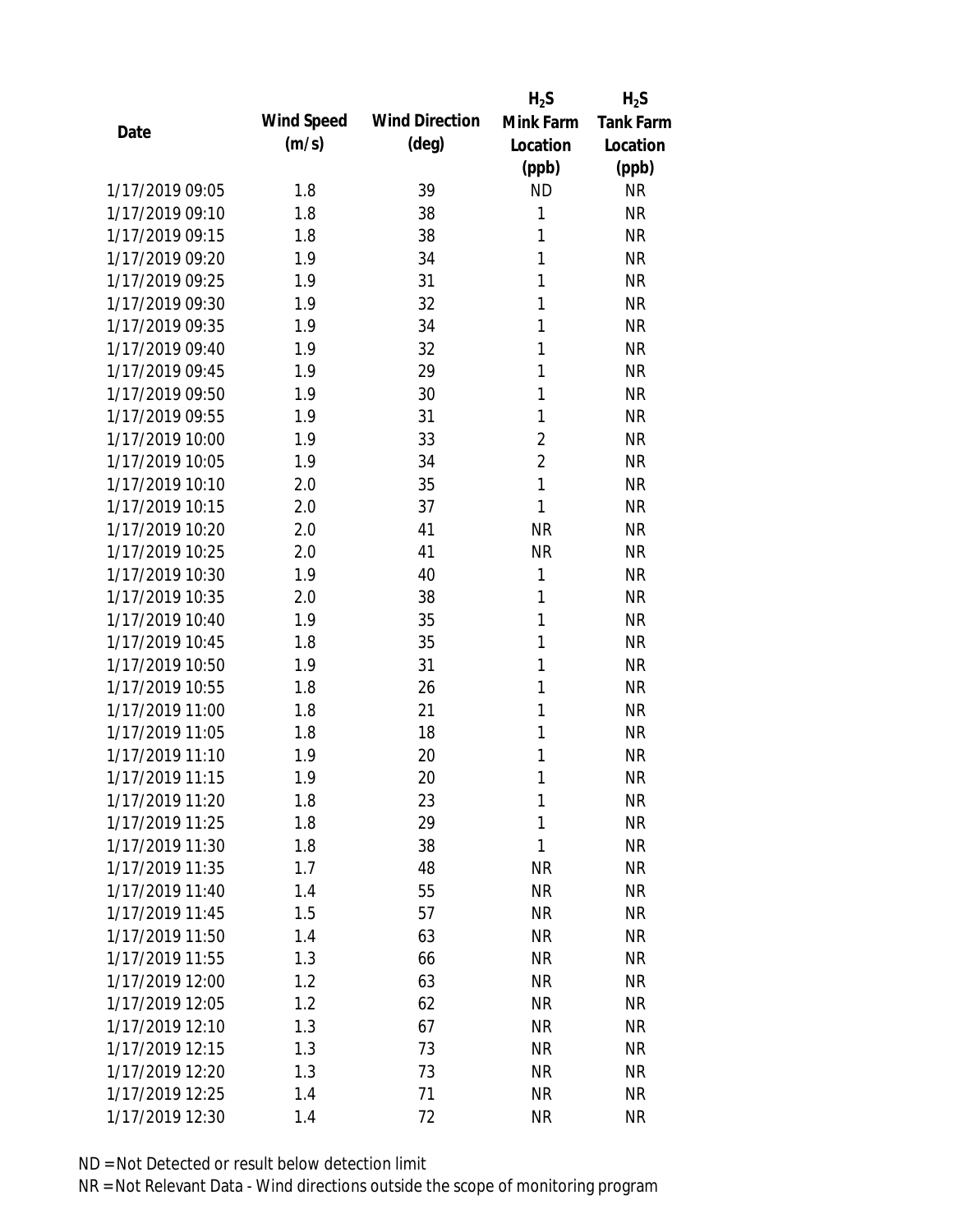|                 |            |                       | $H_2S$         | $H_2S$           |
|-----------------|------------|-----------------------|----------------|------------------|
| Date            | Wind Speed | <b>Wind Direction</b> | Mink Farm      | <b>Tank Farm</b> |
|                 | (m/s)      | (deg)                 | Location       | Location         |
|                 |            |                       | (ppb)          | (ppb)            |
| 1/17/2019 09:05 | 1.8        | 39                    | <b>ND</b>      | <b>NR</b>        |
| 1/17/2019 09:10 | 1.8        | 38                    | 1              | <b>NR</b>        |
| 1/17/2019 09:15 | 1.8        | 38                    | 1              | <b>NR</b>        |
| 1/17/2019 09:20 | 1.9        | 34                    | 1              | <b>NR</b>        |
| 1/17/2019 09:25 | 1.9        | 31                    | 1              | <b>NR</b>        |
| 1/17/2019 09:30 | 1.9        | 32                    | 1              | <b>NR</b>        |
| 1/17/2019 09:35 | 1.9        | 34                    | 1              | <b>NR</b>        |
| 1/17/2019 09:40 | 1.9        | 32                    | 1              | <b>NR</b>        |
| 1/17/2019 09:45 | 1.9        | 29                    | 1              | <b>NR</b>        |
| 1/17/2019 09:50 | 1.9        | 30                    | 1              | <b>NR</b>        |
| 1/17/2019 09:55 | 1.9        | 31                    | 1              | <b>NR</b>        |
| 1/17/2019 10:00 | 1.9        | 33                    | $\overline{2}$ | <b>NR</b>        |
| 1/17/2019 10:05 | 1.9        | 34                    | $\overline{2}$ | <b>NR</b>        |
| 1/17/2019 10:10 | 2.0        | 35                    | $\mathbf{1}$   | <b>NR</b>        |
| 1/17/2019 10:15 | 2.0        | 37                    | $\mathbf{1}$   | <b>NR</b>        |
| 1/17/2019 10:20 | 2.0        | 41                    | <b>NR</b>      | <b>NR</b>        |
| 1/17/2019 10:25 | 2.0        | 41                    | <b>NR</b>      | <b>NR</b>        |
| 1/17/2019 10:30 | 1.9        | 40                    | 1              | <b>NR</b>        |
| 1/17/2019 10:35 | 2.0        | 38                    | 1              | <b>NR</b>        |
| 1/17/2019 10:40 | 1.9        | 35                    | 1              | <b>NR</b>        |
| 1/17/2019 10:45 | 1.8        | 35                    | 1              | <b>NR</b>        |
| 1/17/2019 10:50 | 1.9        | 31                    | 1              | <b>NR</b>        |
| 1/17/2019 10:55 | 1.8        | 26                    | 1              | <b>NR</b>        |
| 1/17/2019 11:00 | 1.8        | 21                    | 1              | <b>NR</b>        |
| 1/17/2019 11:05 | 1.8        | 18                    | 1              | <b>NR</b>        |
| 1/17/2019 11:10 | 1.9        | 20                    | 1              | <b>NR</b>        |
| 1/17/2019 11:15 | 1.9        | 20                    | 1              | <b>NR</b>        |
| 1/17/2019 11:20 | 1.8        | 23                    | 1              | <b>NR</b>        |
| 1/17/2019 11:25 | 1.8        | 29                    | 1              | <b>NR</b>        |
| 1/17/2019 11:30 | 1.8        | 38                    | 1              | NR               |
| 1/17/2019 11:35 | 1.7        | 48                    | <b>NR</b>      | <b>NR</b>        |
| 1/17/2019 11:40 | 1.4        | 55                    | <b>NR</b>      | NR               |
| 1/17/2019 11:45 | 1.5        | 57                    | <b>NR</b>      | NR               |
| 1/17/2019 11:50 | 1.4        | 63                    | <b>NR</b>      | NR               |
| 1/17/2019 11:55 | 1.3        | 66                    | <b>NR</b>      | <b>NR</b>        |
| 1/17/2019 12:00 | 1.2        | 63                    | <b>NR</b>      | <b>NR</b>        |
| 1/17/2019 12:05 | 1.2        | 62                    | <b>NR</b>      | <b>NR</b>        |
| 1/17/2019 12:10 | 1.3        | 67                    | <b>NR</b>      | <b>NR</b>        |
| 1/17/2019 12:15 | 1.3        | 73                    | <b>NR</b>      | <b>NR</b>        |
| 1/17/2019 12:20 | 1.3        | 73                    | <b>NR</b>      | <b>NR</b>        |
| 1/17/2019 12:25 | 1.4        | 71                    | <b>NR</b>      | <b>NR</b>        |
| 1/17/2019 12:30 | 1.4        | 72                    | <b>NR</b>      | <b>NR</b>        |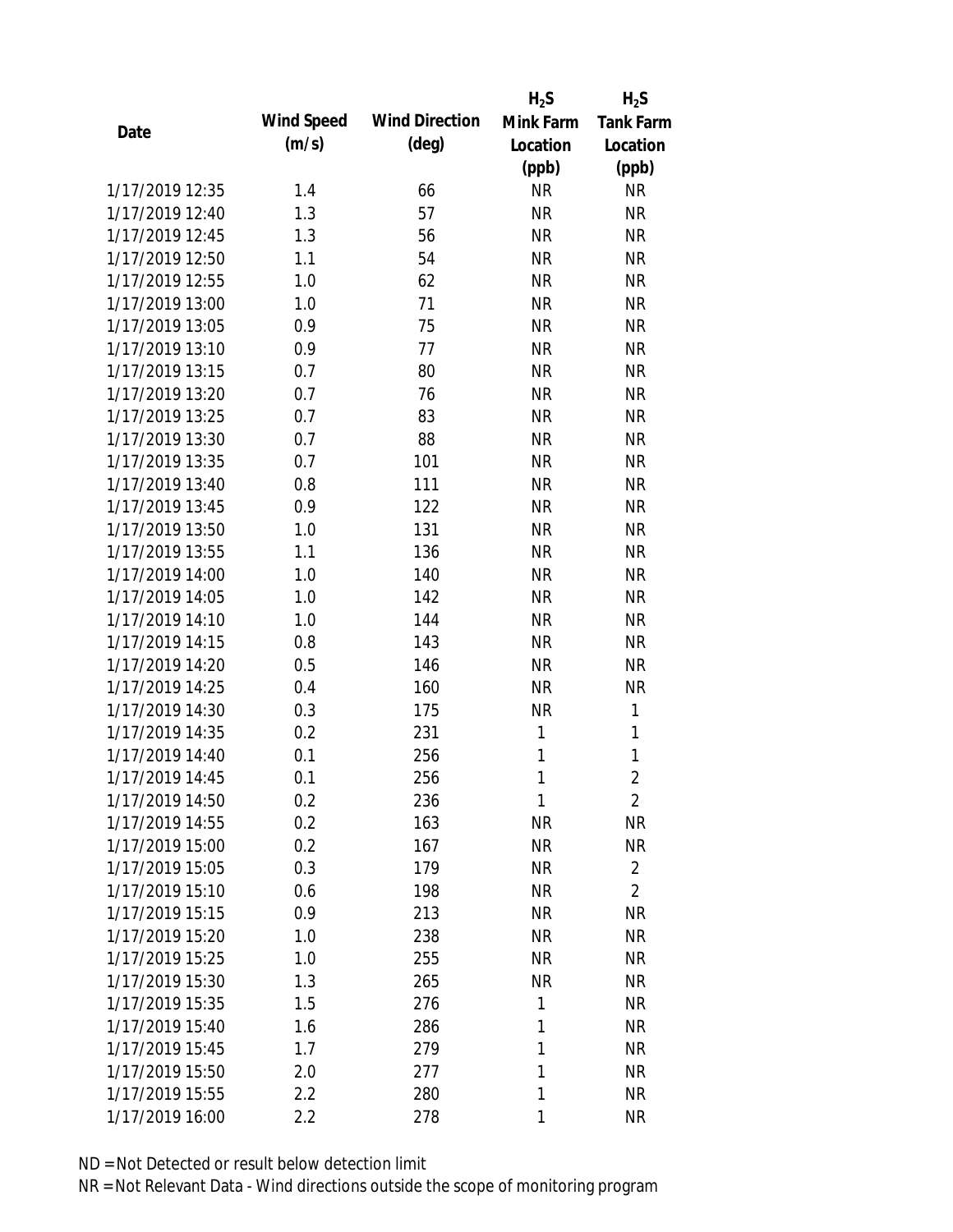|                 |            |                       | $H_2S$    | $H_2S$           |
|-----------------|------------|-----------------------|-----------|------------------|
| Date            | Wind Speed | <b>Wind Direction</b> | Mink Farm | <b>Tank Farm</b> |
|                 | (m/s)      | $(\text{deg})$        | Location  | Location         |
|                 |            |                       | (ppb)     | (ppb)            |
| 1/17/2019 12:35 | 1.4        | 66                    | <b>NR</b> | <b>NR</b>        |
| 1/17/2019 12:40 | 1.3        | 57                    | <b>NR</b> | <b>NR</b>        |
| 1/17/2019 12:45 | 1.3        | 56                    | <b>NR</b> | <b>NR</b>        |
| 1/17/2019 12:50 | 1.1        | 54                    | <b>NR</b> | <b>NR</b>        |
| 1/17/2019 12:55 | 1.0        | 62                    | <b>NR</b> | <b>NR</b>        |
| 1/17/2019 13:00 | 1.0        | 71                    | <b>NR</b> | <b>NR</b>        |
| 1/17/2019 13:05 | 0.9        | 75                    | <b>NR</b> | <b>NR</b>        |
| 1/17/2019 13:10 | 0.9        | 77                    | <b>NR</b> | <b>NR</b>        |
| 1/17/2019 13:15 | 0.7        | 80                    | <b>NR</b> | <b>NR</b>        |
| 1/17/2019 13:20 | 0.7        | 76                    | <b>NR</b> | <b>NR</b>        |
| 1/17/2019 13:25 | 0.7        | 83                    | <b>NR</b> | <b>NR</b>        |
| 1/17/2019 13:30 | 0.7        | 88                    | <b>NR</b> | <b>NR</b>        |
| 1/17/2019 13:35 | 0.7        | 101                   | <b>NR</b> | <b>NR</b>        |
| 1/17/2019 13:40 | 0.8        | 111                   | <b>NR</b> | <b>NR</b>        |
| 1/17/2019 13:45 | 0.9        | 122                   | <b>NR</b> | <b>NR</b>        |
| 1/17/2019 13:50 | 1.0        | 131                   | <b>NR</b> | <b>NR</b>        |
| 1/17/2019 13:55 | 1.1        | 136                   | <b>NR</b> | <b>NR</b>        |
| 1/17/2019 14:00 | 1.0        | 140                   | <b>NR</b> | <b>NR</b>        |
| 1/17/2019 14:05 | 1.0        | 142                   | <b>NR</b> | <b>NR</b>        |
| 1/17/2019 14:10 | 1.0        | 144                   | <b>NR</b> | <b>NR</b>        |
| 1/17/2019 14:15 | 0.8        | 143                   | <b>NR</b> | <b>NR</b>        |
| 1/17/2019 14:20 | 0.5        | 146                   | <b>NR</b> | <b>NR</b>        |
| 1/17/2019 14:25 | 0.4        | 160                   | <b>NR</b> | <b>NR</b>        |
| 1/17/2019 14:30 | 0.3        | 175                   | <b>NR</b> | 1                |
| 1/17/2019 14:35 | 0.2        | 231                   | 1         | 1                |
| 1/17/2019 14:40 | 0.1        | 256                   | 1         | 1                |
| 1/17/2019 14:45 | 0.1        | 256                   | 1         | $\overline{2}$   |
| 1/17/2019 14:50 | 0.2        | 236                   | 1         | $\overline{2}$   |
| 1/17/2019 14:55 | 0.2        | 163                   | <b>NR</b> | <b>NR</b>        |
| 1/17/2019 15:00 | 0.2        | 167                   | <b>NR</b> | <b>NR</b>        |
| 1/17/2019 15:05 | 0.3        | 179                   | <b>NR</b> | $\overline{2}$   |
| 1/17/2019 15:10 | 0.6        | 198                   | <b>NR</b> | $\overline{2}$   |
| 1/17/2019 15:15 | 0.9        | 213                   | <b>NR</b> | <b>NR</b>        |
| 1/17/2019 15:20 | 1.0        | 238                   | <b>NR</b> | <b>NR</b>        |
| 1/17/2019 15:25 | 1.0        | 255                   | <b>NR</b> | NR               |
| 1/17/2019 15:30 | 1.3        | 265                   | <b>NR</b> | <b>NR</b>        |
| 1/17/2019 15:35 | 1.5        | 276                   | 1         | NR               |
| 1/17/2019 15:40 | 1.6        | 286                   | 1         | <b>NR</b>        |
| 1/17/2019 15:45 | 1.7        | 279                   | 1         | <b>NR</b>        |
| 1/17/2019 15:50 | 2.0        | 277                   | 1         | <b>NR</b>        |
| 1/17/2019 15:55 | 2.2        | 280                   | 1         | <b>NR</b>        |
| 1/17/2019 16:00 | 2.2        | 278                   | 1         | <b>NR</b>        |
|                 |            |                       |           |                  |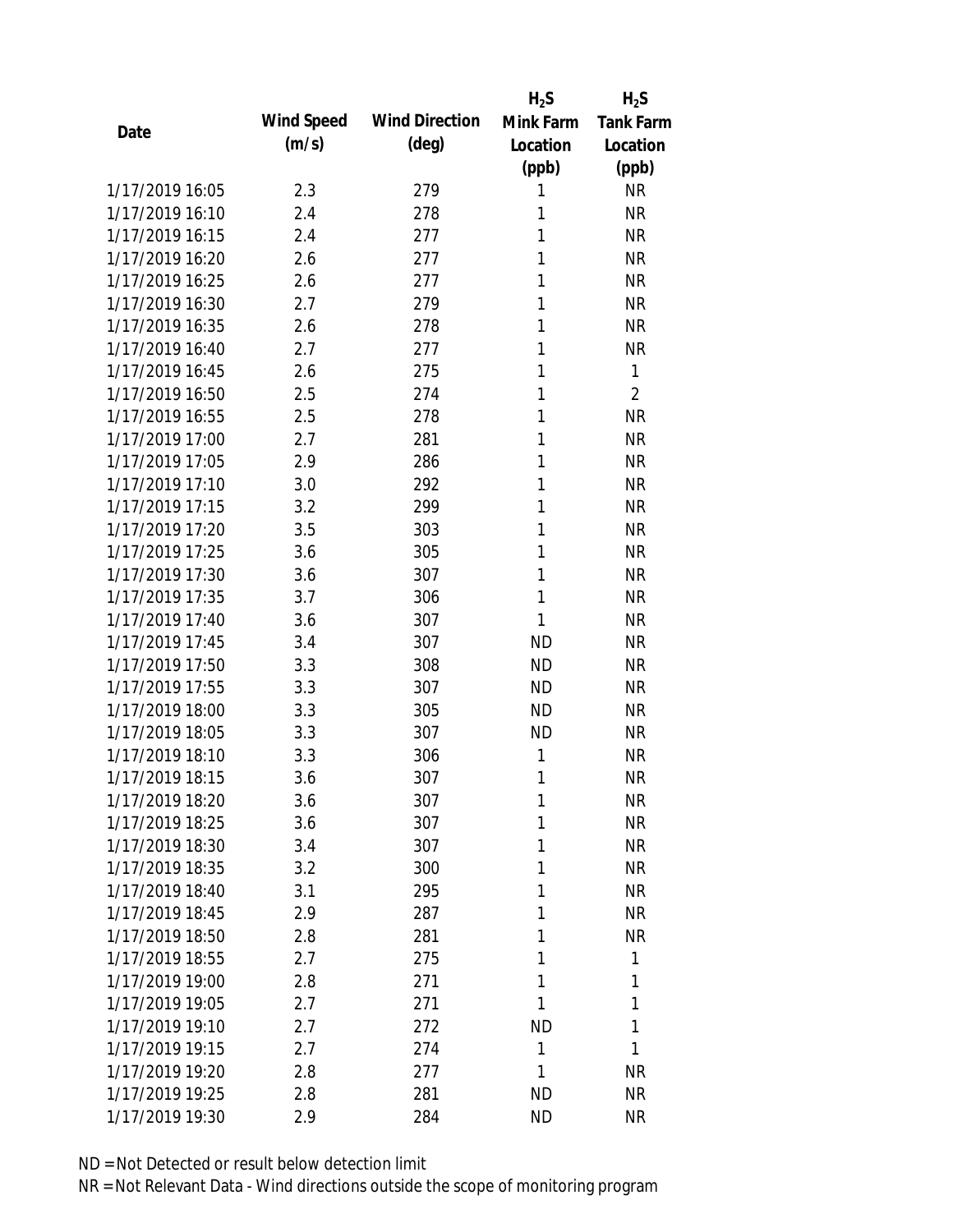|                 |            |                       | $H_2S$    | $H_2S$           |
|-----------------|------------|-----------------------|-----------|------------------|
| Date            | Wind Speed | <b>Wind Direction</b> | Mink Farm | <b>Tank Farm</b> |
|                 | (m/s)      | $(\text{deg})$        | Location  | Location         |
|                 |            |                       | (ppb)     | (ppb)            |
| 1/17/2019 16:05 | 2.3        | 279                   | 1         | <b>NR</b>        |
| 1/17/2019 16:10 | 2.4        | 278                   | 1         | <b>NR</b>        |
| 1/17/2019 16:15 | 2.4        | 277                   | 1         | <b>NR</b>        |
| 1/17/2019 16:20 | 2.6        | 277                   | 1         | <b>NR</b>        |
| 1/17/2019 16:25 | 2.6        | 277                   | 1         | <b>NR</b>        |
| 1/17/2019 16:30 | 2.7        | 279                   | 1         | <b>NR</b>        |
| 1/17/2019 16:35 | 2.6        | 278                   | 1         | <b>NR</b>        |
| 1/17/2019 16:40 | 2.7        | 277                   | 1         | <b>NR</b>        |
| 1/17/2019 16:45 | 2.6        | 275                   | 1         | 1                |
| 1/17/2019 16:50 | 2.5        | 274                   | 1         | $\overline{2}$   |
| 1/17/2019 16:55 | 2.5        | 278                   | 1         | <b>NR</b>        |
| 1/17/2019 17:00 | 2.7        | 281                   | 1         | <b>NR</b>        |
| 1/17/2019 17:05 | 2.9        | 286                   | 1         | <b>NR</b>        |
| 1/17/2019 17:10 | 3.0        | 292                   | 1         | <b>NR</b>        |
| 1/17/2019 17:15 | 3.2        | 299                   | 1         | <b>NR</b>        |
| 1/17/2019 17:20 | 3.5        | 303                   | 1         | <b>NR</b>        |
| 1/17/2019 17:25 | 3.6        | 305                   | 1         | <b>NR</b>        |
| 1/17/2019 17:30 | 3.6        | 307                   | 1         | <b>NR</b>        |
| 1/17/2019 17:35 | 3.7        | 306                   | 1         | <b>NR</b>        |
| 1/17/2019 17:40 | 3.6        | 307                   | 1         | <b>NR</b>        |
| 1/17/2019 17:45 | 3.4        | 307                   | <b>ND</b> | <b>NR</b>        |
| 1/17/2019 17:50 | 3.3        | 308                   | <b>ND</b> | <b>NR</b>        |
| 1/17/2019 17:55 | 3.3        | 307                   | <b>ND</b> | <b>NR</b>        |
| 1/17/2019 18:00 | 3.3        | 305                   | <b>ND</b> | <b>NR</b>        |
| 1/17/2019 18:05 | 3.3        | 307                   | <b>ND</b> | <b>NR</b>        |
| 1/17/2019 18:10 | 3.3        | 306                   | 1         | <b>NR</b>        |
| 1/17/2019 18:15 | 3.6        | 307                   | 1         | <b>NR</b>        |
| 1/17/2019 18:20 | 3.6        | 307                   | 1         | <b>NR</b>        |
| 1/17/2019 18:25 | 3.6        | 307                   | 1         | <b>NR</b>        |
| 1/17/2019 18:30 | 3.4        | 307                   | 1         | NR               |
| 1/17/2019 18:35 | 3.2        | 300                   | 1         | <b>NR</b>        |
| 1/17/2019 18:40 | 3.1        | 295                   | 1         | NR               |
| 1/17/2019 18:45 | 2.9        | 287                   | 1         | NR               |
| 1/17/2019 18:50 | 2.8        | 281                   | 1         | <b>NR</b>        |
| 1/17/2019 18:55 | 2.7        | 275                   | 1         | 1                |
| 1/17/2019 19:00 | 2.8        | 271                   | 1         | 1                |
| 1/17/2019 19:05 | 2.7        | 271                   | 1         | 1                |
| 1/17/2019 19:10 | 2.7        | 272                   | <b>ND</b> | 1                |
| 1/17/2019 19:15 | 2.7        | 274                   | 1         | 1                |
| 1/17/2019 19:20 | 2.8        | 277                   | 1         | <b>NR</b>        |
| 1/17/2019 19:25 | 2.8        | 281                   | <b>ND</b> | <b>NR</b>        |
| 1/17/2019 19:30 | 2.9        | 284                   | <b>ND</b> | <b>NR</b>        |
|                 |            |                       |           |                  |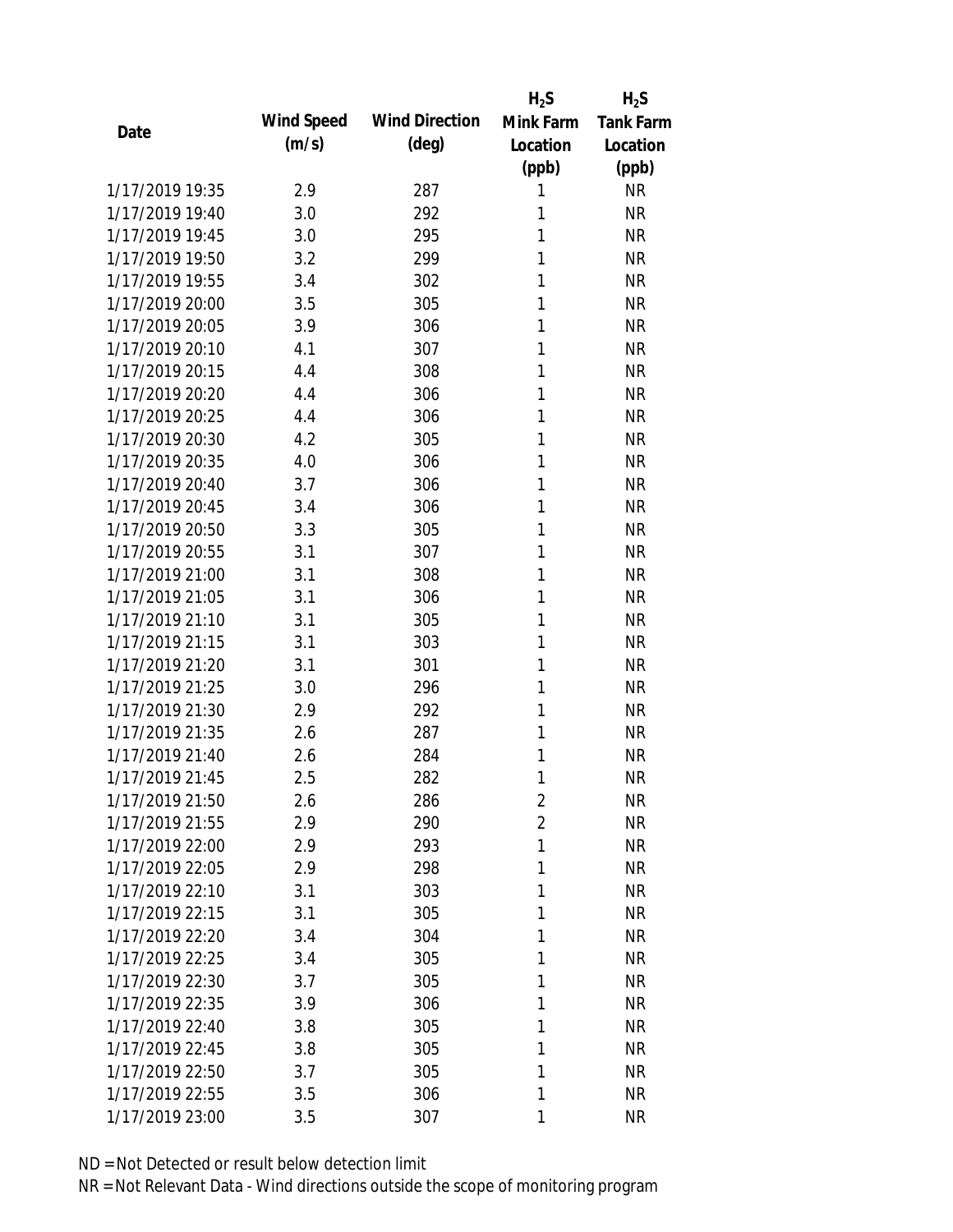|                 |            |                       | $H_2S$         | $H_2S$           |
|-----------------|------------|-----------------------|----------------|------------------|
| Date            | Wind Speed | <b>Wind Direction</b> | Mink Farm      | <b>Tank Farm</b> |
|                 | (m/s)      | $(\text{deg})$        | Location       | Location         |
|                 |            |                       | (ppb)          | (ppb)            |
| 1/17/2019 19:35 | 2.9        | 287                   | 1              | <b>NR</b>        |
| 1/17/2019 19:40 | 3.0        | 292                   | 1              | <b>NR</b>        |
| 1/17/2019 19:45 | 3.0        | 295                   | 1              | <b>NR</b>        |
| 1/17/2019 19:50 | 3.2        | 299                   | 1              | <b>NR</b>        |
| 1/17/2019 19:55 | 3.4        | 302                   | 1              | <b>NR</b>        |
| 1/17/2019 20:00 | 3.5        | 305                   | 1              | <b>NR</b>        |
| 1/17/2019 20:05 | 3.9        | 306                   | 1              | <b>NR</b>        |
| 1/17/2019 20:10 | 4.1        | 307                   | 1              | <b>NR</b>        |
| 1/17/2019 20:15 | 4.4        | 308                   | 1              | <b>NR</b>        |
| 1/17/2019 20:20 | 4.4        | 306                   | 1              | <b>NR</b>        |
| 1/17/2019 20:25 | 4.4        | 306                   | 1              | <b>NR</b>        |
| 1/17/2019 20:30 | 4.2        | 305                   | 1              | <b>NR</b>        |
| 1/17/2019 20:35 | 4.0        | 306                   | 1              | <b>NR</b>        |
| 1/17/2019 20:40 | 3.7        | 306                   | 1              | <b>NR</b>        |
| 1/17/2019 20:45 | 3.4        | 306                   | 1              | <b>NR</b>        |
| 1/17/2019 20:50 | 3.3        | 305                   | 1              | <b>NR</b>        |
| 1/17/2019 20:55 | 3.1        | 307                   | 1              | <b>NR</b>        |
| 1/17/2019 21:00 | 3.1        | 308                   | 1              | <b>NR</b>        |
| 1/17/2019 21:05 | 3.1        | 306                   | 1              | <b>NR</b>        |
| 1/17/2019 21:10 | 3.1        | 305                   | 1              | <b>NR</b>        |
| 1/17/2019 21:15 | 3.1        | 303                   | 1              | <b>NR</b>        |
| 1/17/2019 21:20 | 3.1        | 301                   | 1              | <b>NR</b>        |
| 1/17/2019 21:25 | 3.0        | 296                   | 1              | <b>NR</b>        |
| 1/17/2019 21:30 | 2.9        | 292                   | 1              | <b>NR</b>        |
| 1/17/2019 21:35 | 2.6        | 287                   | 1              | <b>NR</b>        |
| 1/17/2019 21:40 | 2.6        | 284                   | 1              | <b>NR</b>        |
| 1/17/2019 21:45 | 2.5        | 282                   | 1              | <b>NR</b>        |
| 1/17/2019 21:50 | 2.6        | 286                   | $\overline{2}$ | <b>NR</b>        |
| 1/17/2019 21:55 | 2.9        | 290                   | $\overline{2}$ | <b>NR</b>        |
| 1/17/2019 22:00 | 2.9        | 293                   | 1              | <b>NR</b>        |
| 1/17/2019 22:05 | 2.9        | 298                   | 1              | <b>NR</b>        |
| 1/17/2019 22:10 | 3.1        | 303                   | 1              | <b>NR</b>        |
| 1/17/2019 22:15 | 3.1        | 305                   | 1              | <b>NR</b>        |
| 1/17/2019 22:20 | 3.4        | 304                   | 1              | <b>NR</b>        |
| 1/17/2019 22:25 | 3.4        | 305                   | 1              | <b>NR</b>        |
| 1/17/2019 22:30 | 3.7        | 305                   | 1              | <b>NR</b>        |
| 1/17/2019 22:35 | 3.9        | 306                   | 1              | <b>NR</b>        |
| 1/17/2019 22:40 | 3.8        | 305                   | 1              | <b>NR</b>        |
| 1/17/2019 22:45 | 3.8        | 305                   | 1              | <b>NR</b>        |
| 1/17/2019 22:50 | 3.7        | 305                   | 1              | <b>NR</b>        |
| 1/17/2019 22:55 | 3.5        | 306                   | 1              | <b>NR</b>        |
| 1/17/2019 23:00 | 3.5        | 307                   | 1              | <b>NR</b>        |
|                 |            |                       |                |                  |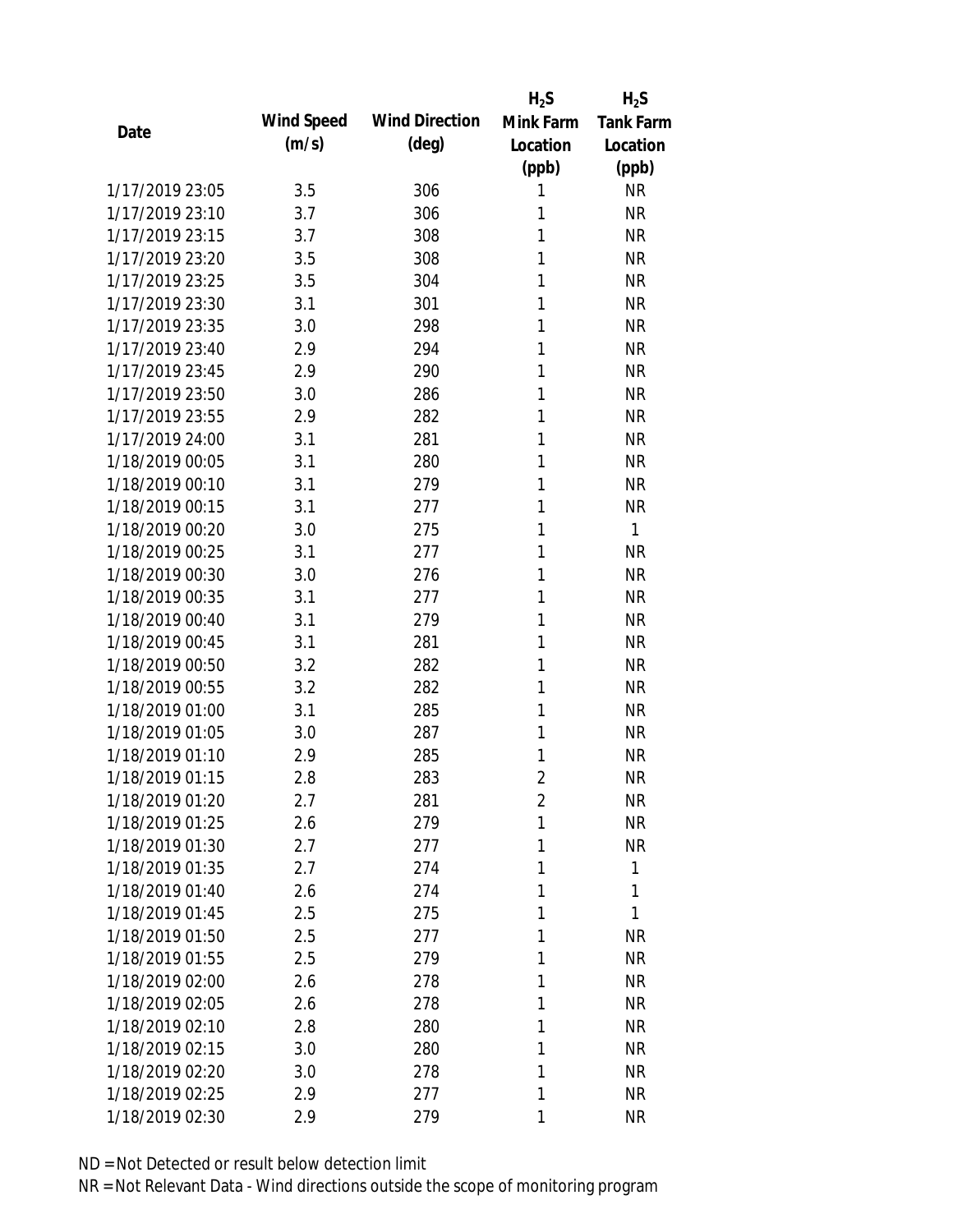|                 |            |                       | $H_2S$         | $H_2S$           |
|-----------------|------------|-----------------------|----------------|------------------|
| Date            | Wind Speed | <b>Wind Direction</b> | Mink Farm      | <b>Tank Farm</b> |
|                 | (m/s)      | $(\text{deg})$        | Location       | Location         |
|                 |            |                       | (ppb)          | (ppb)            |
| 1/17/2019 23:05 | 3.5        | 306                   | 1              | <b>NR</b>        |
| 1/17/2019 23:10 | 3.7        | 306                   | 1              | <b>NR</b>        |
| 1/17/2019 23:15 | 3.7        | 308                   | 1              | <b>NR</b>        |
| 1/17/2019 23:20 | 3.5        | 308                   | 1              | <b>NR</b>        |
| 1/17/2019 23:25 | 3.5        | 304                   | 1              | <b>NR</b>        |
| 1/17/2019 23:30 | 3.1        | 301                   | 1              | <b>NR</b>        |
| 1/17/2019 23:35 | 3.0        | 298                   | 1              | <b>NR</b>        |
| 1/17/2019 23:40 | 2.9        | 294                   | 1              | <b>NR</b>        |
| 1/17/2019 23:45 | 2.9        | 290                   | 1              | <b>NR</b>        |
| 1/17/2019 23:50 | 3.0        | 286                   | 1              | <b>NR</b>        |
| 1/17/2019 23:55 | 2.9        | 282                   | 1              | <b>NR</b>        |
| 1/17/2019 24:00 | 3.1        | 281                   | 1              | <b>NR</b>        |
| 1/18/2019 00:05 | 3.1        | 280                   | 1              | <b>NR</b>        |
| 1/18/2019 00:10 | 3.1        | 279                   | 1              | <b>NR</b>        |
| 1/18/2019 00:15 | 3.1        | 277                   | 1              | <b>NR</b>        |
| 1/18/2019 00:20 | 3.0        | 275                   | 1              | 1                |
| 1/18/2019 00:25 | 3.1        | 277                   | 1              | <b>NR</b>        |
| 1/18/2019 00:30 | 3.0        | 276                   | 1              | <b>NR</b>        |
| 1/18/2019 00:35 | 3.1        | 277                   | 1              | <b>NR</b>        |
| 1/18/2019 00:40 | 3.1        | 279                   | 1              | <b>NR</b>        |
| 1/18/2019 00:45 | 3.1        | 281                   | 1              | <b>NR</b>        |
| 1/18/2019 00:50 | 3.2        | 282                   | 1              | <b>NR</b>        |
| 1/18/2019 00:55 | 3.2        | 282                   | 1              | <b>NR</b>        |
| 1/18/2019 01:00 | 3.1        | 285                   | 1              | <b>NR</b>        |
| 1/18/2019 01:05 | 3.0        | 287                   | 1              | <b>NR</b>        |
| 1/18/2019 01:10 | 2.9        | 285                   | 1              | <b>NR</b>        |
| 1/18/2019 01:15 | 2.8        | 283                   | $\overline{2}$ | <b>NR</b>        |
| 1/18/2019 01:20 | 2.7        | 281                   | $\overline{2}$ | <b>NR</b>        |
| 1/18/2019 01:25 | 2.6        | 279                   | 1              | <b>NR</b>        |
| 1/18/2019 01:30 | 2.7        | 277                   | 1              | <b>NR</b>        |
| 1/18/2019 01:35 | 2.7        | 274                   | 1              | 1                |
| 1/18/2019 01:40 | 2.6        | 274                   | 1              | 1                |
| 1/18/2019 01:45 | 2.5        | 275                   | 1              | 1                |
| 1/18/2019 01:50 | 2.5        | 277                   | 1              | <b>NR</b>        |
| 1/18/2019 01:55 | 2.5        | 279                   | 1              | <b>NR</b>        |
| 1/18/2019 02:00 | 2.6        | 278                   | 1              | <b>NR</b>        |
| 1/18/2019 02:05 | 2.6        | 278                   | 1              | <b>NR</b>        |
| 1/18/2019 02:10 | 2.8        | 280                   | 1              | <b>NR</b>        |
| 1/18/2019 02:15 | 3.0        | 280                   | 1              | <b>NR</b>        |
| 1/18/2019 02:20 | 3.0        | 278                   | 1              | <b>NR</b>        |
| 1/18/2019 02:25 | 2.9        | 277                   | 1              | <b>NR</b>        |
| 1/18/2019 02:30 | 2.9        | 279                   | 1              | <b>NR</b>        |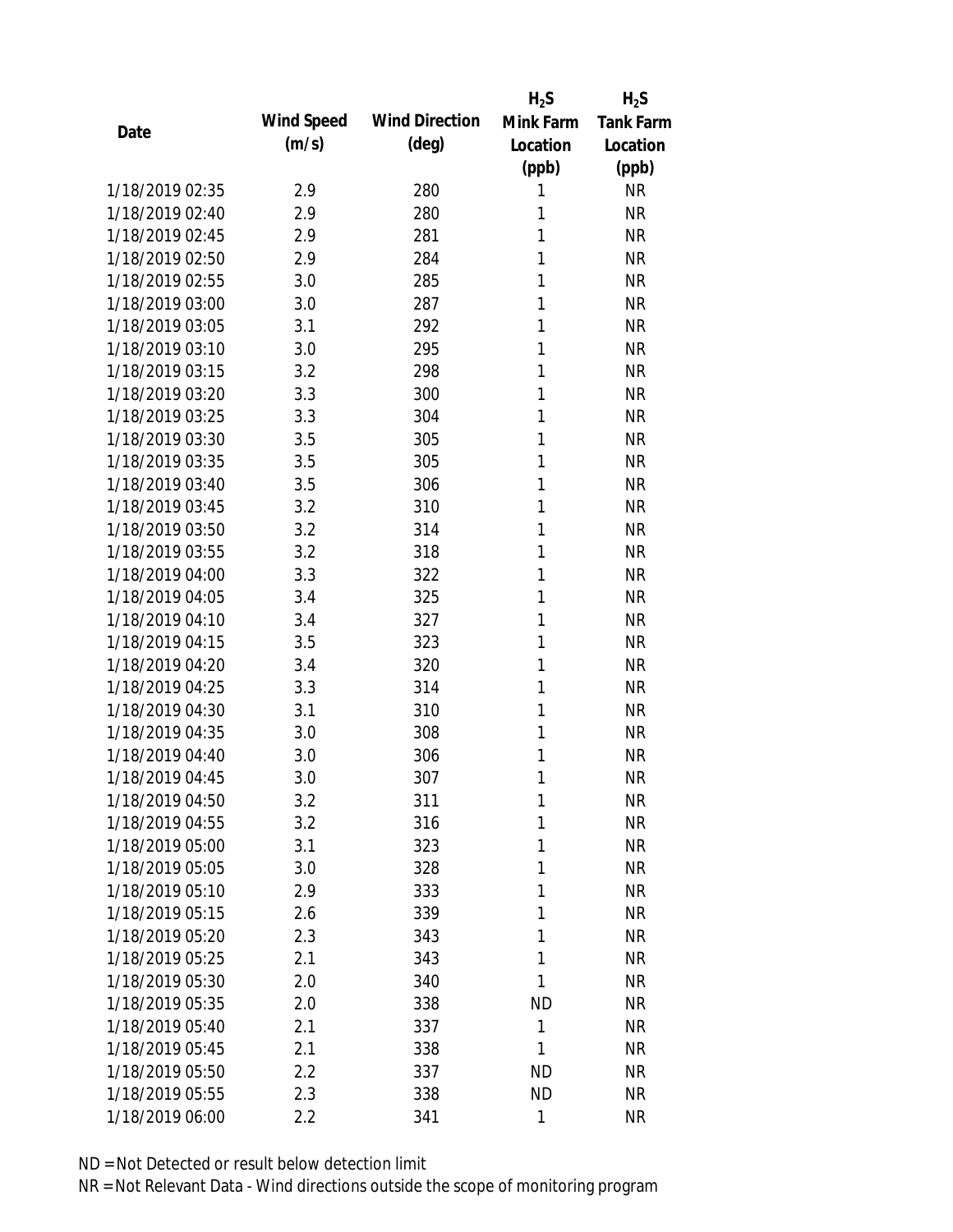|                 |            |                       | $H_2S$       | $H_2S$           |
|-----------------|------------|-----------------------|--------------|------------------|
| Date            | Wind Speed | <b>Wind Direction</b> | Mink Farm    | <b>Tank Farm</b> |
|                 | (m/s)      | $(\text{deg})$        | Location     | Location         |
|                 |            |                       | (ppb)        | (ppb)            |
| 1/18/2019 02:35 | 2.9        | 280                   | 1            | <b>NR</b>        |
| 1/18/2019 02:40 | 2.9        | 280                   | 1            | <b>NR</b>        |
| 1/18/2019 02:45 | 2.9        | 281                   | 1            | <b>NR</b>        |
| 1/18/2019 02:50 | 2.9        | 284                   | 1            | <b>NR</b>        |
| 1/18/2019 02:55 | 3.0        | 285                   | 1            | <b>NR</b>        |
| 1/18/2019 03:00 | 3.0        | 287                   | 1            | <b>NR</b>        |
| 1/18/2019 03:05 | 3.1        | 292                   | 1            | <b>NR</b>        |
| 1/18/2019 03:10 | 3.0        | 295                   | 1            | <b>NR</b>        |
| 1/18/2019 03:15 | 3.2        | 298                   | 1            | <b>NR</b>        |
| 1/18/2019 03:20 | 3.3        | 300                   | 1            | <b>NR</b>        |
| 1/18/2019 03:25 | 3.3        | 304                   | 1            | <b>NR</b>        |
| 1/18/2019 03:30 | 3.5        | 305                   | 1            | <b>NR</b>        |
| 1/18/2019 03:35 | 3.5        | 305                   | 1            | <b>NR</b>        |
| 1/18/2019 03:40 | 3.5        | 306                   | 1            | <b>NR</b>        |
| 1/18/2019 03:45 | 3.2        | 310                   | 1            | <b>NR</b>        |
| 1/18/2019 03:50 | 3.2        | 314                   | 1            | <b>NR</b>        |
| 1/18/2019 03:55 | 3.2        | 318                   | 1            | <b>NR</b>        |
| 1/18/2019 04:00 | 3.3        | 322                   | 1            | <b>NR</b>        |
| 1/18/2019 04:05 | 3.4        | 325                   | 1            | <b>NR</b>        |
| 1/18/2019 04:10 | 3.4        | 327                   | 1            | <b>NR</b>        |
| 1/18/2019 04:15 | 3.5        | 323                   | 1            | <b>NR</b>        |
| 1/18/2019 04:20 | 3.4        | 320                   | 1            | <b>NR</b>        |
| 1/18/2019 04:25 | 3.3        | 314                   | 1            | <b>NR</b>        |
| 1/18/2019 04:30 | 3.1        | 310                   | 1            | <b>NR</b>        |
| 1/18/2019 04:35 | 3.0        | 308                   | 1            | <b>NR</b>        |
| 1/18/2019 04:40 | 3.0        | 306                   | 1            | <b>NR</b>        |
| 1/18/2019 04:45 | 3.0        | 307                   | 1            | <b>NR</b>        |
| 1/18/2019 04:50 | 3.2        | 311                   | 1            | <b>NR</b>        |
| 1/18/2019 04:55 | 3.2        | 316                   | 1            | <b>NR</b>        |
| 1/18/2019 05:00 | 3.1        | 323                   | 1            | NR               |
| 1/18/2019 05:05 | 3.0        | 328                   | 1            | <b>NR</b>        |
| 1/18/2019 05:10 | 2.9        | 333                   | 1            | NR               |
| 1/18/2019 05:15 | 2.6        | 339                   | 1            | NR               |
| 1/18/2019 05:20 | 2.3        | 343                   | 1            | <b>NR</b>        |
| 1/18/2019 05:25 | 2.1        | 343                   | 1            | <b>NR</b>        |
| 1/18/2019 05:30 | 2.0        | 340                   | 1            | <b>NR</b>        |
| 1/18/2019 05:35 | 2.0        | 338                   | ND           | <b>NR</b>        |
| 1/18/2019 05:40 | 2.1        | 337                   | 1            | <b>NR</b>        |
| 1/18/2019 05:45 | 2.1        | 338                   | 1            | <b>NR</b>        |
| 1/18/2019 05:50 | 2.2        | 337                   | ND           | NR               |
| 1/18/2019 05:55 | 2.3        | 338                   | <b>ND</b>    | <b>NR</b>        |
| 1/18/2019 06:00 | 2.2        | 341                   | $\mathbf{1}$ | <b>NR</b>        |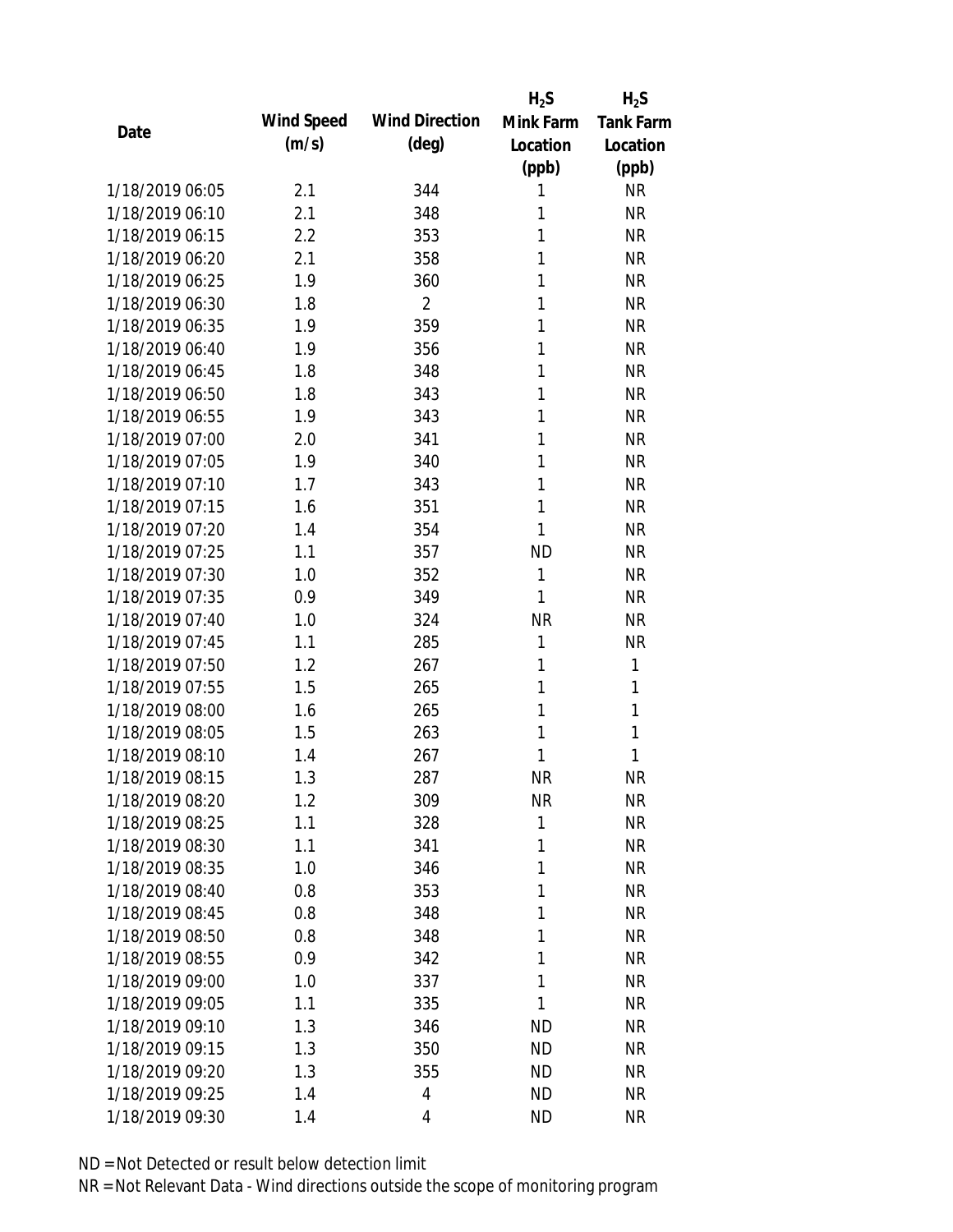|                 |            |                       | $H_2S$    | $H_2S$           |
|-----------------|------------|-----------------------|-----------|------------------|
| Date            | Wind Speed | <b>Wind Direction</b> | Mink Farm | <b>Tank Farm</b> |
|                 | (m/s)      | (deg)                 | Location  | Location         |
|                 |            |                       | (ppb)     | (ppb)            |
| 1/18/2019 06:05 | 2.1        | 344                   | 1         | <b>NR</b>        |
| 1/18/2019 06:10 | 2.1        | 348                   | 1         | <b>NR</b>        |
| 1/18/2019 06:15 | 2.2        | 353                   | 1         | <b>NR</b>        |
| 1/18/2019 06:20 | 2.1        | 358                   | 1         | <b>NR</b>        |
| 1/18/2019 06:25 | 1.9        | 360                   | 1         | <b>NR</b>        |
| 1/18/2019 06:30 | 1.8        | $\overline{2}$        | 1         | <b>NR</b>        |
| 1/18/2019 06:35 | 1.9        | 359                   | 1         | <b>NR</b>        |
| 1/18/2019 06:40 | 1.9        | 356                   | 1         | <b>NR</b>        |
| 1/18/2019 06:45 | 1.8        | 348                   | 1         | <b>NR</b>        |
| 1/18/2019 06:50 | 1.8        | 343                   | 1         | <b>NR</b>        |
| 1/18/2019 06:55 | 1.9        | 343                   | 1         | <b>NR</b>        |
| 1/18/2019 07:00 | 2.0        | 341                   | 1         | <b>NR</b>        |
| 1/18/2019 07:05 | 1.9        | 340                   | 1         | <b>NR</b>        |
| 1/18/2019 07:10 | 1.7        | 343                   | 1         | <b>NR</b>        |
| 1/18/2019 07:15 | 1.6        | 351                   | 1         | <b>NR</b>        |
| 1/18/2019 07:20 | 1.4        | 354                   | 1         | <b>NR</b>        |
| 1/18/2019 07:25 | 1.1        | 357                   | <b>ND</b> | <b>NR</b>        |
| 1/18/2019 07:30 | 1.0        | 352                   | 1         | <b>NR</b>        |
| 1/18/2019 07:35 | 0.9        | 349                   | 1         | <b>NR</b>        |
| 1/18/2019 07:40 | 1.0        | 324                   | <b>NR</b> | <b>NR</b>        |
| 1/18/2019 07:45 | 1.1        | 285                   | 1         | <b>NR</b>        |
| 1/18/2019 07:50 | 1.2        | 267                   | 1         | 1                |
| 1/18/2019 07:55 | 1.5        | 265                   | 1         | 1                |
| 1/18/2019 08:00 | 1.6        | 265                   | 1         | $\mathbf{1}$     |
| 1/18/2019 08:05 | 1.5        | 263                   | 1         | 1                |
| 1/18/2019 08:10 | 1.4        | 267                   | 1         | 1                |
| 1/18/2019 08:15 | 1.3        | 287                   | <b>NR</b> | <b>NR</b>        |
| 1/18/2019 08:20 | 1.2        | 309                   | <b>NR</b> | <b>NR</b>        |
| 1/18/2019 08:25 | 1.1        | 328                   | 1         | <b>NR</b>        |
| 1/18/2019 08:30 | 1.1        | 341                   | 1         | <b>NR</b>        |
| 1/18/2019 08:35 | 1.0        | 346                   | 1         | <b>NR</b>        |
| 1/18/2019 08:40 | 0.8        | 353                   | 1         | NR               |
| 1/18/2019 08:45 | 0.8        | 348                   | 1         | NR               |
| 1/18/2019 08:50 | 0.8        | 348                   | 1         | <b>NR</b>        |
| 1/18/2019 08:55 | 0.9        | 342                   | 1         | <b>NR</b>        |
| 1/18/2019 09:00 | 1.0        | 337                   | 1         | <b>NR</b>        |
| 1/18/2019 09:05 | 1.1        | 335                   | 1         | <b>NR</b>        |
| 1/18/2019 09:10 | 1.3        | 346                   | <b>ND</b> | <b>NR</b>        |
| 1/18/2019 09:15 | 1.3        | 350                   | <b>ND</b> | <b>NR</b>        |
| 1/18/2019 09:20 | 1.3        | 355                   | <b>ND</b> | NR               |
| 1/18/2019 09:25 | 1.4        | 4                     | <b>ND</b> | <b>NR</b>        |
| 1/18/2019 09:30 | 1.4        | 4                     | <b>ND</b> | <b>NR</b>        |
|                 |            |                       |           |                  |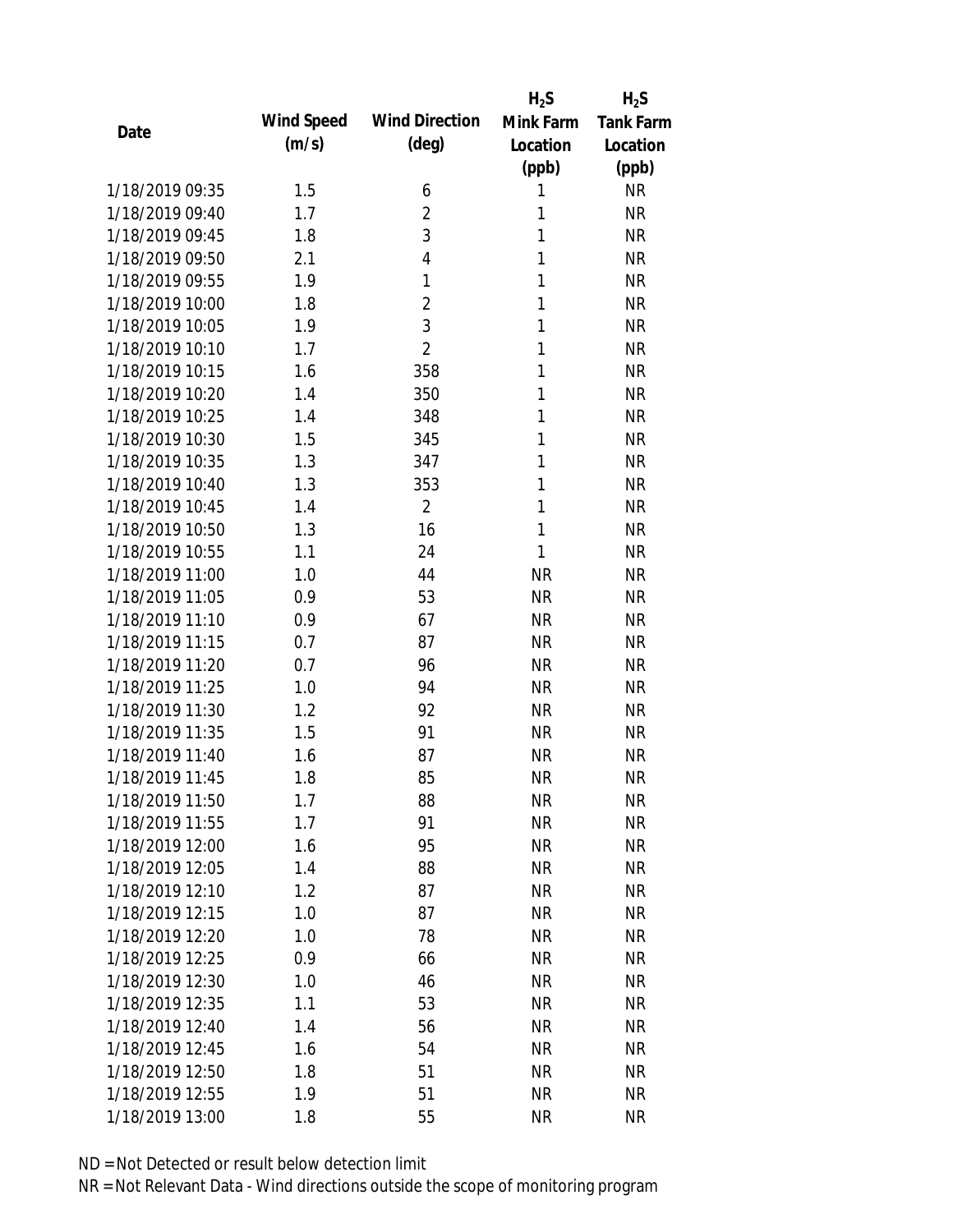|                 |            |                       | $H_2S$    | $H_2S$           |
|-----------------|------------|-----------------------|-----------|------------------|
| Date            | Wind Speed | <b>Wind Direction</b> | Mink Farm | <b>Tank Farm</b> |
|                 | (m/s)      | (deg)                 | Location  | Location         |
|                 |            |                       | (ppb)     | (ppb)            |
| 1/18/2019 09:35 | 1.5        | 6                     | 1         | <b>NR</b>        |
| 1/18/2019 09:40 | 1.7        | $\overline{2}$        | 1         | <b>NR</b>        |
| 1/18/2019 09:45 | 1.8        | 3                     | 1         | <b>NR</b>        |
| 1/18/2019 09:50 | 2.1        | 4                     | 1         | <b>NR</b>        |
| 1/18/2019 09:55 | 1.9        | 1                     | 1         | <b>NR</b>        |
| 1/18/2019 10:00 | 1.8        | $\overline{2}$        | 1         | <b>NR</b>        |
| 1/18/2019 10:05 | 1.9        | 3                     | 1         | <b>NR</b>        |
| 1/18/2019 10:10 | 1.7        | $\overline{2}$        | 1         | <b>NR</b>        |
| 1/18/2019 10:15 | 1.6        | 358                   | 1         | <b>NR</b>        |
| 1/18/2019 10:20 | 1.4        | 350                   | 1         | <b>NR</b>        |
| 1/18/2019 10:25 | 1.4        | 348                   | 1         | <b>NR</b>        |
| 1/18/2019 10:30 | 1.5        | 345                   | 1         | <b>NR</b>        |
| 1/18/2019 10:35 | 1.3        | 347                   | 1         | <b>NR</b>        |
| 1/18/2019 10:40 | 1.3        | 353                   | 1         | <b>NR</b>        |
| 1/18/2019 10:45 | 1.4        | $\overline{2}$        | 1         | <b>NR</b>        |
| 1/18/2019 10:50 | 1.3        | 16                    | 1         | <b>NR</b>        |
| 1/18/2019 10:55 | 1.1        | 24                    | 1         | <b>NR</b>        |
| 1/18/2019 11:00 | 1.0        | 44                    | <b>NR</b> | <b>NR</b>        |
| 1/18/2019 11:05 | 0.9        | 53                    | <b>NR</b> | <b>NR</b>        |
| 1/18/2019 11:10 | 0.9        | 67                    | <b>NR</b> | <b>NR</b>        |
| 1/18/2019 11:15 | 0.7        | 87                    | <b>NR</b> | <b>NR</b>        |
| 1/18/2019 11:20 | 0.7        | 96                    | <b>NR</b> | <b>NR</b>        |
| 1/18/2019 11:25 | 1.0        | 94                    | <b>NR</b> | <b>NR</b>        |
| 1/18/2019 11:30 | 1.2        | 92                    | <b>NR</b> | <b>NR</b>        |
| 1/18/2019 11:35 | 1.5        | 91                    | <b>NR</b> | <b>NR</b>        |
| 1/18/2019 11:40 | 1.6        | 87                    | <b>NR</b> | <b>NR</b>        |
| 1/18/2019 11:45 | 1.8        | 85                    | <b>NR</b> | <b>NR</b>        |
| 1/18/2019 11:50 | 1.7        | 88                    | <b>NR</b> | <b>NR</b>        |
| 1/18/2019 11:55 | 1.7        | 91                    | <b>NR</b> | <b>NR</b>        |
| 1/18/2019 12:00 | 1.6        | 95                    | <b>NR</b> | NR               |
| 1/18/2019 12:05 | 1.4        | 88                    | <b>NR</b> | <b>NR</b>        |
| 1/18/2019 12:10 | 1.2        | 87                    | <b>NR</b> | NR               |
| 1/18/2019 12:15 | 1.0        | 87                    | <b>NR</b> | NR               |
| 1/18/2019 12:20 | 1.0        | 78                    | <b>NR</b> | NR               |
| 1/18/2019 12:25 | 0.9        | 66                    | <b>NR</b> | <b>NR</b>        |
| 1/18/2019 12:30 | 1.0        | 46                    | <b>NR</b> | <b>NR</b>        |
| 1/18/2019 12:35 | 1.1        | 53                    | <b>NR</b> | <b>NR</b>        |
| 1/18/2019 12:40 | 1.4        | 56                    | <b>NR</b> | <b>NR</b>        |
| 1/18/2019 12:45 | 1.6        | 54                    | <b>NR</b> | <b>NR</b>        |
| 1/18/2019 12:50 | 1.8        | 51                    | <b>NR</b> | NR               |
| 1/18/2019 12:55 | 1.9        | 51                    | <b>NR</b> | <b>NR</b>        |
| 1/18/2019 13:00 |            |                       | <b>NR</b> | <b>NR</b>        |
|                 | 1.8        | 55                    |           |                  |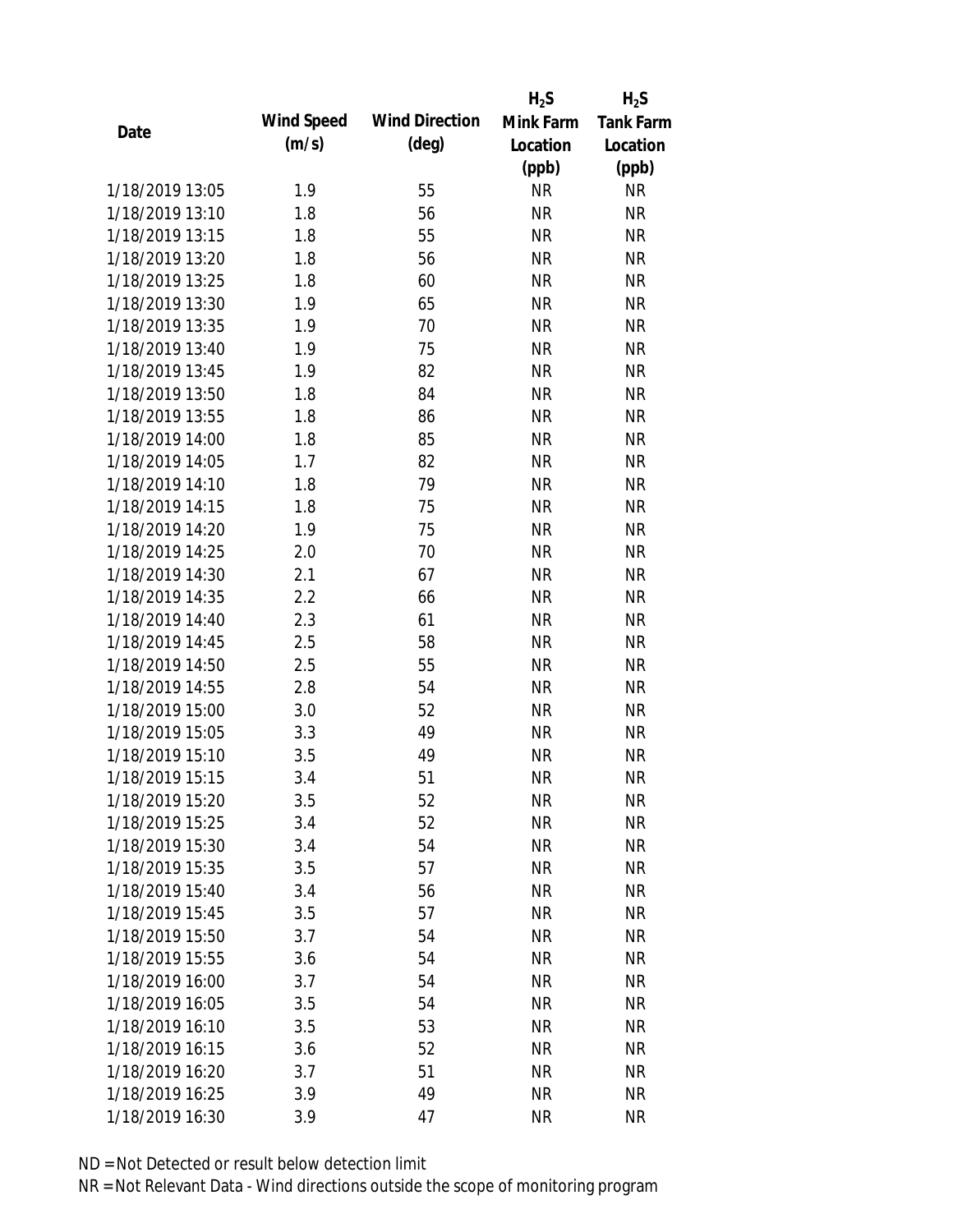|                 |            |                       | $H_2S$    | $H_2S$           |
|-----------------|------------|-----------------------|-----------|------------------|
| Date            | Wind Speed | <b>Wind Direction</b> | Mink Farm | <b>Tank Farm</b> |
|                 | (m/s)      | $(\text{deg})$        | Location  | Location         |
|                 |            |                       | (ppb)     | (ppb)            |
| 1/18/2019 13:05 | 1.9        | 55                    | <b>NR</b> | <b>NR</b>        |
| 1/18/2019 13:10 | 1.8        | 56                    | <b>NR</b> | <b>NR</b>        |
| 1/18/2019 13:15 | 1.8        | 55                    | <b>NR</b> | <b>NR</b>        |
| 1/18/2019 13:20 | 1.8        | 56                    | <b>NR</b> | <b>NR</b>        |
| 1/18/2019 13:25 | 1.8        | 60                    | <b>NR</b> | <b>NR</b>        |
| 1/18/2019 13:30 | 1.9        | 65                    | <b>NR</b> | <b>NR</b>        |
| 1/18/2019 13:35 | 1.9        | 70                    | <b>NR</b> | <b>NR</b>        |
| 1/18/2019 13:40 | 1.9        | 75                    | <b>NR</b> | <b>NR</b>        |
| 1/18/2019 13:45 | 1.9        | 82                    | <b>NR</b> | <b>NR</b>        |
| 1/18/2019 13:50 | 1.8        | 84                    | <b>NR</b> | <b>NR</b>        |
| 1/18/2019 13:55 | 1.8        | 86                    | <b>NR</b> | <b>NR</b>        |
| 1/18/2019 14:00 | 1.8        | 85                    | <b>NR</b> | <b>NR</b>        |
| 1/18/2019 14:05 | 1.7        | 82                    | <b>NR</b> | <b>NR</b>        |
| 1/18/2019 14:10 | 1.8        | 79                    | <b>NR</b> | <b>NR</b>        |
| 1/18/2019 14:15 | 1.8        | 75                    | <b>NR</b> | <b>NR</b>        |
| 1/18/2019 14:20 | 1.9        | 75                    | <b>NR</b> | <b>NR</b>        |
| 1/18/2019 14:25 | 2.0        | 70                    | <b>NR</b> | <b>NR</b>        |
| 1/18/2019 14:30 | 2.1        | 67                    | <b>NR</b> | <b>NR</b>        |
| 1/18/2019 14:35 | 2.2        | 66                    | <b>NR</b> | <b>NR</b>        |
| 1/18/2019 14:40 | 2.3        | 61                    | <b>NR</b> | <b>NR</b>        |
| 1/18/2019 14:45 | 2.5        | 58                    | <b>NR</b> | <b>NR</b>        |
| 1/18/2019 14:50 | 2.5        | 55                    | <b>NR</b> | <b>NR</b>        |
| 1/18/2019 14:55 | 2.8        | 54                    | <b>NR</b> | <b>NR</b>        |
| 1/18/2019 15:00 | 3.0        | 52                    | <b>NR</b> | <b>NR</b>        |
| 1/18/2019 15:05 | 3.3        | 49                    | <b>NR</b> | <b>NR</b>        |
| 1/18/2019 15:10 | 3.5        | 49                    | <b>NR</b> | <b>NR</b>        |
| 1/18/2019 15:15 | 3.4        | 51                    | <b>NR</b> | <b>NR</b>        |
| 1/18/2019 15:20 | 3.5        | 52                    | <b>NR</b> | <b>NR</b>        |
| 1/18/2019 15:25 | 3.4        | 52                    | <b>NR</b> | <b>NR</b>        |
| 1/18/2019 15:30 | 3.4        | 54                    | NR        | <b>NR</b>        |
| 1/18/2019 15:35 | 3.5        | 57                    | <b>NR</b> | <b>NR</b>        |
| 1/18/2019 15:40 | 3.4        | 56                    | <b>NR</b> | <b>NR</b>        |
| 1/18/2019 15:45 | 3.5        | 57                    | <b>NR</b> | <b>NR</b>        |
| 1/18/2019 15:50 | 3.7        | 54                    | <b>NR</b> | <b>NR</b>        |
| 1/18/2019 15:55 | 3.6        | 54                    | <b>NR</b> | <b>NR</b>        |
| 1/18/2019 16:00 | 3.7        | 54                    | <b>NR</b> | <b>NR</b>        |
| 1/18/2019 16:05 | 3.5        | 54                    | NR        | <b>NR</b>        |
| 1/18/2019 16:10 | 3.5        | 53                    | <b>NR</b> | <b>NR</b>        |
| 1/18/2019 16:15 | 3.6        | 52                    | <b>NR</b> | <b>NR</b>        |
| 1/18/2019 16:20 | 3.7        | 51                    | <b>NR</b> | <b>NR</b>        |
| 1/18/2019 16:25 | 3.9        | 49                    | <b>NR</b> | <b>NR</b>        |
| 1/18/2019 16:30 | 3.9        | 47                    | <b>NR</b> | <b>NR</b>        |
|                 |            |                       |           |                  |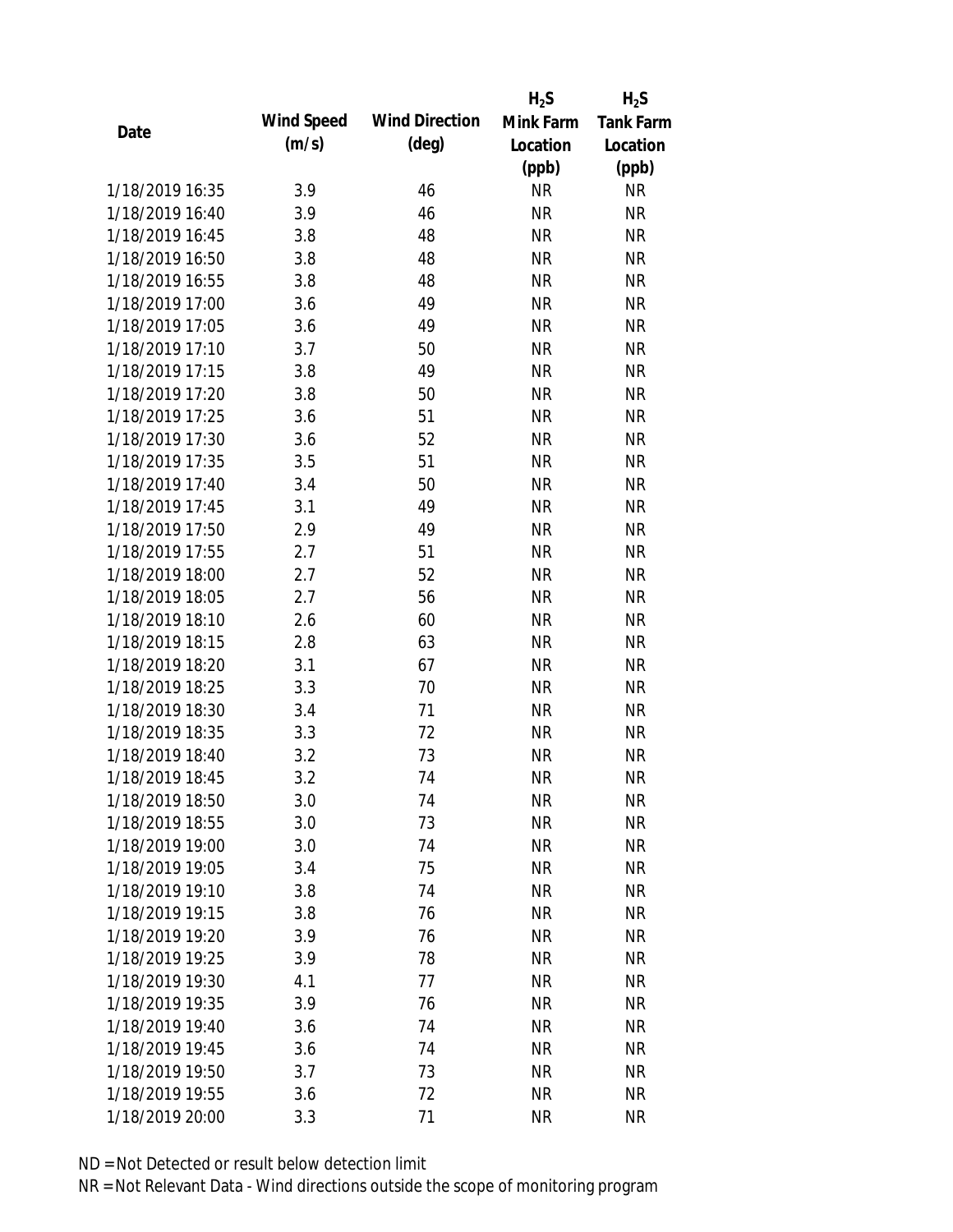|                 |            |                       | $H_2S$    | $H_2S$           |
|-----------------|------------|-----------------------|-----------|------------------|
| Date            | Wind Speed | <b>Wind Direction</b> | Mink Farm | <b>Tank Farm</b> |
|                 | (m/s)      | $(\text{deg})$        | Location  | Location         |
|                 |            |                       | (ppb)     | (ppb)            |
| 1/18/2019 16:35 | 3.9        | 46                    | <b>NR</b> | NR               |
| 1/18/2019 16:40 | 3.9        | 46                    | <b>NR</b> | <b>NR</b>        |
| 1/18/2019 16:45 | 3.8        | 48                    | <b>NR</b> | <b>NR</b>        |
| 1/18/2019 16:50 | 3.8        | 48                    | <b>NR</b> | <b>NR</b>        |
| 1/18/2019 16:55 | 3.8        | 48                    | <b>NR</b> | <b>NR</b>        |
| 1/18/2019 17:00 | 3.6        | 49                    | <b>NR</b> | <b>NR</b>        |
| 1/18/2019 17:05 | 3.6        | 49                    | <b>NR</b> | <b>NR</b>        |
| 1/18/2019 17:10 | 3.7        | 50                    | <b>NR</b> | <b>NR</b>        |
| 1/18/2019 17:15 | 3.8        | 49                    | <b>NR</b> | <b>NR</b>        |
| 1/18/2019 17:20 | 3.8        | 50                    | <b>NR</b> | <b>NR</b>        |
| 1/18/2019 17:25 | 3.6        | 51                    | <b>NR</b> | <b>NR</b>        |
| 1/18/2019 17:30 | 3.6        | 52                    | <b>NR</b> | <b>NR</b>        |
| 1/18/2019 17:35 | 3.5        | 51                    | <b>NR</b> | <b>NR</b>        |
| 1/18/2019 17:40 | 3.4        | 50                    | <b>NR</b> | <b>NR</b>        |
| 1/18/2019 17:45 | 3.1        | 49                    | <b>NR</b> | <b>NR</b>        |
| 1/18/2019 17:50 | 2.9        | 49                    | <b>NR</b> | <b>NR</b>        |
| 1/18/2019 17:55 | 2.7        | 51                    | <b>NR</b> | <b>NR</b>        |
| 1/18/2019 18:00 | 2.7        | 52                    | <b>NR</b> | <b>NR</b>        |
| 1/18/2019 18:05 | 2.7        | 56                    | <b>NR</b> | <b>NR</b>        |
| 1/18/2019 18:10 | 2.6        | 60                    | <b>NR</b> | <b>NR</b>        |
| 1/18/2019 18:15 | 2.8        | 63                    | <b>NR</b> | <b>NR</b>        |
| 1/18/2019 18:20 | 3.1        | 67                    | <b>NR</b> | <b>NR</b>        |
| 1/18/2019 18:25 | 3.3        | 70                    | <b>NR</b> | <b>NR</b>        |
| 1/18/2019 18:30 | 3.4        | 71                    | <b>NR</b> | <b>NR</b>        |
| 1/18/2019 18:35 | 3.3        | 72                    | <b>NR</b> | <b>NR</b>        |
| 1/18/2019 18:40 | 3.2        | 73                    | <b>NR</b> | <b>NR</b>        |
| 1/18/2019 18:45 | 3.2        | 74                    | <b>NR</b> | <b>NR</b>        |
| 1/18/2019 18:50 | 3.0        | 74                    | <b>NR</b> | <b>NR</b>        |
| 1/18/2019 18:55 | 3.0        | 73                    | <b>NR</b> | <b>NR</b>        |
| 1/18/2019 19:00 | 3.0        | 74                    | <b>NR</b> | <b>NR</b>        |
| 1/18/2019 19:05 | 3.4        | 75                    | <b>NR</b> | <b>NR</b>        |
| 1/18/2019 19:10 | 3.8        | 74                    | <b>NR</b> | NR               |
| 1/18/2019 19:15 | 3.8        | 76                    | <b>NR</b> | <b>NR</b>        |
| 1/18/2019 19:20 | 3.9        | 76                    | <b>NR</b> | NR               |
| 1/18/2019 19:25 | 3.9        | 78                    | <b>NR</b> | NR               |
| 1/18/2019 19:30 | 4.1        | 77                    | <b>NR</b> | <b>NR</b>        |
| 1/18/2019 19:35 | 3.9        | 76                    | <b>NR</b> | NR               |
| 1/18/2019 19:40 | 3.6        | 74                    | <b>NR</b> | <b>NR</b>        |
| 1/18/2019 19:45 | 3.6        | 74                    | <b>NR</b> | NR               |
| 1/18/2019 19:50 | 3.7        | 73                    | <b>NR</b> | NR               |
| 1/18/2019 19:55 | 3.6        | 72                    | <b>NR</b> | <b>NR</b>        |
| 1/18/2019 20:00 | 3.3        | 71                    | <b>NR</b> | <b>NR</b>        |
|                 |            |                       |           |                  |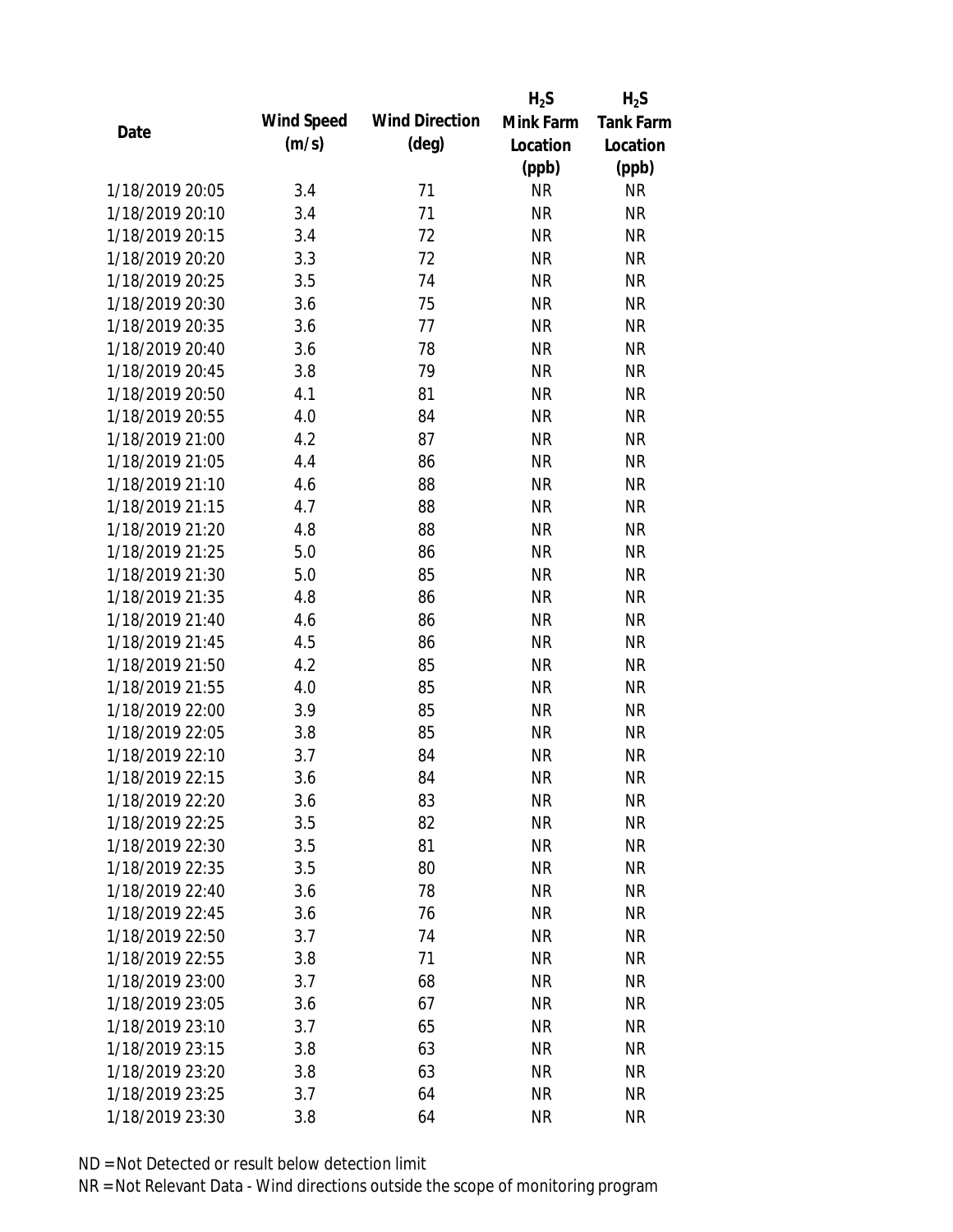|                 |            |                       | $H_2S$    | $H_2S$           |
|-----------------|------------|-----------------------|-----------|------------------|
|                 | Wind Speed | <b>Wind Direction</b> | Mink Farm | <b>Tank Farm</b> |
| Date            | (m/s)      | $(\text{deg})$        | Location  | Location         |
|                 |            |                       | (ppb)     | (ppb)            |
| 1/18/2019 20:05 | 3.4        | 71                    | <b>NR</b> | <b>NR</b>        |
| 1/18/2019 20:10 | 3.4        | 71                    | <b>NR</b> | <b>NR</b>        |
| 1/18/2019 20:15 | 3.4        | 72                    | <b>NR</b> | <b>NR</b>        |
| 1/18/2019 20:20 | 3.3        | 72                    | <b>NR</b> | <b>NR</b>        |
| 1/18/2019 20:25 | 3.5        | 74                    | <b>NR</b> | <b>NR</b>        |
| 1/18/2019 20:30 | 3.6        | 75                    | <b>NR</b> | <b>NR</b>        |
| 1/18/2019 20:35 | 3.6        | 77                    | <b>NR</b> | <b>NR</b>        |
| 1/18/2019 20:40 | 3.6        | 78                    | <b>NR</b> | <b>NR</b>        |
| 1/18/2019 20:45 | 3.8        | 79                    | <b>NR</b> | <b>NR</b>        |
| 1/18/2019 20:50 | 4.1        | 81                    | <b>NR</b> | <b>NR</b>        |
| 1/18/2019 20:55 | 4.0        | 84                    | <b>NR</b> | <b>NR</b>        |
| 1/18/2019 21:00 | 4.2        | 87                    | <b>NR</b> | <b>NR</b>        |
| 1/18/2019 21:05 | 4.4        | 86                    | <b>NR</b> | <b>NR</b>        |
| 1/18/2019 21:10 | 4.6        | 88                    | <b>NR</b> | <b>NR</b>        |
| 1/18/2019 21:15 | 4.7        | 88                    | <b>NR</b> | <b>NR</b>        |
| 1/18/2019 21:20 | 4.8        | 88                    | <b>NR</b> | <b>NR</b>        |
| 1/18/2019 21:25 | 5.0        | 86                    | <b>NR</b> | <b>NR</b>        |
| 1/18/2019 21:30 | 5.0        | 85                    | <b>NR</b> | <b>NR</b>        |
| 1/18/2019 21:35 | 4.8        | 86                    | <b>NR</b> | <b>NR</b>        |
| 1/18/2019 21:40 | 4.6        | 86                    | <b>NR</b> | <b>NR</b>        |
| 1/18/2019 21:45 | 4.5        | 86                    | <b>NR</b> | <b>NR</b>        |
| 1/18/2019 21:50 | 4.2        | 85                    | <b>NR</b> | <b>NR</b>        |
| 1/18/2019 21:55 | 4.0        | 85                    | <b>NR</b> | <b>NR</b>        |
| 1/18/2019 22:00 | 3.9        | 85                    | <b>NR</b> | <b>NR</b>        |
| 1/18/2019 22:05 | 3.8        | 85                    | <b>NR</b> | <b>NR</b>        |
| 1/18/2019 22:10 | 3.7        | 84                    | <b>NR</b> | <b>NR</b>        |
| 1/18/2019 22:15 | 3.6        | 84                    | <b>NR</b> | <b>NR</b>        |
| 1/18/2019 22:20 | 3.6        | 83                    | <b>NR</b> | <b>NR</b>        |
| 1/18/2019 22:25 | 3.5        | 82                    | <b>NR</b> | <b>NR</b>        |
| 1/18/2019 22:30 | 3.5        | 81                    | <b>NR</b> | NR               |
| 1/18/2019 22:35 | 3.5        | 80                    | <b>NR</b> | <b>NR</b>        |
| 1/18/2019 22:40 | 3.6        | 78                    | <b>NR</b> | NR               |
| 1/18/2019 22:45 | 3.6        | 76                    | <b>NR</b> | NR               |
| 1/18/2019 22:50 | 3.7        | 74                    | <b>NR</b> | <b>NR</b>        |
| 1/18/2019 22:55 | 3.8        | 71                    | <b>NR</b> | NR               |
| 1/18/2019 23:00 | 3.7        | 68                    | <b>NR</b> | <b>NR</b>        |
| 1/18/2019 23:05 | 3.6        | 67                    | <b>NR</b> | NR               |
| 1/18/2019 23:10 | 3.7        | 65                    | <b>NR</b> | NR               |
| 1/18/2019 23:15 | 3.8        | 63                    | <b>NR</b> | NR               |
| 1/18/2019 23:20 | 3.8        | 63                    | <b>NR</b> | NR               |
| 1/18/2019 23:25 | 3.7        | 64                    | <b>NR</b> | <b>NR</b>        |
| 1/18/2019 23:30 | 3.8        | 64                    | <b>NR</b> | <b>NR</b>        |
|                 |            |                       |           |                  |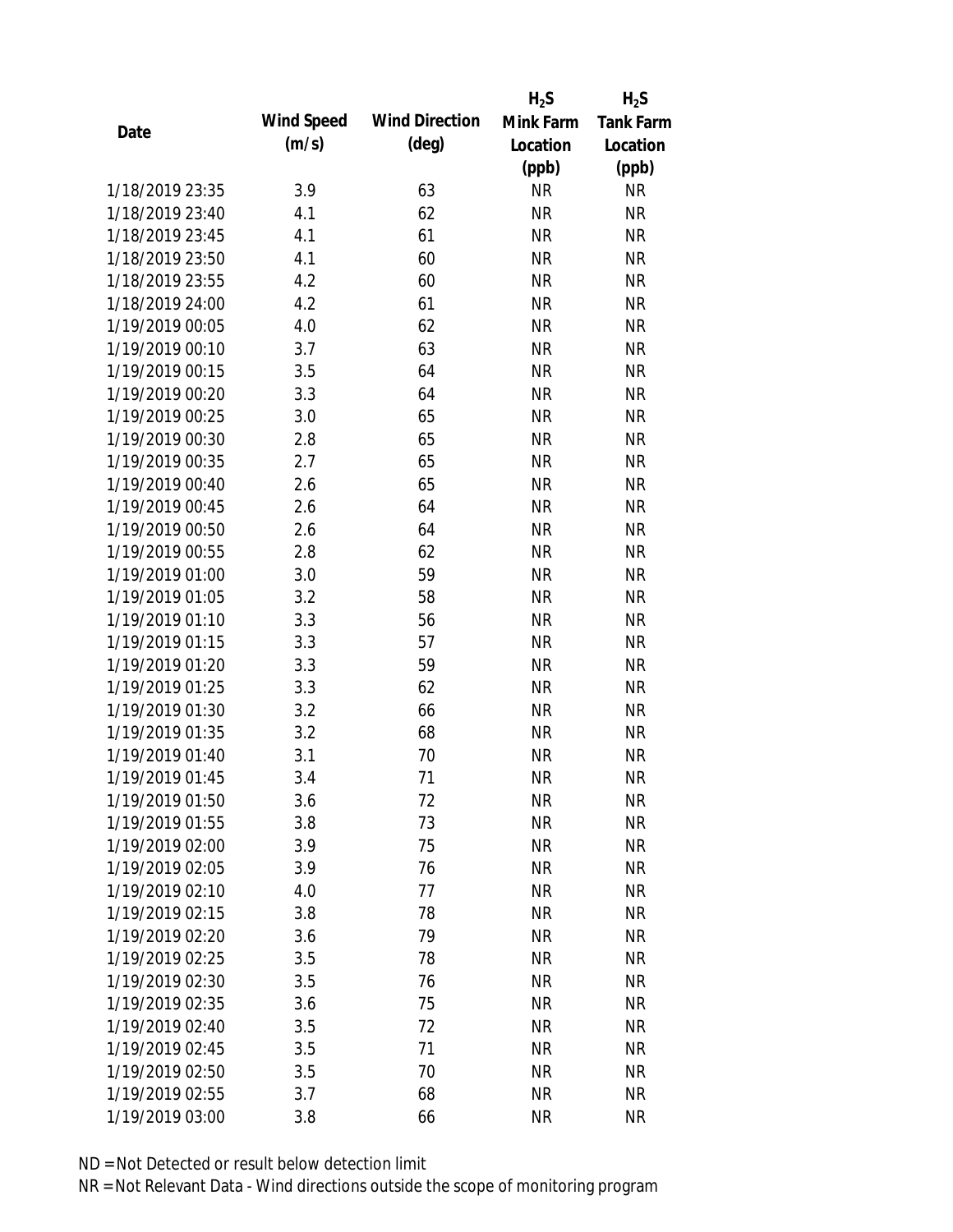|                 |            |                       | $H_2S$    | $H_2S$           |
|-----------------|------------|-----------------------|-----------|------------------|
| Date            | Wind Speed | <b>Wind Direction</b> | Mink Farm | <b>Tank Farm</b> |
|                 | (m/s)      | $(\text{deg})$        | Location  | Location         |
|                 |            |                       | (ppb)     | (ppb)            |
| 1/18/2019 23:35 | 3.9        | 63                    | <b>NR</b> | NR               |
| 1/18/2019 23:40 | 4.1        | 62                    | <b>NR</b> | <b>NR</b>        |
| 1/18/2019 23:45 | 4.1        | 61                    | <b>NR</b> | <b>NR</b>        |
| 1/18/2019 23:50 | 4.1        | 60                    | <b>NR</b> | <b>NR</b>        |
| 1/18/2019 23:55 | 4.2        | 60                    | <b>NR</b> | <b>NR</b>        |
| 1/18/2019 24:00 | 4.2        | 61                    | <b>NR</b> | <b>NR</b>        |
| 1/19/2019 00:05 | 4.0        | 62                    | <b>NR</b> | <b>NR</b>        |
| 1/19/2019 00:10 | 3.7        | 63                    | <b>NR</b> | <b>NR</b>        |
| 1/19/2019 00:15 | 3.5        | 64                    | <b>NR</b> | <b>NR</b>        |
| 1/19/2019 00:20 | 3.3        | 64                    | <b>NR</b> | <b>NR</b>        |
| 1/19/2019 00:25 | 3.0        | 65                    | <b>NR</b> | <b>NR</b>        |
| 1/19/2019 00:30 | 2.8        | 65                    | <b>NR</b> | <b>NR</b>        |
| 1/19/2019 00:35 | 2.7        | 65                    | <b>NR</b> | <b>NR</b>        |
| 1/19/2019 00:40 | 2.6        | 65                    | <b>NR</b> | <b>NR</b>        |
| 1/19/2019 00:45 | 2.6        | 64                    | <b>NR</b> | <b>NR</b>        |
| 1/19/2019 00:50 | 2.6        | 64                    | <b>NR</b> | <b>NR</b>        |
| 1/19/2019 00:55 | 2.8        | 62                    | <b>NR</b> | <b>NR</b>        |
| 1/19/2019 01:00 | 3.0        | 59                    | <b>NR</b> | <b>NR</b>        |
| 1/19/2019 01:05 | 3.2        | 58                    | <b>NR</b> | <b>NR</b>        |
| 1/19/2019 01:10 | 3.3        | 56                    | <b>NR</b> | <b>NR</b>        |
| 1/19/2019 01:15 | 3.3        | 57                    | <b>NR</b> | <b>NR</b>        |
| 1/19/2019 01:20 | 3.3        | 59                    | <b>NR</b> | <b>NR</b>        |
| 1/19/2019 01:25 | 3.3        | 62                    | <b>NR</b> | <b>NR</b>        |
| 1/19/2019 01:30 | 3.2        | 66                    | <b>NR</b> | <b>NR</b>        |
| 1/19/2019 01:35 | 3.2        | 68                    | <b>NR</b> | <b>NR</b>        |
| 1/19/2019 01:40 | 3.1        | 70                    | <b>NR</b> | <b>NR</b>        |
| 1/19/2019 01:45 | 3.4        | 71                    | <b>NR</b> | <b>NR</b>        |
| 1/19/2019 01:50 | 3.6        | 72                    | <b>NR</b> | <b>NR</b>        |
| 1/19/2019 01:55 | 3.8        | 73                    | <b>NR</b> | <b>NR</b>        |
| 1/19/2019 02:00 | 3.9        | 75                    | <b>NR</b> | <b>NR</b>        |
| 1/19/2019 02:05 | 3.9        | 76                    | <b>NR</b> | <b>NR</b>        |
| 1/19/2019 02:10 | 4.0        | 77                    | <b>NR</b> | NR               |
| 1/19/2019 02:15 | 3.8        | 78                    | <b>NR</b> | <b>NR</b>        |
| 1/19/2019 02:20 | 3.6        | 79                    | <b>NR</b> | <b>NR</b>        |
| 1/19/2019 02:25 | 3.5        | 78                    | <b>NR</b> | NR               |
| 1/19/2019 02:30 | 3.5        | 76                    | <b>NR</b> | <b>NR</b>        |
| 1/19/2019 02:35 | 3.6        | 75                    | <b>NR</b> | <b>NR</b>        |
| 1/19/2019 02:40 | 3.5        | 72                    | <b>NR</b> | <b>NR</b>        |
| 1/19/2019 02:45 | 3.5        | 71                    | <b>NR</b> | NR               |
| 1/19/2019 02:50 | 3.5        | 70                    | <b>NR</b> | NR               |
| 1/19/2019 02:55 | 3.7        | 68                    | <b>NR</b> | <b>NR</b>        |
| 1/19/2019 03:00 | 3.8        | 66                    | <b>NR</b> | <b>NR</b>        |
|                 |            |                       |           |                  |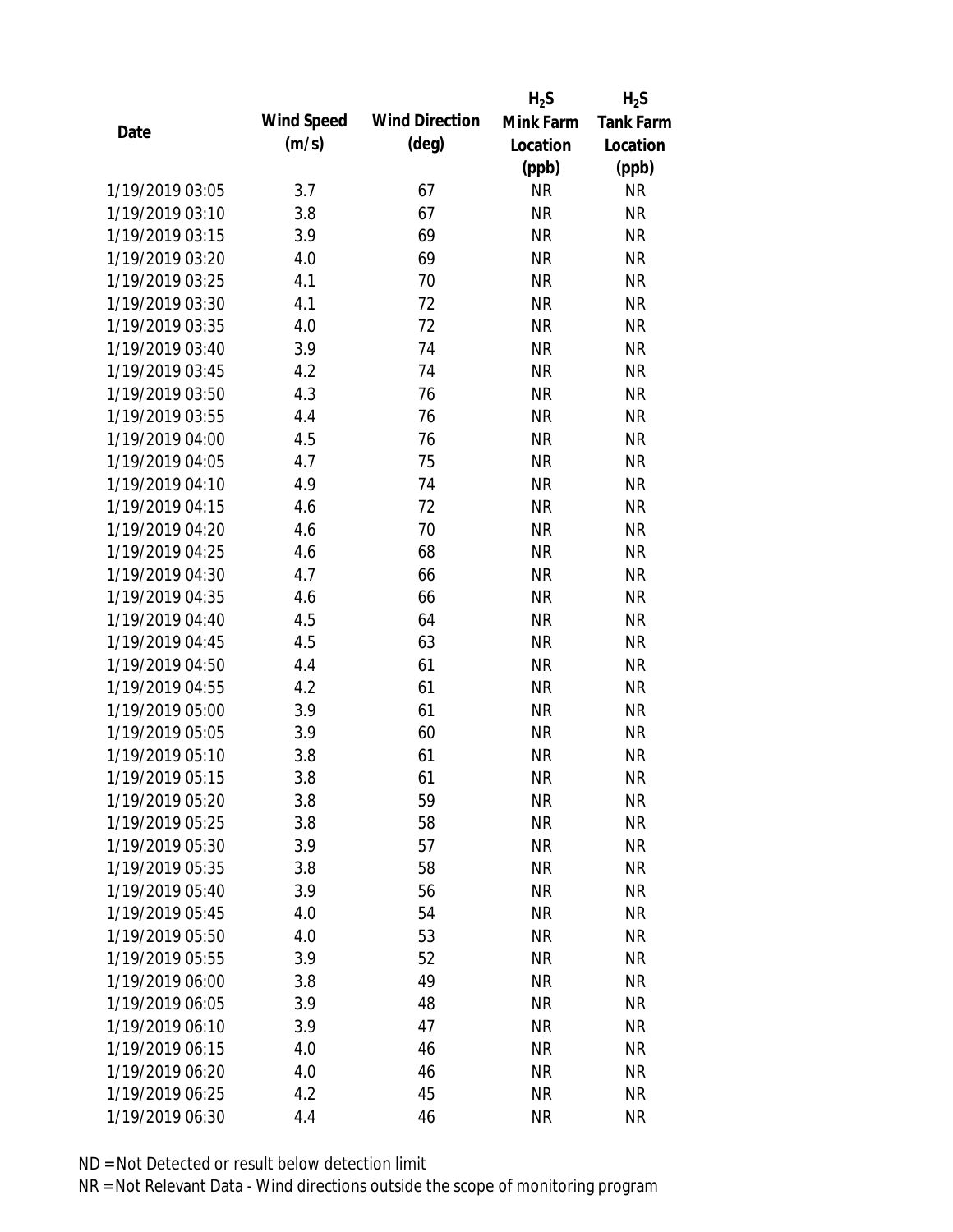|                 |            |                       | $H_2S$    | $H_2S$           |
|-----------------|------------|-----------------------|-----------|------------------|
| Date            | Wind Speed | <b>Wind Direction</b> | Mink Farm | <b>Tank Farm</b> |
|                 | (m/s)      | $(\text{deg})$        | Location  | Location         |
|                 |            |                       | (ppb)     | (ppb)            |
| 1/19/2019 03:05 | 3.7        | 67                    | <b>NR</b> | NR               |
| 1/19/2019 03:10 | 3.8        | 67                    | <b>NR</b> | <b>NR</b>        |
| 1/19/2019 03:15 | 3.9        | 69                    | <b>NR</b> | <b>NR</b>        |
| 1/19/2019 03:20 | 4.0        | 69                    | <b>NR</b> | <b>NR</b>        |
| 1/19/2019 03:25 | 4.1        | 70                    | <b>NR</b> | <b>NR</b>        |
| 1/19/2019 03:30 | 4.1        | 72                    | <b>NR</b> | <b>NR</b>        |
| 1/19/2019 03:35 | 4.0        | 72                    | <b>NR</b> | <b>NR</b>        |
| 1/19/2019 03:40 | 3.9        | 74                    | <b>NR</b> | <b>NR</b>        |
| 1/19/2019 03:45 | 4.2        | 74                    | <b>NR</b> | <b>NR</b>        |
| 1/19/2019 03:50 | 4.3        | 76                    | <b>NR</b> | <b>NR</b>        |
| 1/19/2019 03:55 | 4.4        | 76                    | <b>NR</b> | <b>NR</b>        |
| 1/19/2019 04:00 | 4.5        | 76                    | <b>NR</b> | <b>NR</b>        |
| 1/19/2019 04:05 | 4.7        | 75                    | <b>NR</b> | <b>NR</b>        |
| 1/19/2019 04:10 | 4.9        | 74                    | <b>NR</b> | <b>NR</b>        |
| 1/19/2019 04:15 | 4.6        | 72                    | <b>NR</b> | <b>NR</b>        |
| 1/19/2019 04:20 | 4.6        | 70                    | <b>NR</b> | <b>NR</b>        |
| 1/19/2019 04:25 | 4.6        | 68                    | <b>NR</b> | <b>NR</b>        |
| 1/19/2019 04:30 | 4.7        | 66                    | <b>NR</b> | <b>NR</b>        |
| 1/19/2019 04:35 | 4.6        | 66                    | <b>NR</b> | <b>NR</b>        |
| 1/19/2019 04:40 | 4.5        | 64                    | <b>NR</b> | <b>NR</b>        |
| 1/19/2019 04:45 | 4.5        | 63                    | <b>NR</b> | <b>NR</b>        |
| 1/19/2019 04:50 | 4.4        | 61                    | <b>NR</b> | <b>NR</b>        |
| 1/19/2019 04:55 | 4.2        | 61                    | <b>NR</b> | <b>NR</b>        |
| 1/19/2019 05:00 | 3.9        | 61                    | <b>NR</b> | <b>NR</b>        |
| 1/19/2019 05:05 | 3.9        | 60                    | <b>NR</b> | <b>NR</b>        |
| 1/19/2019 05:10 | 3.8        | 61                    | <b>NR</b> | <b>NR</b>        |
| 1/19/2019 05:15 | 3.8        | 61                    | <b>NR</b> | <b>NR</b>        |
| 1/19/2019 05:20 | 3.8        | 59                    | <b>NR</b> | <b>NR</b>        |
| 1/19/2019 05:25 | 3.8        | 58                    | <b>NR</b> | <b>NR</b>        |
| 1/19/2019 05:30 | 3.9        | 57                    | <b>NR</b> | <b>NR</b>        |
| 1/19/2019 05:35 | 3.8        | 58                    | <b>NR</b> | <b>NR</b>        |
| 1/19/2019 05:40 | 3.9        | 56                    | <b>NR</b> | NR               |
| 1/19/2019 05:45 | 4.0        | 54                    | <b>NR</b> | <b>NR</b>        |
| 1/19/2019 05:50 | 4.0        | 53                    | <b>NR</b> | <b>NR</b>        |
| 1/19/2019 05:55 | 3.9        | 52                    | <b>NR</b> | NR               |
| 1/19/2019 06:00 | 3.8        | 49                    | <b>NR</b> | <b>NR</b>        |
| 1/19/2019 06:05 | 3.9        | 48                    | <b>NR</b> | <b>NR</b>        |
| 1/19/2019 06:10 | 3.9        | 47                    | NR        | <b>NR</b>        |
| 1/19/2019 06:15 | 4.0        | 46                    | <b>NR</b> | NR               |
| 1/19/2019 06:20 | 4.0        | 46                    | <b>NR</b> | NR               |
| 1/19/2019 06:25 | 4.2        | 45                    | <b>NR</b> | <b>NR</b>        |
| 1/19/2019 06:30 |            |                       |           |                  |
|                 | 4.4        | 46                    | <b>NR</b> | <b>NR</b>        |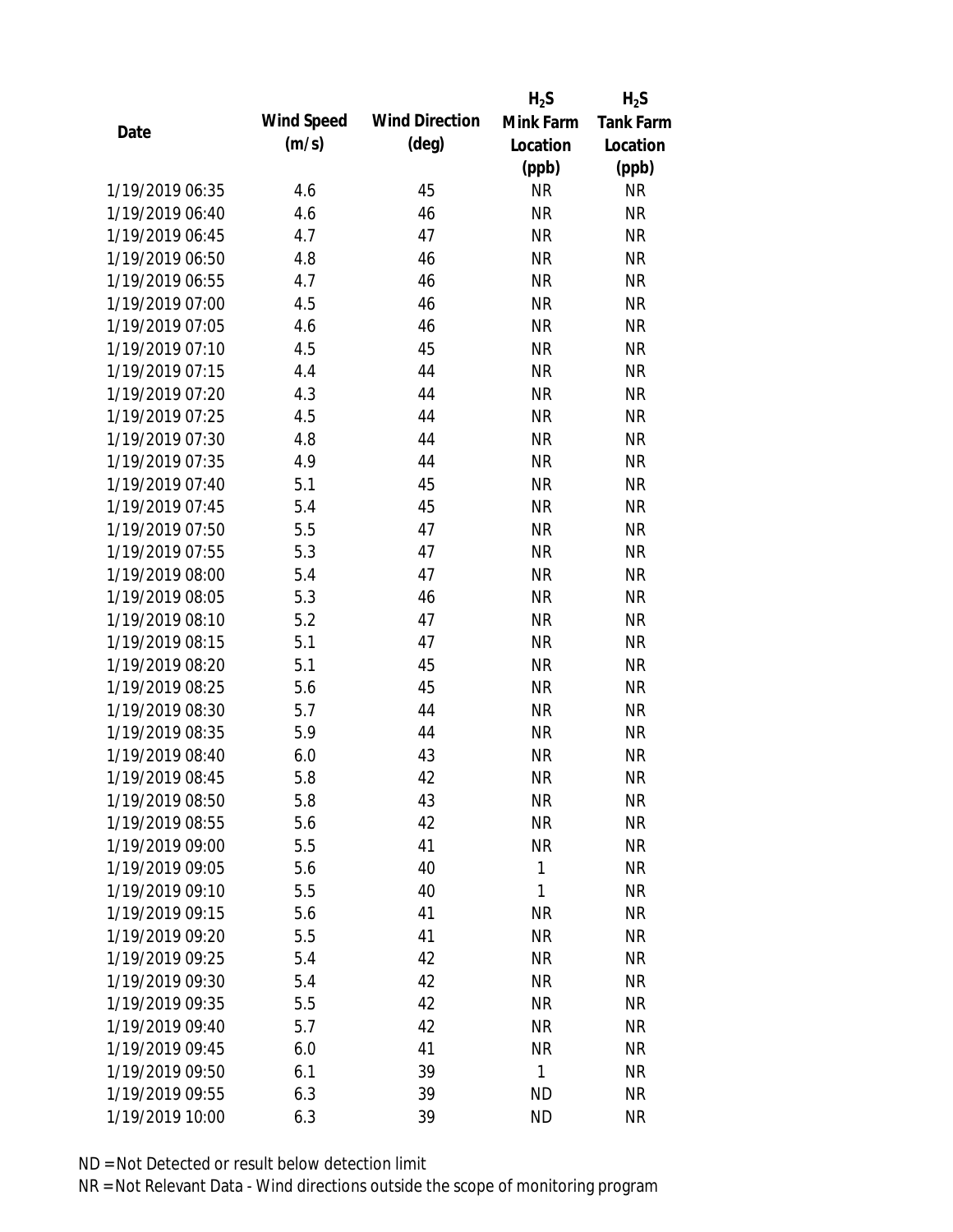|                 |            |                       | $H_2S$    | $H_2S$           |
|-----------------|------------|-----------------------|-----------|------------------|
| Date            | Wind Speed | <b>Wind Direction</b> | Mink Farm | <b>Tank Farm</b> |
|                 | (m/s)      | $(\text{deg})$        | Location  | Location         |
|                 |            |                       | (ppb)     | (ppb)            |
| 1/19/2019 06:35 | 4.6        | 45                    | <b>NR</b> | NR               |
| 1/19/2019 06:40 | 4.6        | 46                    | <b>NR</b> | <b>NR</b>        |
| 1/19/2019 06:45 | 4.7        | 47                    | <b>NR</b> | <b>NR</b>        |
| 1/19/2019 06:50 | 4.8        | 46                    | <b>NR</b> | <b>NR</b>        |
| 1/19/2019 06:55 | 4.7        | 46                    | <b>NR</b> | <b>NR</b>        |
| 1/19/2019 07:00 | 4.5        | 46                    | <b>NR</b> | <b>NR</b>        |
| 1/19/2019 07:05 | 4.6        | 46                    | <b>NR</b> | <b>NR</b>        |
| 1/19/2019 07:10 | 4.5        | 45                    | <b>NR</b> | <b>NR</b>        |
| 1/19/2019 07:15 | 4.4        | 44                    | <b>NR</b> | <b>NR</b>        |
| 1/19/2019 07:20 | 4.3        | 44                    | <b>NR</b> | <b>NR</b>        |
| 1/19/2019 07:25 | 4.5        | 44                    | <b>NR</b> | <b>NR</b>        |
| 1/19/2019 07:30 | 4.8        | 44                    | <b>NR</b> | <b>NR</b>        |
| 1/19/2019 07:35 | 4.9        | 44                    | <b>NR</b> | <b>NR</b>        |
| 1/19/2019 07:40 | 5.1        | 45                    | <b>NR</b> | <b>NR</b>        |
| 1/19/2019 07:45 | 5.4        | 45                    | <b>NR</b> | <b>NR</b>        |
| 1/19/2019 07:50 | 5.5        | 47                    | <b>NR</b> | <b>NR</b>        |
| 1/19/2019 07:55 | 5.3        | 47                    | <b>NR</b> | <b>NR</b>        |
| 1/19/2019 08:00 | 5.4        | 47                    | <b>NR</b> | <b>NR</b>        |
| 1/19/2019 08:05 | 5.3        | 46                    | <b>NR</b> | <b>NR</b>        |
| 1/19/2019 08:10 | 5.2        | 47                    | <b>NR</b> | <b>NR</b>        |
| 1/19/2019 08:15 | 5.1        | 47                    | <b>NR</b> | <b>NR</b>        |
| 1/19/2019 08:20 | 5.1        | 45                    | <b>NR</b> | <b>NR</b>        |
| 1/19/2019 08:25 | 5.6        | 45                    | <b>NR</b> | <b>NR</b>        |
| 1/19/2019 08:30 | 5.7        | 44                    | <b>NR</b> | <b>NR</b>        |
| 1/19/2019 08:35 | 5.9        | 44                    | <b>NR</b> | <b>NR</b>        |
| 1/19/2019 08:40 | 6.0        | 43                    | <b>NR</b> | <b>NR</b>        |
| 1/19/2019 08:45 | 5.8        | 42                    | <b>NR</b> | <b>NR</b>        |
| 1/19/2019 08:50 | 5.8        | 43                    | <b>NR</b> | <b>NR</b>        |
| 1/19/2019 08:55 | 5.6        | 42                    | <b>NR</b> | <b>NR</b>        |
| 1/19/2019 09:00 | 5.5        | 41                    | <b>NR</b> | NR               |
| 1/19/2019 09:05 | 5.6        | 40                    | 1         | <b>NR</b>        |
| 1/19/2019 09:10 | 5.5        | 40                    | 1         | NR               |
| 1/19/2019 09:15 | 5.6        | 41                    | <b>NR</b> | NR               |
| 1/19/2019 09:20 | 5.5        | 41                    | <b>NR</b> | NR               |
| 1/19/2019 09:25 | 5.4        | 42                    | <b>NR</b> | NR               |
| 1/19/2019 09:30 | 5.4        | 42                    | <b>NR</b> | <b>NR</b>        |
| 1/19/2019 09:35 | 5.5        | 42                    | <b>NR</b> | <b>NR</b>        |
| 1/19/2019 09:40 | 5.7        | 42                    | <b>NR</b> | <b>NR</b>        |
| 1/19/2019 09:45 | 6.0        | 41                    | <b>NR</b> | NR               |
| 1/19/2019 09:50 | 6.1        | 39                    | 1         | <b>NR</b>        |
| 1/19/2019 09:55 | 6.3        | 39                    | <b>ND</b> | <b>NR</b>        |
| 1/19/2019 10:00 | 6.3        | 39                    | <b>ND</b> | <b>NR</b>        |
|                 |            |                       |           |                  |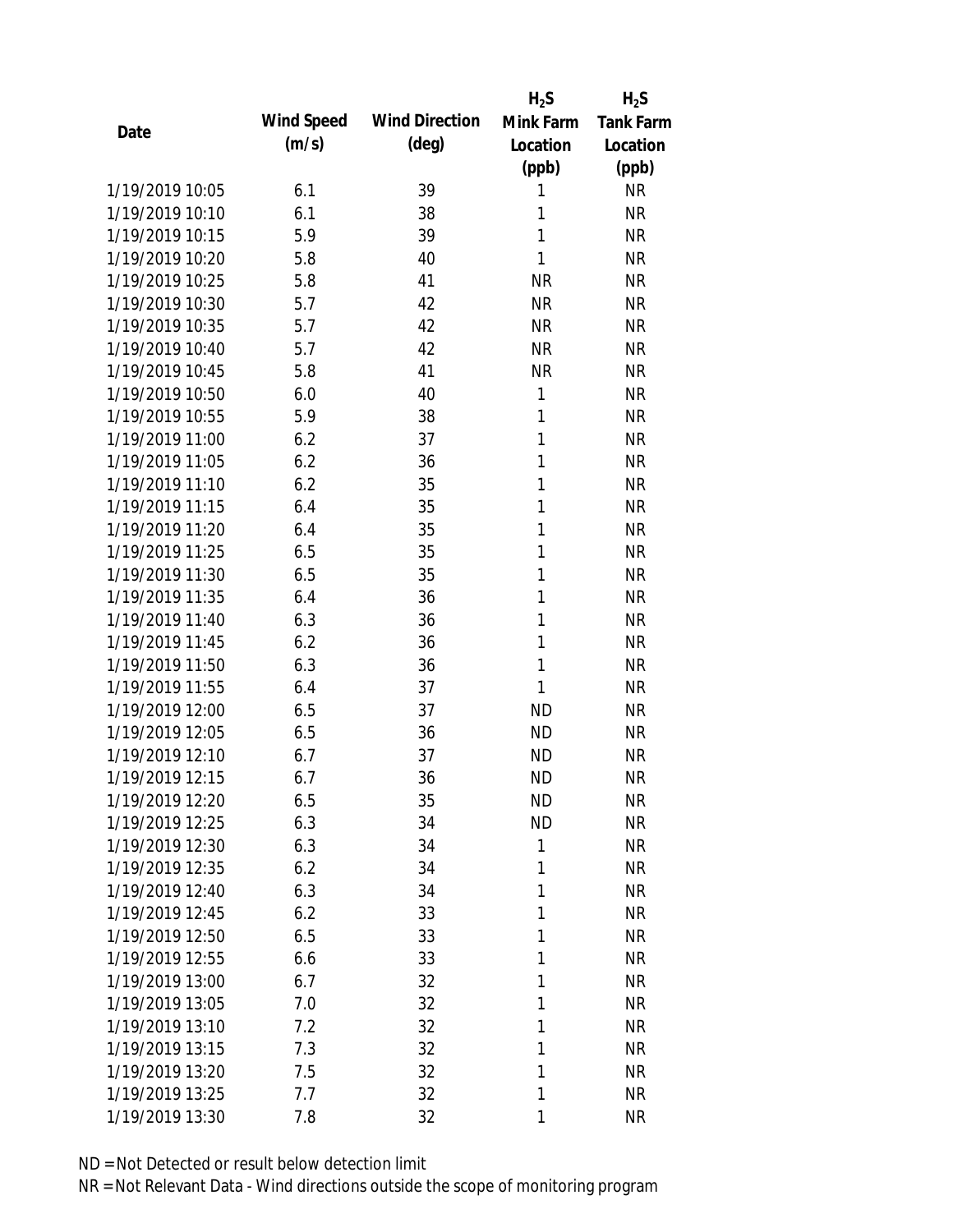|                 |            |                       | $H_2S$       | $H_2S$           |
|-----------------|------------|-----------------------|--------------|------------------|
| Date            | Wind Speed | <b>Wind Direction</b> | Mink Farm    | <b>Tank Farm</b> |
|                 | (m/s)      | $(\text{deg})$        | Location     | Location         |
|                 |            |                       | (ppb)        | (ppb)            |
| 1/19/2019 10:05 | 6.1        | 39                    | 1            | <b>NR</b>        |
| 1/19/2019 10:10 | 6.1        | 38                    | 1            | <b>NR</b>        |
| 1/19/2019 10:15 | 5.9        | 39                    | 1            | <b>NR</b>        |
| 1/19/2019 10:20 | 5.8        | 40                    | 1            | <b>NR</b>        |
| 1/19/2019 10:25 | 5.8        | 41                    | <b>NR</b>    | <b>NR</b>        |
| 1/19/2019 10:30 | 5.7        | 42                    | <b>NR</b>    | <b>NR</b>        |
| 1/19/2019 10:35 | 5.7        | 42                    | <b>NR</b>    | <b>NR</b>        |
| 1/19/2019 10:40 | 5.7        | 42                    | <b>NR</b>    | <b>NR</b>        |
| 1/19/2019 10:45 | 5.8        | 41                    | <b>NR</b>    | <b>NR</b>        |
| 1/19/2019 10:50 | 6.0        | 40                    | 1            | <b>NR</b>        |
| 1/19/2019 10:55 | 5.9        | 38                    | 1            | <b>NR</b>        |
| 1/19/2019 11:00 | 6.2        | 37                    | 1            | <b>NR</b>        |
| 1/19/2019 11:05 | 6.2        | 36                    | 1            | <b>NR</b>        |
| 1/19/2019 11:10 | 6.2        | 35                    | 1            | <b>NR</b>        |
| 1/19/2019 11:15 | 6.4        | 35                    | 1            | <b>NR</b>        |
| 1/19/2019 11:20 | 6.4        | 35                    | 1            | <b>NR</b>        |
| 1/19/2019 11:25 | 6.5        | 35                    | 1            | <b>NR</b>        |
| 1/19/2019 11:30 | 6.5        | 35                    | 1            | <b>NR</b>        |
| 1/19/2019 11:35 | 6.4        | 36                    | 1            | <b>NR</b>        |
| 1/19/2019 11:40 | 6.3        | 36                    | 1            | <b>NR</b>        |
| 1/19/2019 11:45 | 6.2        | 36                    | 1            | <b>NR</b>        |
| 1/19/2019 11:50 | 6.3        | 36                    | 1            | <b>NR</b>        |
| 1/19/2019 11:55 | 6.4        | 37                    | 1            | <b>NR</b>        |
| 1/19/2019 12:00 | 6.5        | 37                    | <b>ND</b>    | <b>NR</b>        |
| 1/19/2019 12:05 | 6.5        | 36                    | <b>ND</b>    | <b>NR</b>        |
| 1/19/2019 12:10 | 6.7        | 37                    | <b>ND</b>    | <b>NR</b>        |
| 1/19/2019 12:15 | 6.7        | 36                    | <b>ND</b>    | <b>NR</b>        |
| 1/19/2019 12:20 | 6.5        | 35                    | <b>ND</b>    | <b>NR</b>        |
| 1/19/2019 12:25 | 6.3        | 34                    | <b>ND</b>    | <b>NR</b>        |
| 1/19/2019 12:30 | 6.3        | 34                    | $\mathbf{1}$ | <b>NR</b>        |
| 1/19/2019 12:35 | 6.2        | 34                    | 1            | <b>NR</b>        |
| 1/19/2019 12:40 | 6.3        | 34                    | 1            | <b>NR</b>        |
| 1/19/2019 12:45 | 6.2        | 33                    | 1            | <b>NR</b>        |
| 1/19/2019 12:50 | 6.5        | 33                    | 1            | <b>NR</b>        |
| 1/19/2019 12:55 | 6.6        | 33                    | 1            | <b>NR</b>        |
| 1/19/2019 13:00 | 6.7        | 32                    | 1            | <b>NR</b>        |
| 1/19/2019 13:05 | 7.0        | 32                    | 1            | <b>NR</b>        |
| 1/19/2019 13:10 | 7.2        | 32                    | 1            | <b>NR</b>        |
| 1/19/2019 13:15 | 7.3        | 32                    | 1            | <b>NR</b>        |
| 1/19/2019 13:20 | 7.5        | 32                    | 1            | <b>NR</b>        |
| 1/19/2019 13:25 | 7.7        | 32                    | 1            | <b>NR</b>        |
| 1/19/2019 13:30 | 7.8        | 32                    | 1            | <b>NR</b>        |
|                 |            |                       |              |                  |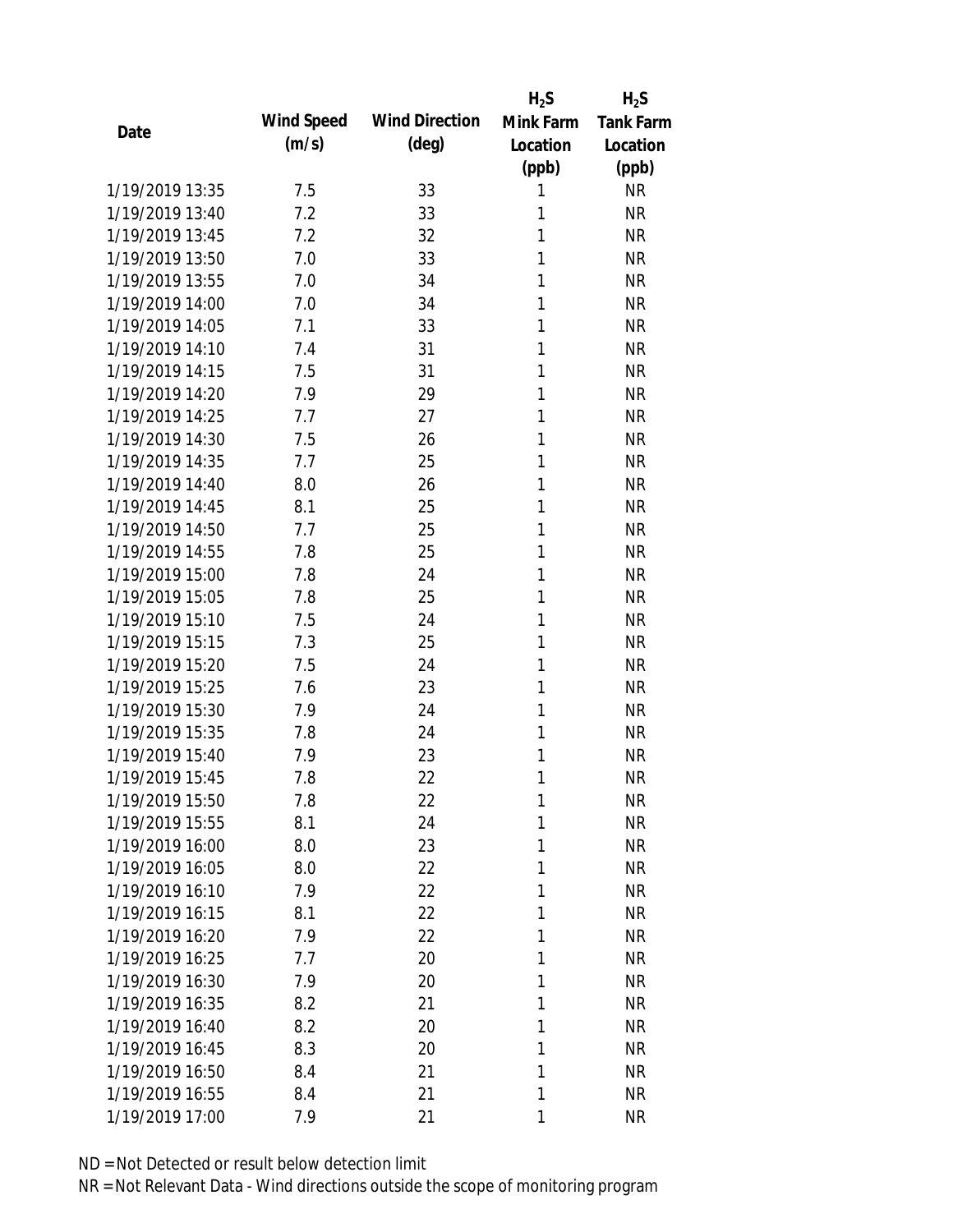|                 |            |                       | $H_2S$    | $H_2S$           |
|-----------------|------------|-----------------------|-----------|------------------|
| Date            | Wind Speed | <b>Wind Direction</b> | Mink Farm | <b>Tank Farm</b> |
|                 | (m/s)      | $(\text{deg})$        | Location  | Location         |
|                 |            |                       | (ppb)     | (ppb)            |
| 1/19/2019 13:35 | 7.5        | 33                    | 1         | <b>NR</b>        |
| 1/19/2019 13:40 | 7.2        | 33                    | 1         | <b>NR</b>        |
| 1/19/2019 13:45 | 7.2        | 32                    | 1         | <b>NR</b>        |
| 1/19/2019 13:50 | 7.0        | 33                    | 1         | <b>NR</b>        |
| 1/19/2019 13:55 | 7.0        | 34                    | 1         | <b>NR</b>        |
| 1/19/2019 14:00 | 7.0        | 34                    | 1         | <b>NR</b>        |
| 1/19/2019 14:05 | 7.1        | 33                    | 1         | <b>NR</b>        |
| 1/19/2019 14:10 | 7.4        | 31                    | 1         | <b>NR</b>        |
| 1/19/2019 14:15 | 7.5        | 31                    | 1         | <b>NR</b>        |
| 1/19/2019 14:20 | 7.9        | 29                    | 1         | <b>NR</b>        |
| 1/19/2019 14:25 | 7.7        | 27                    | 1         | <b>NR</b>        |
| 1/19/2019 14:30 | 7.5        | 26                    | 1         | <b>NR</b>        |
| 1/19/2019 14:35 | 7.7        | 25                    | 1         | <b>NR</b>        |
| 1/19/2019 14:40 | 8.0        | 26                    | 1         | <b>NR</b>        |
| 1/19/2019 14:45 | 8.1        | 25                    | 1         | <b>NR</b>        |
| 1/19/2019 14:50 | 7.7        | 25                    | 1         | <b>NR</b>        |
| 1/19/2019 14:55 | 7.8        | 25                    | 1         | <b>NR</b>        |
| 1/19/2019 15:00 | 7.8        | 24                    | 1         | <b>NR</b>        |
| 1/19/2019 15:05 | 7.8        | 25                    | 1         | <b>NR</b>        |
| 1/19/2019 15:10 | 7.5        | 24                    | 1         | <b>NR</b>        |
| 1/19/2019 15:15 | 7.3        | 25                    | 1         | <b>NR</b>        |
| 1/19/2019 15:20 | 7.5        | 24                    | 1         | <b>NR</b>        |
| 1/19/2019 15:25 | 7.6        | 23                    | 1         | <b>NR</b>        |
| 1/19/2019 15:30 | 7.9        | 24                    | 1         | <b>NR</b>        |
| 1/19/2019 15:35 | 7.8        | 24                    | 1         | <b>NR</b>        |
| 1/19/2019 15:40 | 7.9        | 23                    | 1         | <b>NR</b>        |
| 1/19/2019 15:45 | 7.8        | 22                    | 1         | <b>NR</b>        |
| 1/19/2019 15:50 | 7.8        | 22                    | 1         | <b>NR</b>        |
| 1/19/2019 15:55 | 8.1        | 24                    | 1         | <b>NR</b>        |
| 1/19/2019 16:00 | 8.0        | 23                    | 1         | <b>NR</b>        |
| 1/19/2019 16:05 | 8.0        | 22                    | 1         | <b>NR</b>        |
| 1/19/2019 16:10 | 7.9        | 22                    | 1         | <b>NR</b>        |
| 1/19/2019 16:15 | 8.1        | 22                    | 1         | <b>NR</b>        |
| 1/19/2019 16:20 | 7.9        | 22                    | 1         | <b>NR</b>        |
| 1/19/2019 16:25 | 7.7        | 20                    | 1         | <b>NR</b>        |
| 1/19/2019 16:30 | 7.9        | 20                    | 1         | <b>NR</b>        |
| 1/19/2019 16:35 | 8.2        | 21                    | 1         | <b>NR</b>        |
| 1/19/2019 16:40 | 8.2        | 20                    | 1         | <b>NR</b>        |
| 1/19/2019 16:45 | 8.3        | 20                    | 1         | <b>NR</b>        |
| 1/19/2019 16:50 | 8.4        | 21                    | 1         | <b>NR</b>        |
| 1/19/2019 16:55 | 8.4        | 21                    | 1         | <b>NR</b>        |
| 1/19/2019 17:00 | 7.9        | 21                    | 1         | <b>NR</b>        |
|                 |            |                       |           |                  |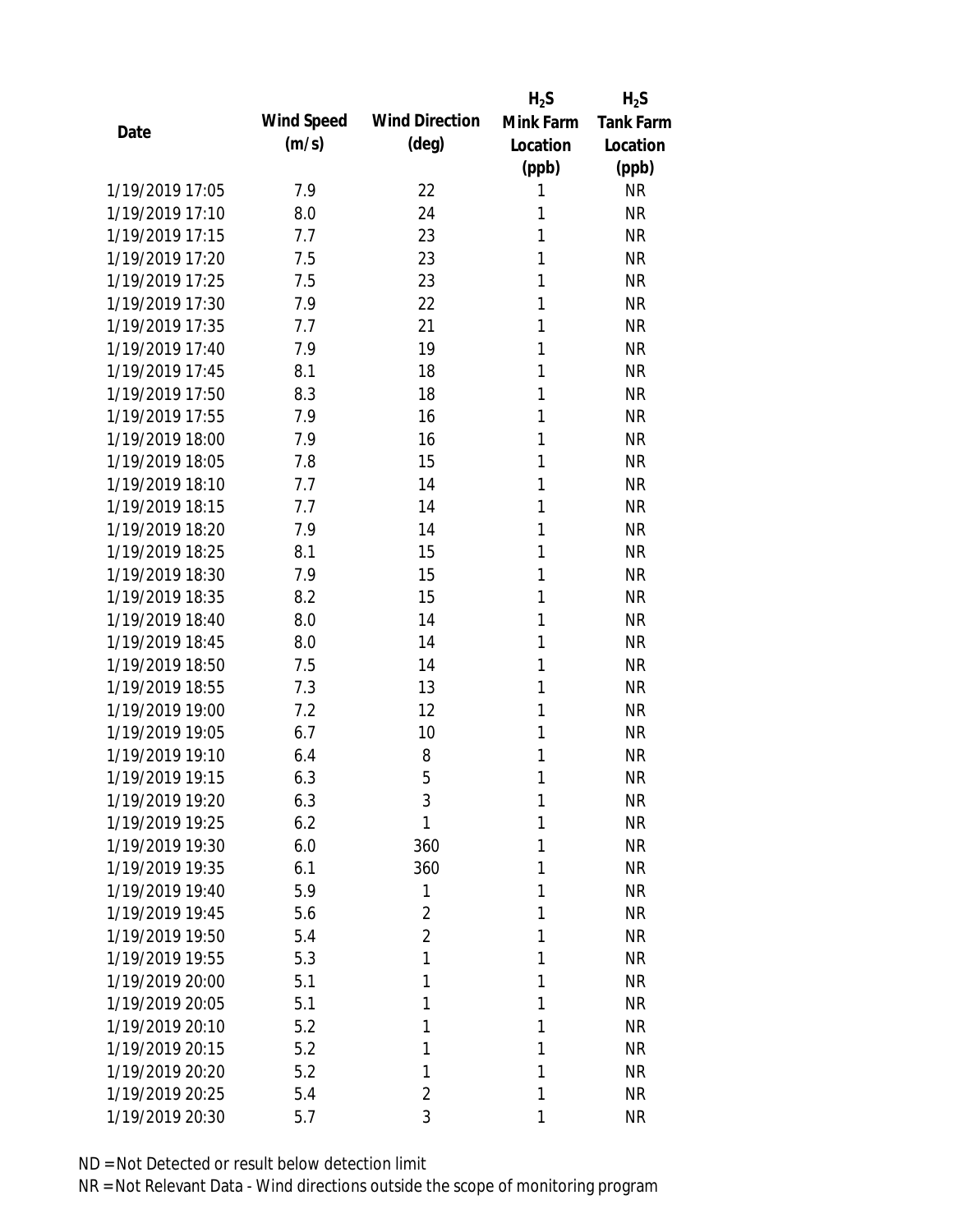|                 |            |                       | $H_2S$    | $H_2S$           |
|-----------------|------------|-----------------------|-----------|------------------|
| Date            | Wind Speed | <b>Wind Direction</b> | Mink Farm | <b>Tank Farm</b> |
|                 | (m/s)      | $(\text{deg})$        | Location  | Location         |
|                 |            |                       | (ppb)     | (ppb)            |
| 1/19/2019 17:05 | 7.9        | 22                    | 1         | <b>NR</b>        |
| 1/19/2019 17:10 | 8.0        | 24                    | 1         | <b>NR</b>        |
| 1/19/2019 17:15 | 7.7        | 23                    | 1         | <b>NR</b>        |
| 1/19/2019 17:20 | 7.5        | 23                    | 1         | <b>NR</b>        |
| 1/19/2019 17:25 | 7.5        | 23                    | 1         | <b>NR</b>        |
| 1/19/2019 17:30 | 7.9        | 22                    | 1         | <b>NR</b>        |
| 1/19/2019 17:35 | 7.7        | 21                    | 1         | <b>NR</b>        |
| 1/19/2019 17:40 | 7.9        | 19                    | 1         | <b>NR</b>        |
| 1/19/2019 17:45 | 8.1        | 18                    | 1         | <b>NR</b>        |
| 1/19/2019 17:50 | 8.3        | 18                    | 1         | <b>NR</b>        |
| 1/19/2019 17:55 | 7.9        | 16                    | 1         | <b>NR</b>        |
| 1/19/2019 18:00 | 7.9        | 16                    | 1         | <b>NR</b>        |
| 1/19/2019 18:05 | 7.8        | 15                    | 1         | <b>NR</b>        |
| 1/19/2019 18:10 | 7.7        | 14                    | 1         | <b>NR</b>        |
| 1/19/2019 18:15 | 7.7        | 14                    | 1         | <b>NR</b>        |
| 1/19/2019 18:20 | 7.9        | 14                    | 1         | <b>NR</b>        |
| 1/19/2019 18:25 | 8.1        | 15                    | 1         | <b>NR</b>        |
| 1/19/2019 18:30 | 7.9        | 15                    | 1         | <b>NR</b>        |
| 1/19/2019 18:35 | 8.2        | 15                    | 1         | <b>NR</b>        |
| 1/19/2019 18:40 | 8.0        | 14                    | 1         | <b>NR</b>        |
| 1/19/2019 18:45 | 8.0        | 14                    | 1         | <b>NR</b>        |
| 1/19/2019 18:50 | 7.5        | 14                    | 1         | <b>NR</b>        |
| 1/19/2019 18:55 | 7.3        | 13                    | 1         | <b>NR</b>        |
| 1/19/2019 19:00 | 7.2        | 12                    | 1         | <b>NR</b>        |
| 1/19/2019 19:05 | 6.7        | 10                    | 1         | <b>NR</b>        |
| 1/19/2019 19:10 | 6.4        | 8                     | 1         | <b>NR</b>        |
| 1/19/2019 19:15 | 6.3        | 5                     | 1         | <b>NR</b>        |
| 1/19/2019 19:20 | 6.3        | 3                     | 1         | <b>NR</b>        |
| 1/19/2019 19:25 | 6.2        | 1                     | 1         | <b>NR</b>        |
| 1/19/2019 19:30 | 6.0        | 360                   | 1         | <b>NR</b>        |
| 1/19/2019 19:35 | 6.1        | 360                   | 1         | <b>NR</b>        |
| 1/19/2019 19:40 | 5.9        | 1                     | 1         | <b>NR</b>        |
| 1/19/2019 19:45 | 5.6        | $\overline{2}$        | 1         | <b>NR</b>        |
| 1/19/2019 19:50 | 5.4        | $\overline{2}$        | 1         | <b>NR</b>        |
| 1/19/2019 19:55 | 5.3        | 1                     | 1         | <b>NR</b>        |
| 1/19/2019 20:00 | 5.1        | 1                     | 1         | <b>NR</b>        |
| 1/19/2019 20:05 | 5.1        | 1                     | 1         | <b>NR</b>        |
| 1/19/2019 20:10 | 5.2        | 1                     | 1         | <b>NR</b>        |
| 1/19/2019 20:15 | 5.2        | 1                     | 1         | <b>NR</b>        |
| 1/19/2019 20:20 | 5.2        | 1                     | 1         | <b>NR</b>        |
| 1/19/2019 20:25 | 5.4        | $\overline{2}$        | 1         | <b>NR</b>        |
| 1/19/2019 20:30 | 5.7        | 3                     | 1         | <b>NR</b>        |
|                 |            |                       |           |                  |